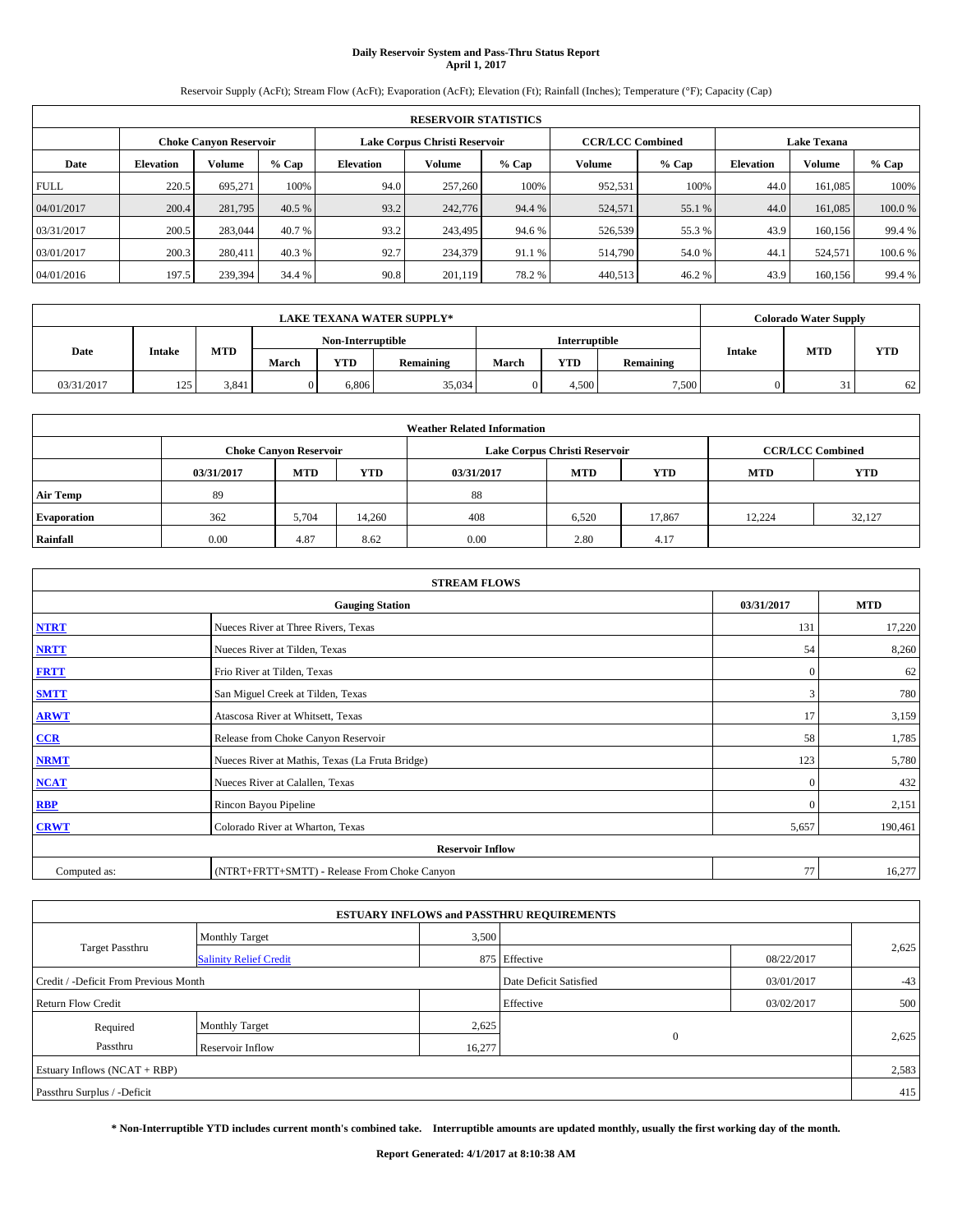# **Daily Reservoir System and Pass-Thru Status Report April 1, 2017**

Reservoir Supply (AcFt); Stream Flow (AcFt); Evaporation (AcFt); Elevation (Ft); Rainfall (Inches); Temperature (°F); Capacity (Cap)

|             | <b>RESERVOIR STATISTICS</b> |         |         |                  |                               |         |                         |         |                  |                    |         |  |
|-------------|-----------------------------|---------|---------|------------------|-------------------------------|---------|-------------------------|---------|------------------|--------------------|---------|--|
|             | Choke Canvon Reservoir      |         |         |                  | Lake Corpus Christi Reservoir |         | <b>CCR/LCC Combined</b> |         |                  | <b>Lake Texana</b> |         |  |
| Date        | <b>Elevation</b>            | Volume  | $%$ Cap | <b>Elevation</b> | <b>Volume</b>                 | $%$ Cap | Volume                  | $%$ Cap | <b>Elevation</b> | <b>Volume</b>      | $%$ Cap |  |
| <b>FULL</b> | 220.5                       | 695,271 | 100%    | 94.0             | 257,260                       | 100%    | 952.531                 | 100%    | 44.0             | 161.085            | 100%    |  |
| 04/01/2017  | 200.4                       | 281,795 | 40.5 %  | 93.2             | 242,776                       | 94.4 %  | 524,571                 | 55.1 %  | 44.0             | 161,085            | 100.0%  |  |
| 03/31/2017  | 200.5                       | 283,044 | 40.7 %  | 93.2             | 243,495                       | 94.6 %  | 526,539                 | 55.3 %  | 43.9             | 160.156            | 99.4 %  |  |
| 03/01/2017  | 200.3                       | 280.411 | 40.3 %  | 92.7             | 234,379                       | 91.1 %  | 514,790                 | 54.0 %  | 44.              | 524,571            | 100.6%  |  |
| 04/01/2016  | 197.5                       | 239,394 | 34.4 %  | 90.8             | 201,119                       | 78.2%   | 440,513                 | 46.2%   | 43.9             | 160.156            | 99.4 %  |  |

|            | <b>LAKE TEXANA WATER SUPPLY*</b> |            |       |                   |           |       |                      |           |               |            | <b>Colorado Water Supply</b> |
|------------|----------------------------------|------------|-------|-------------------|-----------|-------|----------------------|-----------|---------------|------------|------------------------------|
|            |                                  |            |       | Non-Interruptible |           |       | <b>Interruptible</b> |           |               |            |                              |
| Date       | <b>Intake</b>                    | <b>MTD</b> | March | <b>YTD</b>        | Remaining | March | <b>YTD</b>           | Remaining | <b>Intake</b> | <b>MTD</b> | <b>YTD</b>                   |
| 03/31/2017 | 125                              | 3,841      |       | 6.806             | 35,034    |       | 4.500                | 7.500     |               |            | 62                           |

| <b>Weather Related Information</b> |            |                               |                                                                                  |      |                               |                         |        |        |  |  |
|------------------------------------|------------|-------------------------------|----------------------------------------------------------------------------------|------|-------------------------------|-------------------------|--------|--------|--|--|
|                                    |            | <b>Choke Canyon Reservoir</b> |                                                                                  |      | Lake Corpus Christi Reservoir | <b>CCR/LCC Combined</b> |        |        |  |  |
|                                    | 03/31/2017 | <b>MTD</b>                    | <b>YTD</b><br><b>YTD</b><br><b>MTD</b><br><b>YTD</b><br><b>MTD</b><br>03/31/2017 |      |                               |                         |        |        |  |  |
| <b>Air Temp</b>                    | 89         |                               |                                                                                  | 88   |                               |                         |        |        |  |  |
| <b>Evaporation</b>                 | 362        | 5,704                         | 14.260                                                                           | 408  | 6,520                         | 17,867                  | 12.224 | 32,127 |  |  |
| Rainfall                           | 0.00       | 4.87                          | 8.62                                                                             | 0.00 | 2.80                          | 4.17                    |        |        |  |  |

| <b>STREAM FLOWS</b> |                                                 |              |            |  |  |  |  |  |  |
|---------------------|-------------------------------------------------|--------------|------------|--|--|--|--|--|--|
|                     | <b>Gauging Station</b>                          | 03/31/2017   | <b>MTD</b> |  |  |  |  |  |  |
| <b>NTRT</b>         | Nueces River at Three Rivers, Texas             | 131          | 17,220     |  |  |  |  |  |  |
| <b>NRTT</b>         | Nueces River at Tilden, Texas                   | 54           | 8,260      |  |  |  |  |  |  |
| <b>FRTT</b>         | Frio River at Tilden, Texas                     | $\mathbf{0}$ | 62         |  |  |  |  |  |  |
| <b>SMTT</b>         | San Miguel Creek at Tilden, Texas               | 3            | 780        |  |  |  |  |  |  |
| <b>ARWT</b>         | Atascosa River at Whitsett, Texas               | 17           | 3,159      |  |  |  |  |  |  |
| $CCR$               | Release from Choke Canyon Reservoir             | 58           | 1,785      |  |  |  |  |  |  |
| <b>NRMT</b>         | Nueces River at Mathis, Texas (La Fruta Bridge) | 123          | 5,780      |  |  |  |  |  |  |
| <b>NCAT</b>         | Nueces River at Calallen, Texas                 | $\mathbf{0}$ | 432        |  |  |  |  |  |  |
| RBP                 | Rincon Bayou Pipeline                           | $\Omega$     | 2,151      |  |  |  |  |  |  |
| <b>CRWT</b>         | Colorado River at Wharton, Texas                | 5,657        | 190,461    |  |  |  |  |  |  |
|                     | <b>Reservoir Inflow</b>                         |              |            |  |  |  |  |  |  |
| Computed as:        | (NTRT+FRTT+SMTT) - Release From Choke Canyon    |              |            |  |  |  |  |  |  |

|                                       |                               |        | <b>ESTUARY INFLOWS and PASSTHRU REQUIREMENTS</b> |            |       |  |  |  |
|---------------------------------------|-------------------------------|--------|--------------------------------------------------|------------|-------|--|--|--|
|                                       | <b>Monthly Target</b>         | 3,500  |                                                  |            |       |  |  |  |
| <b>Target Passthru</b>                | <b>Salinity Relief Credit</b> |        | 875 Effective                                    | 08/22/2017 | 2,625 |  |  |  |
| Credit / -Deficit From Previous Month |                               |        | Date Deficit Satisfied                           | 03/01/2017 | $-43$ |  |  |  |
| <b>Return Flow Credit</b>             |                               |        | Effective                                        | 03/02/2017 | 500   |  |  |  |
| Required                              | <b>Monthly Target</b>         | 2,625  |                                                  |            |       |  |  |  |
| Passthru                              | Reservoir Inflow              | 16,277 | $\mathbf{0}$                                     |            | 2,625 |  |  |  |
| Estuary Inflows $(NCAT + RBP)$        |                               |        |                                                  |            | 2,583 |  |  |  |
| Passthru Surplus / -Deficit           |                               |        |                                                  |            |       |  |  |  |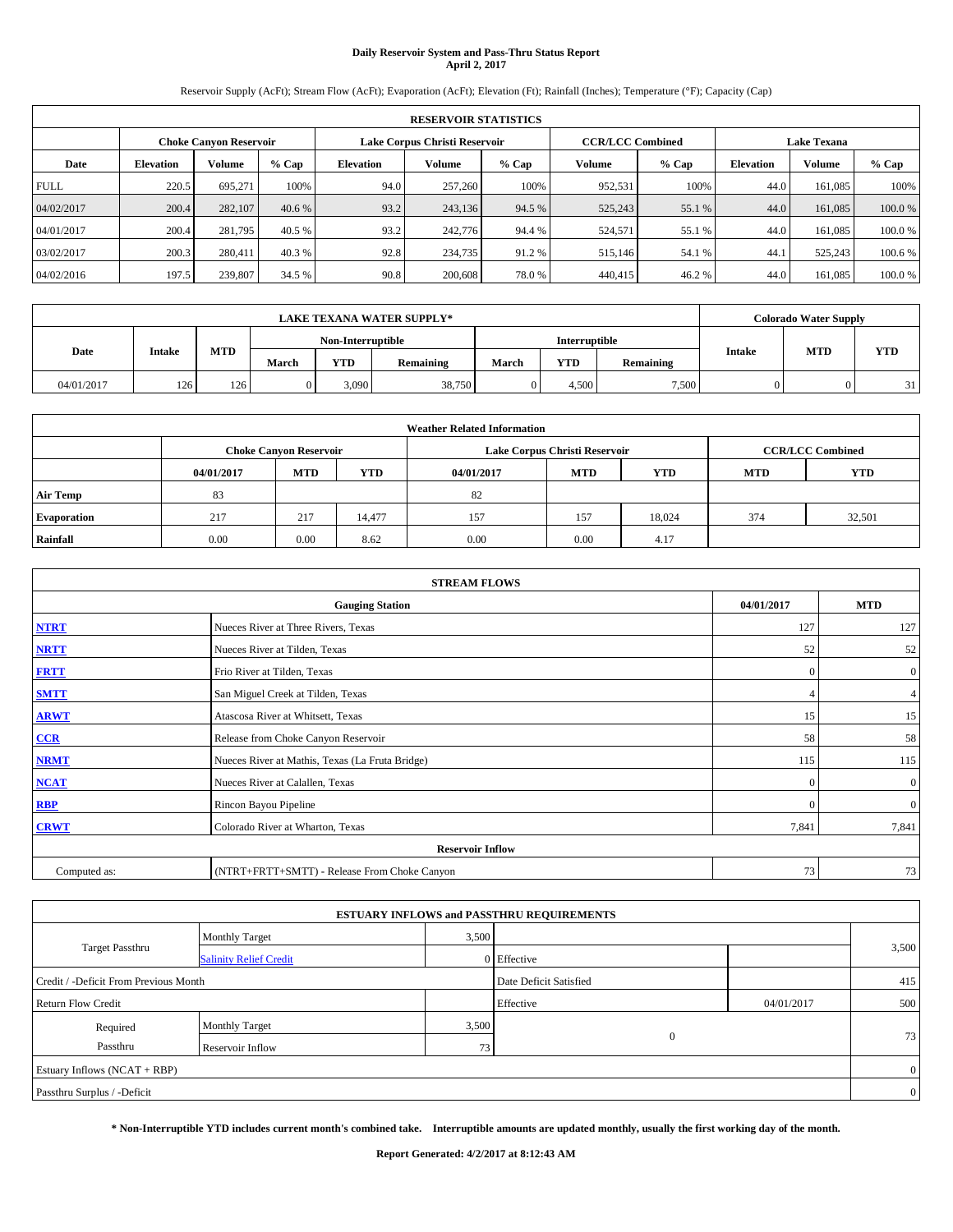# **Daily Reservoir System and Pass-Thru Status Report April 2, 2017**

Reservoir Supply (AcFt); Stream Flow (AcFt); Evaporation (AcFt); Elevation (Ft); Rainfall (Inches); Temperature (°F); Capacity (Cap)

|             | <b>RESERVOIR STATISTICS</b>   |         |         |           |                               |         |                         |         |                  |                    |        |  |
|-------------|-------------------------------|---------|---------|-----------|-------------------------------|---------|-------------------------|---------|------------------|--------------------|--------|--|
|             | <b>Choke Canyon Reservoir</b> |         |         |           | Lake Corpus Christi Reservoir |         | <b>CCR/LCC Combined</b> |         |                  | <b>Lake Texana</b> |        |  |
| Date        | <b>Elevation</b>              | Volume  | $%$ Cap | Elevation | Volume                        | $%$ Cap | Volume                  | $%$ Cap | <b>Elevation</b> | <b>Volume</b>      | % Cap  |  |
| <b>FULL</b> | 220.5                         | 695.271 | 100%    | 94.0      | 257,260                       | 100%    | 952,531                 | 100%    | 44.0             | 161.085            | 100%   |  |
| 04/02/2017  | 200.4                         | 282,107 | 40.6 %  | 93.2      | 243,136                       | 94.5 %  | 525,243                 | 55.1 %  | 44.0             | 161.085            | 100.0% |  |
| 04/01/2017  | 200.4                         | 281,795 | 40.5 %  | 93.2      | 242,776                       | 94.4 %  | 524,571                 | 55.1 %  | 44.0             | 161.085            | 100.0% |  |
| 03/02/2017  | 200.3                         | 280,411 | 40.3 %  | 92.8      | 234,735                       | 91.2%   | 515,146                 | 54.1 %  | 44.1             | 525,243            | 100.6% |  |
| 04/02/2016  | 197.5                         | 239,807 | 34.5 %  | 90.8      | 200,608                       | 78.0%   | 440,415                 | 46.2%   | 44.0             | 161,085            | 100.0% |  |

|            | <b>LAKE TEXANA WATER SUPPLY*</b> |            |       |                   |           |       |                      |           |               | <b>Colorado Water Supply</b> |            |  |
|------------|----------------------------------|------------|-------|-------------------|-----------|-------|----------------------|-----------|---------------|------------------------------|------------|--|
|            |                                  |            |       | Non-Interruptible |           |       | <b>Interruptible</b> |           |               |                              |            |  |
| Date       | <b>Intake</b>                    | <b>MTD</b> | March | <b>YTD</b>        | Remaining | March | <b>YTD</b>           | Remaining | <b>Intake</b> | <b>MTD</b>                   | <b>YTD</b> |  |
| 04/01/2017 | 126                              | 126        |       | 3.090             | 38,750    |       | 4.500                | 7,500     |               |                              | 21         |  |

| <b>Weather Related Information</b> |            |                               |            |                               |            |                         |                          |        |  |  |  |
|------------------------------------|------------|-------------------------------|------------|-------------------------------|------------|-------------------------|--------------------------|--------|--|--|--|
|                                    |            | <b>Choke Canvon Reservoir</b> |            | Lake Corpus Christi Reservoir |            | <b>CCR/LCC Combined</b> |                          |        |  |  |  |
|                                    | 04/01/2017 | <b>MTD</b>                    | <b>YTD</b> | 04/01/2017                    | <b>MTD</b> | <b>YTD</b>              | <b>YTD</b><br><b>MTD</b> |        |  |  |  |
| <b>Air Temp</b>                    | 83         |                               |            | 82                            |            |                         |                          |        |  |  |  |
| <b>Evaporation</b>                 | 217        | 217                           | 14,477     | 157                           | 157        | 18.024                  | 374                      | 32,501 |  |  |  |
| Rainfall                           | 0.00       | 0.00                          | 8.62       | 0.00                          | 0.00       | 4.17                    |                          |        |  |  |  |

| <b>STREAM FLOWS</b> |                                                 |            |                |  |  |  |  |  |  |
|---------------------|-------------------------------------------------|------------|----------------|--|--|--|--|--|--|
|                     | <b>Gauging Station</b>                          | 04/01/2017 | <b>MTD</b>     |  |  |  |  |  |  |
| <b>NTRT</b>         | Nueces River at Three Rivers, Texas             | 127        | 127            |  |  |  |  |  |  |
| <b>NRTT</b>         | Nueces River at Tilden, Texas                   | 52         | 52             |  |  |  |  |  |  |
| <b>FRTT</b>         | Frio River at Tilden, Texas                     | $\Omega$   | $\overline{0}$ |  |  |  |  |  |  |
| <b>SMTT</b>         | San Miguel Creek at Tilden, Texas               |            | $\overline{4}$ |  |  |  |  |  |  |
| <b>ARWT</b>         | Atascosa River at Whitsett, Texas               | 15         | 15             |  |  |  |  |  |  |
| CCR                 | Release from Choke Canyon Reservoir             | 58         | 58             |  |  |  |  |  |  |
| <b>NRMT</b>         | Nueces River at Mathis, Texas (La Fruta Bridge) | 115        | 115            |  |  |  |  |  |  |
| <b>NCAT</b>         | Nueces River at Calallen, Texas                 | $\Omega$   | $\overline{0}$ |  |  |  |  |  |  |
| RBP                 | Rincon Bayou Pipeline                           | $\Omega$   | $\overline{0}$ |  |  |  |  |  |  |
| <b>CRWT</b>         | Colorado River at Wharton, Texas                | 7,841      | 7,841          |  |  |  |  |  |  |
|                     | <b>Reservoir Inflow</b>                         |            |                |  |  |  |  |  |  |
| Computed as:        | (NTRT+FRTT+SMTT) - Release From Choke Canyon    |            |                |  |  |  |  |  |  |

| <b>ESTUARY INFLOWS and PASSTHRU REQUIREMENTS</b> |                               |       |                        |            |       |  |  |  |  |  |
|--------------------------------------------------|-------------------------------|-------|------------------------|------------|-------|--|--|--|--|--|
|                                                  | Monthly Target                | 3,500 |                        |            |       |  |  |  |  |  |
| <b>Target Passthru</b>                           | <b>Salinity Relief Credit</b> |       | 0 Effective            |            | 3,500 |  |  |  |  |  |
| Credit / -Deficit From Previous Month            |                               |       | Date Deficit Satisfied |            | 415   |  |  |  |  |  |
| <b>Return Flow Credit</b>                        |                               |       | Effective              | 04/01/2017 | 500   |  |  |  |  |  |
| Required                                         | <b>Monthly Target</b>         | 3,500 |                        |            |       |  |  |  |  |  |
| Passthru                                         | Reservoir Inflow              | 73    | $\overline{0}$         |            | 73    |  |  |  |  |  |
| Estuary Inflows (NCAT + RBP)                     |                               |       |                        |            |       |  |  |  |  |  |
| Passthru Surplus / -Deficit                      |                               |       |                        |            |       |  |  |  |  |  |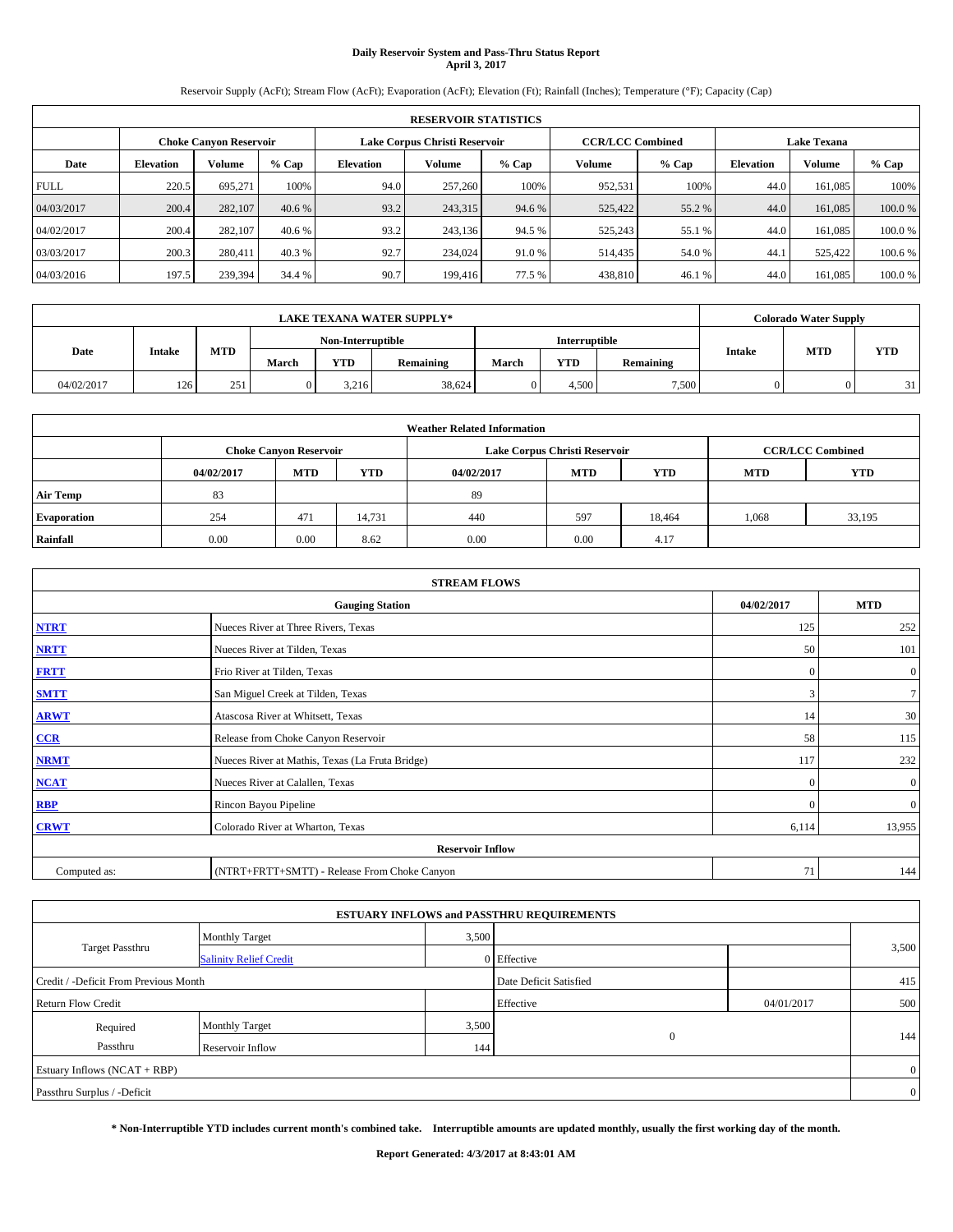# **Daily Reservoir System and Pass-Thru Status Report April 3, 2017**

Reservoir Supply (AcFt); Stream Flow (AcFt); Evaporation (AcFt); Elevation (Ft); Rainfall (Inches); Temperature (°F); Capacity (Cap)

|             | <b>RESERVOIR STATISTICS</b> |                        |         |                  |                               |         |                         |         |                    |               |        |  |
|-------------|-----------------------------|------------------------|---------|------------------|-------------------------------|---------|-------------------------|---------|--------------------|---------------|--------|--|
|             |                             | Choke Canvon Reservoir |         |                  | Lake Corpus Christi Reservoir |         | <b>CCR/LCC Combined</b> |         | <b>Lake Texana</b> |               |        |  |
| Date        | <b>Elevation</b>            | Volume                 | $%$ Cap | <b>Elevation</b> | <b>Volume</b>                 | $%$ Cap | Volume                  | $%$ Cap | <b>Elevation</b>   | <b>Volume</b> | % Cap  |  |
| <b>FULL</b> | 220.5                       | 695,271                | 100%    | 94.0             | 257,260                       | 100%    | 952,531                 | 100%    | 44.0               | 161.085       | 100%   |  |
| 04/03/2017  | 200.4                       | 282,107                | 40.6 %  | 93.2             | 243,315                       | 94.6 %  | 525,422                 | 55.2 %  | 44.0               | 161,085       | 100.0% |  |
| 04/02/2017  | 200.4                       | 282,107                | 40.6 %  | 93.2             | 243,136                       | 94.5 %  | 525,243                 | 55.1 %  | 44.0               | 161.085       | 100.0% |  |
| 03/03/2017  | 200.3                       | 280,411                | 40.3 %  | 92.7             | 234,024                       | 91.0%   | 514,435                 | 54.0 %  | 44.                | 525.422       | 100.6% |  |
| 04/03/2016  | 197.5                       | 239,394                | 34.4 %  | 90.7             | 199,416                       | 77.5 %  | 438,810                 | 46.1 %  | 44.0               | 161.085       | 100.0% |  |

|            | <b>LAKE TEXANA WATER SUPPLY*</b> |            |       |                   |           |       |               |           |               | <b>Colorado Water Supply</b> |            |  |
|------------|----------------------------------|------------|-------|-------------------|-----------|-------|---------------|-----------|---------------|------------------------------|------------|--|
|            |                                  |            |       | Non-Interruptible |           |       | Interruptible |           |               |                              |            |  |
| Date       | <b>Intake</b>                    | <b>MTD</b> | March | <b>YTD</b>        | Remaining | March | YTD           | Remaining | <b>Intake</b> | <b>MTD</b>                   | <b>YTD</b> |  |
| 04/02/2017 | 126                              | 251        |       | 3.216             | 38.624    |       | 4,500         | 7,500     |               |                              | 31         |  |

| <b>Weather Related Information</b> |            |                               |            |            |                                        |                         |       |        |  |  |  |
|------------------------------------|------------|-------------------------------|------------|------------|----------------------------------------|-------------------------|-------|--------|--|--|--|
|                                    |            | <b>Choke Canyon Reservoir</b> |            |            | Lake Corpus Christi Reservoir          | <b>CCR/LCC Combined</b> |       |        |  |  |  |
|                                    | 04/02/2017 | <b>MTD</b>                    | <b>YTD</b> | 04/02/2017 | <b>MTD</b><br><b>YTD</b><br><b>MTD</b> |                         |       |        |  |  |  |
| <b>Air Temp</b>                    | 83         |                               |            | 89         |                                        |                         |       |        |  |  |  |
| <b>Evaporation</b>                 | 254        | 471                           | 14,731     | 440        | 597                                    | 18,464                  | 1,068 | 33,195 |  |  |  |
| Rainfall                           | 0.00       | 0.00                          | 8.62       | 0.00       | 0.00                                   | 4.17                    |       |        |  |  |  |

| <b>STREAM FLOWS</b> |                                                 |              |                  |  |  |  |  |  |  |
|---------------------|-------------------------------------------------|--------------|------------------|--|--|--|--|--|--|
|                     | 04/02/2017                                      | <b>MTD</b>   |                  |  |  |  |  |  |  |
| <b>NTRT</b>         | Nueces River at Three Rivers, Texas             | 125          | 252              |  |  |  |  |  |  |
| <b>NRTT</b>         | Nueces River at Tilden, Texas                   | 50           | 101              |  |  |  |  |  |  |
| <b>FRTT</b>         | Frio River at Tilden, Texas                     | $\mathbf{0}$ | $\boldsymbol{0}$ |  |  |  |  |  |  |
| <b>SMTT</b>         | San Miguel Creek at Tilden, Texas               | 3            | 7                |  |  |  |  |  |  |
| <b>ARWT</b>         | Atascosa River at Whitsett, Texas               | 14           | 30               |  |  |  |  |  |  |
| $CCR$               | Release from Choke Canyon Reservoir             | 58           | 115              |  |  |  |  |  |  |
| <b>NRMT</b>         | Nueces River at Mathis, Texas (La Fruta Bridge) | 117          | 232              |  |  |  |  |  |  |
| <b>NCAT</b>         | Nueces River at Calallen, Texas                 | $\Omega$     | $\boldsymbol{0}$ |  |  |  |  |  |  |
| RBP                 | Rincon Bayou Pipeline                           | $\Omega$     | $\mathbf{0}$     |  |  |  |  |  |  |
| <b>CRWT</b>         | Colorado River at Wharton, Texas                | 6,114        | 13,955           |  |  |  |  |  |  |
|                     |                                                 |              |                  |  |  |  |  |  |  |
| Computed as:        | 71                                              | 144          |                  |  |  |  |  |  |  |

|                                       |                               |       | <b>ESTUARY INFLOWS and PASSTHRU REQUIREMENTS</b> |            |       |  |  |  |
|---------------------------------------|-------------------------------|-------|--------------------------------------------------|------------|-------|--|--|--|
|                                       | Monthly Target                | 3,500 |                                                  |            |       |  |  |  |
| <b>Target Passthru</b>                | <b>Salinity Relief Credit</b> |       | 0 Effective                                      |            | 3,500 |  |  |  |
| Credit / -Deficit From Previous Month |                               |       | Date Deficit Satisfied                           |            | 415   |  |  |  |
| <b>Return Flow Credit</b>             |                               |       | Effective                                        | 04/01/2017 | 500   |  |  |  |
| Required                              | <b>Monthly Target</b>         | 3,500 |                                                  |            |       |  |  |  |
| Passthru                              | Reservoir Inflow              | 144   | $\overline{0}$                                   |            | 144   |  |  |  |
| Estuary Inflows (NCAT + RBP)          |                               |       |                                                  |            |       |  |  |  |
| Passthru Surplus / -Deficit           |                               |       |                                                  |            |       |  |  |  |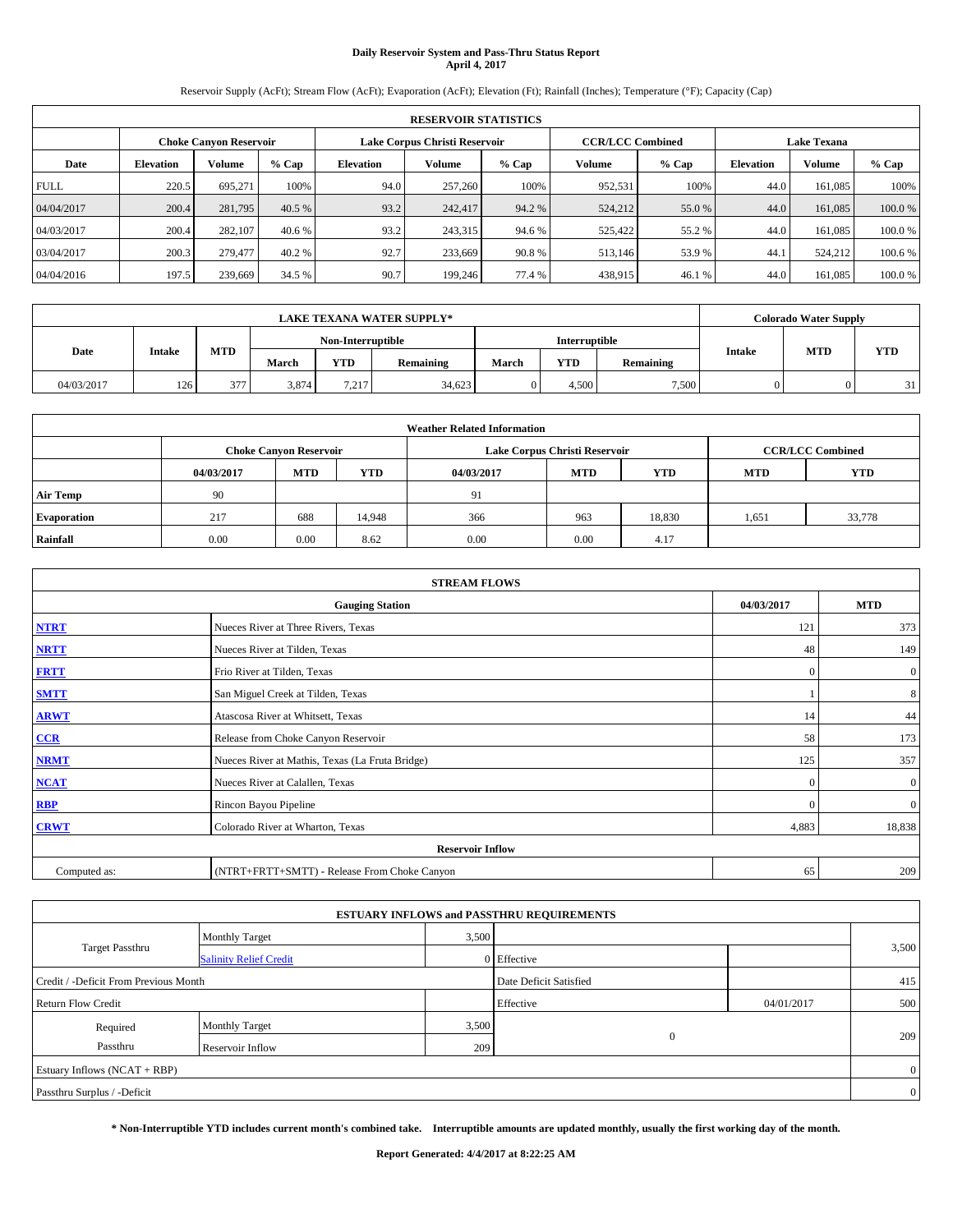# **Daily Reservoir System and Pass-Thru Status Report April 4, 2017**

Reservoir Supply (AcFt); Stream Flow (AcFt); Evaporation (AcFt); Elevation (Ft); Rainfall (Inches); Temperature (°F); Capacity (Cap)

| <b>RESERVOIR STATISTICS</b> |                  |                               |         |           |                               |         |                         |         |                  |                    |        |  |
|-----------------------------|------------------|-------------------------------|---------|-----------|-------------------------------|---------|-------------------------|---------|------------------|--------------------|--------|--|
|                             |                  | <b>Choke Canyon Reservoir</b> |         |           | Lake Corpus Christi Reservoir |         | <b>CCR/LCC Combined</b> |         |                  | <b>Lake Texana</b> |        |  |
| Date                        | <b>Elevation</b> | Volume                        | $%$ Cap | Elevation | Volume                        | $%$ Cap | Volume                  | $%$ Cap | <b>Elevation</b> | <b>Volume</b>      | % Cap  |  |
| <b>FULL</b>                 | 220.5            | 695.271                       | 100%    | 94.0      | 257,260                       | 100%    | 952,531                 | 100%    | 44.0             | 161.085            | 100%   |  |
| 04/04/2017                  | 200.4            | 281,795                       | 40.5 %  | 93.2      | 242,417                       | 94.2 %  | 524,212                 | 55.0 %  | 44.0             | 161.085            | 100.0% |  |
| 04/03/2017                  | 200.4            | 282,107                       | 40.6 %  | 93.2      | 243,315                       | 94.6 %  | 525,422                 | 55.2%   | 44.0             | 161.085            | 100.0% |  |
| 03/04/2017                  | 200.3            | 279,477                       | 40.2 %  | 92.7      | 233,669                       | 90.8%   | 513,146                 | 53.9 %  | 44.1             | 524,212            | 100.6% |  |
| 04/04/2016                  | 197.5            | 239,669                       | 34.5 %  | 90.7      | 199,246                       | 77.4 %  | 438,915                 | 46.1%   | 44.0             | 161,085            | 100.0% |  |

| <b>LAKE TEXANA WATER SUPPLY*</b> |               |            |       |                   |           |                      |            |           |               | <b>Colorado Water Supply</b> |            |
|----------------------------------|---------------|------------|-------|-------------------|-----------|----------------------|------------|-----------|---------------|------------------------------|------------|
|                                  |               |            |       | Non-Interruptible |           | <b>Interruptible</b> |            |           |               |                              |            |
| Date                             | <b>Intake</b> | <b>MTD</b> | March | <b>YTD</b>        | Remaining | March                | <b>YTD</b> | Remaining | <b>Intake</b> | <b>MTD</b>                   | <b>YTD</b> |
| 04/03/2017                       | 126           | 377        | 3,874 | 7.217             | 34.623    |                      | 4.500      | 7,500     |               |                              | 21         |

| <b>Weather Related Information</b> |            |                               |            |            |                               |                         |            |        |  |
|------------------------------------|------------|-------------------------------|------------|------------|-------------------------------|-------------------------|------------|--------|--|
|                                    |            | <b>Choke Canvon Reservoir</b> |            |            | Lake Corpus Christi Reservoir | <b>CCR/LCC Combined</b> |            |        |  |
|                                    | 04/03/2017 | <b>MTD</b>                    | <b>YTD</b> | 04/03/2017 | <b>MTD</b>                    | <b>MTD</b>              | <b>YTD</b> |        |  |
| <b>Air Temp</b>                    | 90         |                               |            | 91         |                               |                         |            |        |  |
| <b>Evaporation</b>                 | 217        | 688                           | 14,948     | 366        | 963                           | 18,830                  | 1,651      | 33,778 |  |
| Rainfall                           | 0.00       | 0.00                          | 8.62       | 0.00       | 0.00                          | 4.17                    |            |        |  |

| <b>STREAM FLOWS</b> |                                                 |              |                  |  |  |  |  |  |  |
|---------------------|-------------------------------------------------|--------------|------------------|--|--|--|--|--|--|
|                     | 04/03/2017                                      | <b>MTD</b>   |                  |  |  |  |  |  |  |
| <b>NTRT</b>         | Nueces River at Three Rivers, Texas             | 121          | 373              |  |  |  |  |  |  |
| <b>NRTT</b>         | Nueces River at Tilden, Texas                   | 48           | 149              |  |  |  |  |  |  |
| <b>FRTT</b>         | Frio River at Tilden, Texas                     | $\mathbf{0}$ | $\boldsymbol{0}$ |  |  |  |  |  |  |
| <b>SMTT</b>         | San Miguel Creek at Tilden, Texas               |              | 8                |  |  |  |  |  |  |
| <b>ARWT</b>         | Atascosa River at Whitsett, Texas               | 14           | 44               |  |  |  |  |  |  |
| $CCR$               | Release from Choke Canyon Reservoir             | 58           | 173              |  |  |  |  |  |  |
| <b>NRMT</b>         | Nueces River at Mathis, Texas (La Fruta Bridge) | 125          | 357              |  |  |  |  |  |  |
| <b>NCAT</b>         | Nueces River at Calallen, Texas                 | $\Omega$     | $\mathbf{0}$     |  |  |  |  |  |  |
| RBP                 | Rincon Bayou Pipeline                           | $\Omega$     | $\mathbf{0}$     |  |  |  |  |  |  |
| <b>CRWT</b>         | Colorado River at Wharton, Texas                | 4,883        | 18,838           |  |  |  |  |  |  |
|                     |                                                 |              |                  |  |  |  |  |  |  |
| Computed as:        | 65                                              | 209          |                  |  |  |  |  |  |  |

|                                       |                               |       | <b>ESTUARY INFLOWS and PASSTHRU REQUIREMENTS</b> |            |       |  |  |  |
|---------------------------------------|-------------------------------|-------|--------------------------------------------------|------------|-------|--|--|--|
|                                       | Monthly Target                | 3,500 |                                                  |            |       |  |  |  |
| <b>Target Passthru</b>                | <b>Salinity Relief Credit</b> |       | 0 Effective                                      |            | 3,500 |  |  |  |
| Credit / -Deficit From Previous Month |                               |       | Date Deficit Satisfied                           |            | 415   |  |  |  |
| <b>Return Flow Credit</b>             |                               |       | Effective                                        | 04/01/2017 | 500   |  |  |  |
| Required                              | <b>Monthly Target</b>         | 3,500 |                                                  |            |       |  |  |  |
| Passthru                              | Reservoir Inflow              | 209   | $\overline{0}$                                   |            | 209   |  |  |  |
| Estuary Inflows (NCAT + RBP)          |                               |       |                                                  |            |       |  |  |  |
| Passthru Surplus / -Deficit           |                               |       |                                                  |            |       |  |  |  |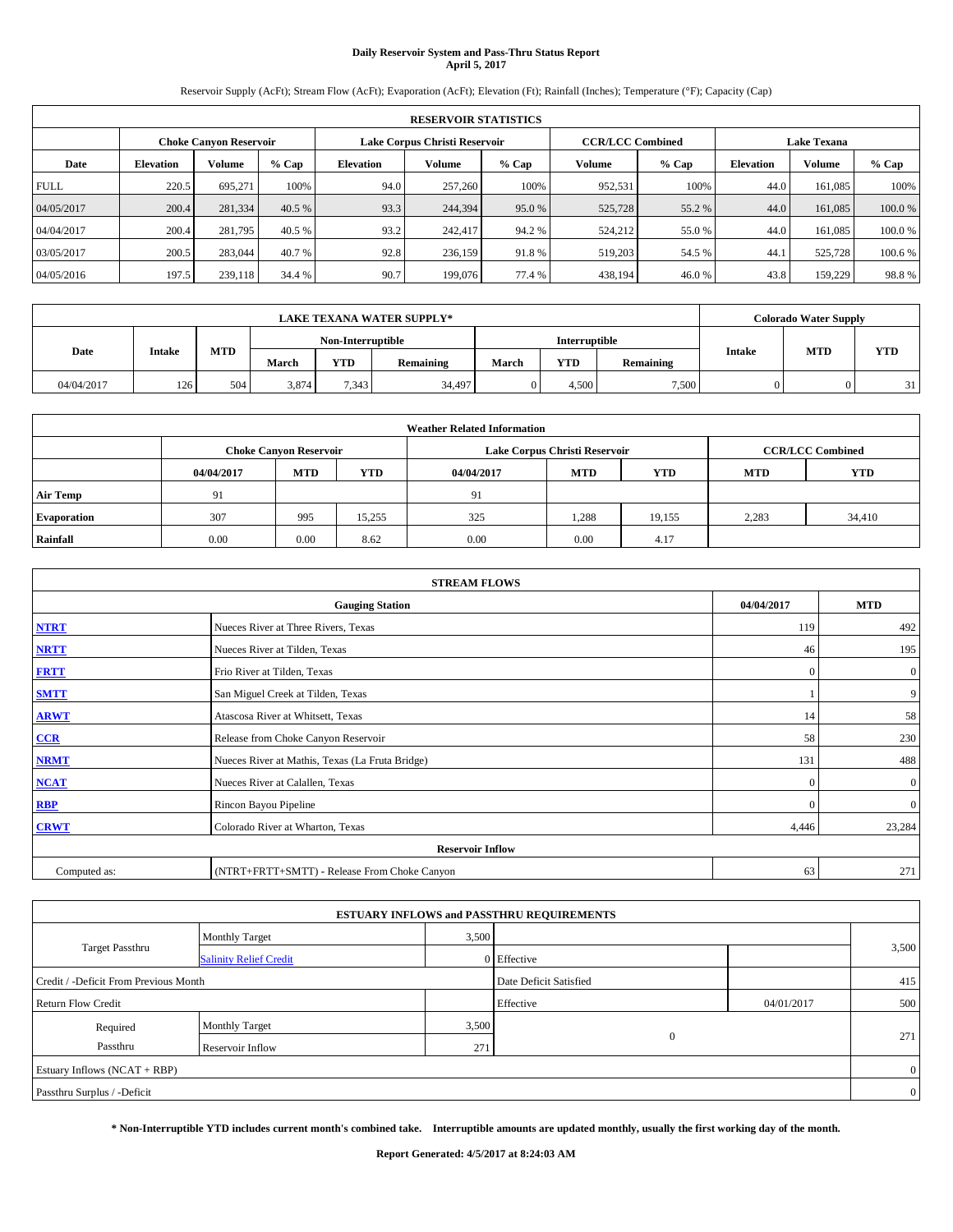# **Daily Reservoir System and Pass-Thru Status Report April 5, 2017**

Reservoir Supply (AcFt); Stream Flow (AcFt); Evaporation (AcFt); Elevation (Ft); Rainfall (Inches); Temperature (°F); Capacity (Cap)

| <b>RESERVOIR STATISTICS</b> |                  |                               |         |           |                               |         |                         |         |                  |                    |        |  |
|-----------------------------|------------------|-------------------------------|---------|-----------|-------------------------------|---------|-------------------------|---------|------------------|--------------------|--------|--|
|                             |                  | <b>Choke Canyon Reservoir</b> |         |           | Lake Corpus Christi Reservoir |         | <b>CCR/LCC Combined</b> |         |                  | <b>Lake Texana</b> |        |  |
| Date                        | <b>Elevation</b> | Volume                        | $%$ Cap | Elevation | Volume                        | $%$ Cap | Volume                  | $%$ Cap | <b>Elevation</b> | <b>Volume</b>      | % Cap  |  |
| <b>FULL</b>                 | 220.5            | 695.271                       | 100%    | 94.0      | 257,260                       | 100%    | 952,531                 | 100%    | 44.0             | 161.085            | 100%   |  |
| 04/05/2017                  | 200.4            | 281,334                       | 40.5 %  | 93.3      | 244,394                       | 95.0 %  | 525,728                 | 55.2 %  | 44.0             | 161.085            | 100.0% |  |
| 04/04/2017                  | 200.4            | 281,795                       | 40.5 %  | 93.2      | 242,417                       | 94.2 %  | 524,212                 | 55.0 %  | 44.0             | 161.085            | 100.0% |  |
| 03/05/2017                  | 200.5            | 283,044                       | 40.7 %  | 92.8      | 236,159                       | 91.8%   | 519,203                 | 54.5 %  | 44.1             | 525,728            | 100.6% |  |
| 04/05/2016                  | 197.5            | 239,118                       | 34.4 %  | 90.7      | 199,076                       | 77.4 %  | 438,194                 | 46.0%   | 43.8             | 159,229            | 98.8%  |  |

| <b>LAKE TEXANA WATER SUPPLY*</b> |               |            |                   |            |           |                      |            |           |               | <b>Colorado Water Supply</b> |            |  |  |  |
|----------------------------------|---------------|------------|-------------------|------------|-----------|----------------------|------------|-----------|---------------|------------------------------|------------|--|--|--|
|                                  |               |            | Non-Interruptible |            |           | <b>Interruptible</b> |            |           |               |                              |            |  |  |  |
| Date                             | <b>Intake</b> | <b>MTD</b> | March             | <b>YTD</b> | Remaining | March                | <b>YTD</b> | Remaining | <b>Intake</b> | <b>MTD</b>                   | <b>YTD</b> |  |  |  |
| 04/04/2017                       | 126           | 504        | 3,874             | 7,343      | 34,497    |                      | 4.500      | 7,500     |               |                              | 21         |  |  |  |

| <b>Weather Related Information</b> |            |                               |            |            |                                        |                         |       |        |  |  |
|------------------------------------|------------|-------------------------------|------------|------------|----------------------------------------|-------------------------|-------|--------|--|--|
|                                    |            | <b>Choke Canvon Reservoir</b> |            |            | Lake Corpus Christi Reservoir          | <b>CCR/LCC Combined</b> |       |        |  |  |
|                                    | 04/04/2017 | <b>MTD</b>                    | <b>YTD</b> | 04/04/2017 | <b>MTD</b><br><b>YTD</b><br><b>MTD</b> |                         |       |        |  |  |
| <b>Air Temp</b>                    | 91         |                               |            | 91         |                                        |                         |       |        |  |  |
| <b>Evaporation</b>                 | 307        | 995                           | 15,255     | 325        | 1,288                                  | 19,155                  | 2,283 | 34,410 |  |  |
| Rainfall                           | 0.00       | 0.00                          | 8.62       | 0.00       | 0.00                                   | 4.17                    |       |        |  |  |

| <b>STREAM FLOWS</b> |                                                 |              |                  |  |  |  |  |  |
|---------------------|-------------------------------------------------|--------------|------------------|--|--|--|--|--|
|                     | 04/04/2017                                      | <b>MTD</b>   |                  |  |  |  |  |  |
| <b>NTRT</b>         | Nueces River at Three Rivers, Texas             | 119          | 492              |  |  |  |  |  |
| <b>NRTT</b>         | Nueces River at Tilden, Texas                   | 46           | 195              |  |  |  |  |  |
| <b>FRTT</b>         | Frio River at Tilden, Texas                     | $\mathbf{0}$ | $\boldsymbol{0}$ |  |  |  |  |  |
| <b>SMTT</b>         | San Miguel Creek at Tilden, Texas               |              | 9                |  |  |  |  |  |
| <b>ARWT</b>         | Atascosa River at Whitsett, Texas               | 14           | 58               |  |  |  |  |  |
| $CCR$               | Release from Choke Canyon Reservoir             | 58           | 230              |  |  |  |  |  |
| <b>NRMT</b>         | Nueces River at Mathis, Texas (La Fruta Bridge) | 131          | 488              |  |  |  |  |  |
| <b>NCAT</b>         | Nueces River at Calallen, Texas                 | $\mathbf{0}$ | $\mathbf{0}$     |  |  |  |  |  |
| RBP                 | Rincon Bayou Pipeline                           | $\Omega$     | $\mathbf{0}$     |  |  |  |  |  |
| <b>CRWT</b>         | Colorado River at Wharton, Texas                | 4,446        | 23,284           |  |  |  |  |  |
|                     | <b>Reservoir Inflow</b>                         |              |                  |  |  |  |  |  |
| Computed as:        | (NTRT+FRTT+SMTT) - Release From Choke Canyon    | 63           | 271              |  |  |  |  |  |

| <b>ESTUARY INFLOWS and PASSTHRU REQUIREMENTS</b> |                               |       |                        |            |                |  |  |  |  |
|--------------------------------------------------|-------------------------------|-------|------------------------|------------|----------------|--|--|--|--|
|                                                  | Monthly Target                | 3,500 |                        |            |                |  |  |  |  |
| <b>Target Passthru</b>                           | <b>Salinity Relief Credit</b> |       | 0 Effective            |            | 3,500          |  |  |  |  |
| Credit / -Deficit From Previous Month            |                               |       | Date Deficit Satisfied |            | 415            |  |  |  |  |
| <b>Return Flow Credit</b>                        |                               |       | Effective              | 04/01/2017 | 500            |  |  |  |  |
| Required                                         | <b>Monthly Target</b>         | 3,500 |                        |            |                |  |  |  |  |
| Passthru                                         | Reservoir Inflow              | 271   | $\overline{0}$         |            | 271            |  |  |  |  |
| Estuary Inflows (NCAT + RBP)                     |                               |       |                        |            |                |  |  |  |  |
| Passthru Surplus / -Deficit                      |                               |       |                        |            | $\overline{0}$ |  |  |  |  |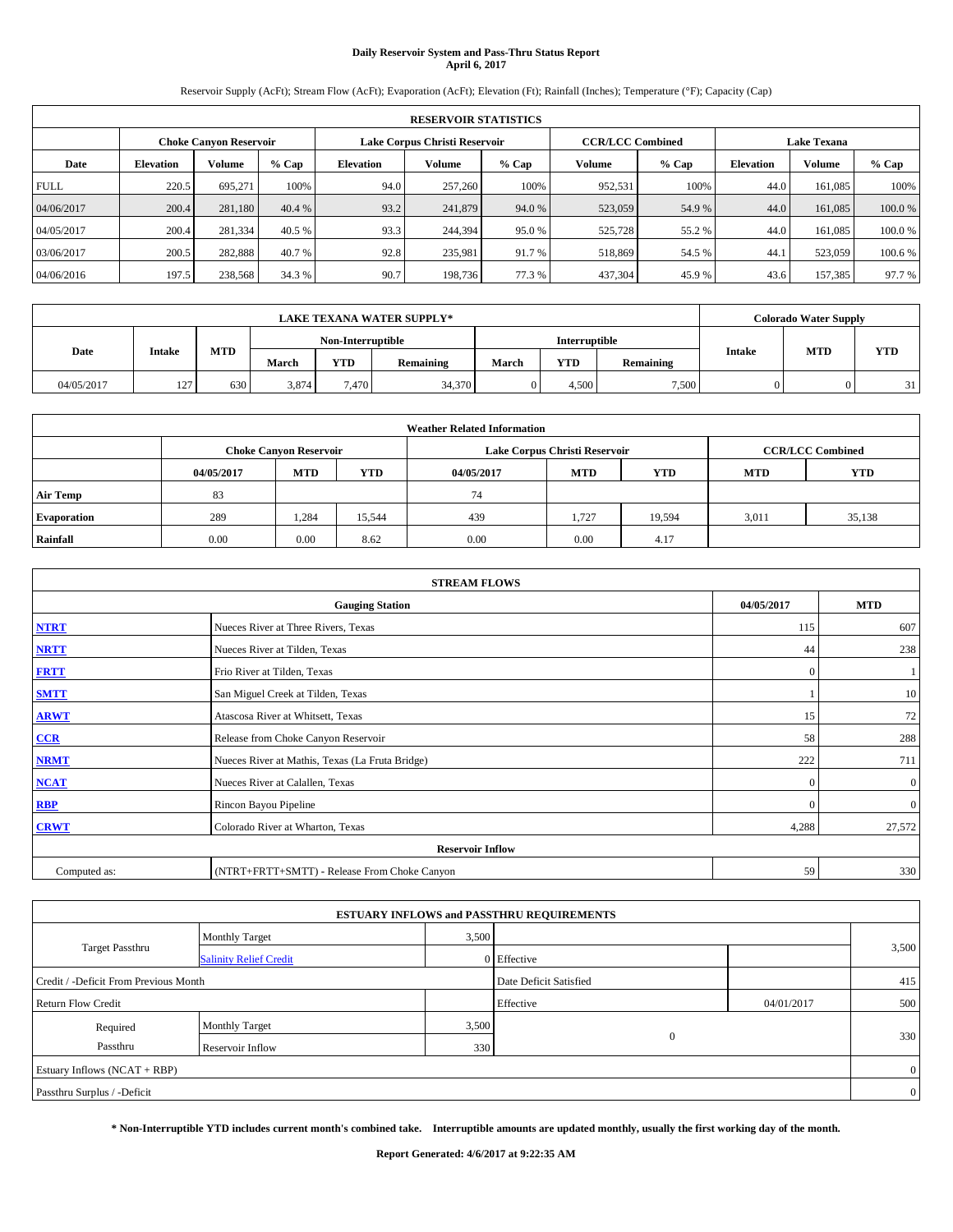# **Daily Reservoir System and Pass-Thru Status Report April 6, 2017**

Reservoir Supply (AcFt); Stream Flow (AcFt); Evaporation (AcFt); Elevation (Ft); Rainfall (Inches); Temperature (°F); Capacity (Cap)

|             | <b>RESERVOIR STATISTICS</b> |                               |         |                  |                               |         |                         |         |                  |                    |         |  |
|-------------|-----------------------------|-------------------------------|---------|------------------|-------------------------------|---------|-------------------------|---------|------------------|--------------------|---------|--|
|             |                             | <b>Choke Canvon Reservoir</b> |         |                  | Lake Corpus Christi Reservoir |         | <b>CCR/LCC Combined</b> |         |                  | <b>Lake Texana</b> |         |  |
| Date        | <b>Elevation</b>            | Volume                        | $%$ Cap | <b>Elevation</b> | Volume                        | $%$ Cap | Volume                  | $%$ Cap | <b>Elevation</b> | Volume             |         |  |
| <b>FULL</b> | 220.5                       | 695.271                       | 100%    | 94.0             | 257,260                       | 100%    | 952,531                 | 100%    | 44.0             | 161,085            | 100%    |  |
| 04/06/2017  | 200.4                       | 281,180                       | 40.4 %  | 93.2             | 241,879                       | 94.0 %  | 523,059                 | 54.9%   | 44.0             | 161,085            | 100.0%  |  |
| 04/05/2017  | 200.4                       | 281,334                       | 40.5 %  | 93.3             | 244,394                       | 95.0 %  | 525,728                 | 55.2 %  | 44.0             | 161,085            | 100.0 % |  |
| 03/06/2017  | 200.5                       | 282,888                       | 40.7 %  | 92.8             | 235.981                       | 91.7 %  | 518,869                 | 54.5 %  | 44.1             | 523,059            | 100.6 % |  |
| 04/06/2016  | 197.5                       | 238,568                       | 34.3 %  | 90.7             | 198,736                       | 77.3 %  | 437,304                 | 45.9%   | 43.6             | 157,385            | 97.7 %  |  |

|            | <b>LAKE TEXANA WATER SUPPLY*</b> |            |       |       |                   |       |       |               |               | <b>Colorado Water Supply</b> |            |  |
|------------|----------------------------------|------------|-------|-------|-------------------|-------|-------|---------------|---------------|------------------------------|------------|--|
|            |                                  |            |       |       | Non-Interruptible |       |       | Interruptible |               |                              |            |  |
| Date       | <b>Intake</b>                    | <b>MTD</b> | March | VTD   | Remaining         | March | YTD   | Remaining     | <b>Intake</b> | <b>MTD</b>                   | <b>YTD</b> |  |
| 04/05/2017 | 127                              | 630        | 3,874 | 7.470 | 34,370            |       | 4,500 | 7,500         |               |                              | 21         |  |

| <b>Weather Related Information</b> |            |                                                                                  |        |      |                               |        |                         |        |  |  |
|------------------------------------|------------|----------------------------------------------------------------------------------|--------|------|-------------------------------|--------|-------------------------|--------|--|--|
|                                    |            | <b>Choke Canvon Reservoir</b>                                                    |        |      | Lake Corpus Christi Reservoir |        | <b>CCR/LCC Combined</b> |        |  |  |
|                                    | 04/05/2017 | <b>YTD</b><br><b>MTD</b><br><b>MTD</b><br><b>YTD</b><br>04/05/2017<br><b>MTD</b> |        |      |                               |        |                         |        |  |  |
| <b>Air Temp</b>                    | 83         |                                                                                  |        | 74   |                               |        |                         |        |  |  |
| <b>Evaporation</b>                 | 289        | 1,284                                                                            | 15,544 | 439  | 1,727                         | 19,594 | 3,011                   | 35,138 |  |  |
| Rainfall                           | 0.00       | 0.00                                                                             | 8.62   | 0.00 | 0.00                          | 4.17   |                         |        |  |  |

|              | <b>STREAM FLOWS</b>                             |              |                  |
|--------------|-------------------------------------------------|--------------|------------------|
|              | <b>Gauging Station</b>                          | 04/05/2017   | <b>MTD</b>       |
| <b>NTRT</b>  | Nueces River at Three Rivers, Texas             | 115          | 607              |
| <b>NRTT</b>  | Nueces River at Tilden, Texas                   | 44           | 238              |
| <b>FRTT</b>  | Frio River at Tilden, Texas                     | $\mathbf{0}$ |                  |
| <b>SMTT</b>  | San Miguel Creek at Tilden, Texas               |              | 10               |
| <b>ARWT</b>  | Atascosa River at Whitsett, Texas               | 15           | 72               |
| $CCR$        | Release from Choke Canyon Reservoir             | 58           | 288              |
| <b>NRMT</b>  | Nueces River at Mathis, Texas (La Fruta Bridge) | 222          | 711              |
| <b>NCAT</b>  | Nueces River at Calallen, Texas                 | $\Omega$     | $\boldsymbol{0}$ |
| RBP          | Rincon Bayou Pipeline                           | $\Omega$     | $\mathbf{0}$     |
| <b>CRWT</b>  | Colorado River at Wharton, Texas                | 4,288        | 27,572           |
|              | <b>Reservoir Inflow</b>                         |              |                  |
| Computed as: | (NTRT+FRTT+SMTT) - Release From Choke Canyon    | 59           | 330              |

| <b>ESTUARY INFLOWS and PASSTHRU REQUIREMENTS</b> |                               |       |                        |            |                |  |  |  |  |  |
|--------------------------------------------------|-------------------------------|-------|------------------------|------------|----------------|--|--|--|--|--|
|                                                  | Monthly Target                | 3,500 |                        |            |                |  |  |  |  |  |
| <b>Target Passthru</b>                           | <b>Salinity Relief Credit</b> |       | 0 Effective            |            | 3,500          |  |  |  |  |  |
| Credit / -Deficit From Previous Month            |                               |       | Date Deficit Satisfied |            | 415            |  |  |  |  |  |
| <b>Return Flow Credit</b>                        |                               |       | Effective              | 04/01/2017 | 500            |  |  |  |  |  |
| Required                                         | <b>Monthly Target</b>         | 3,500 |                        |            |                |  |  |  |  |  |
| Passthru                                         | Reservoir Inflow              | 330   | $\overline{0}$         |            | 330            |  |  |  |  |  |
| Estuary Inflows (NCAT + RBP)                     |                               |       |                        |            |                |  |  |  |  |  |
| Passthru Surplus / -Deficit                      |                               |       |                        |            | $\overline{0}$ |  |  |  |  |  |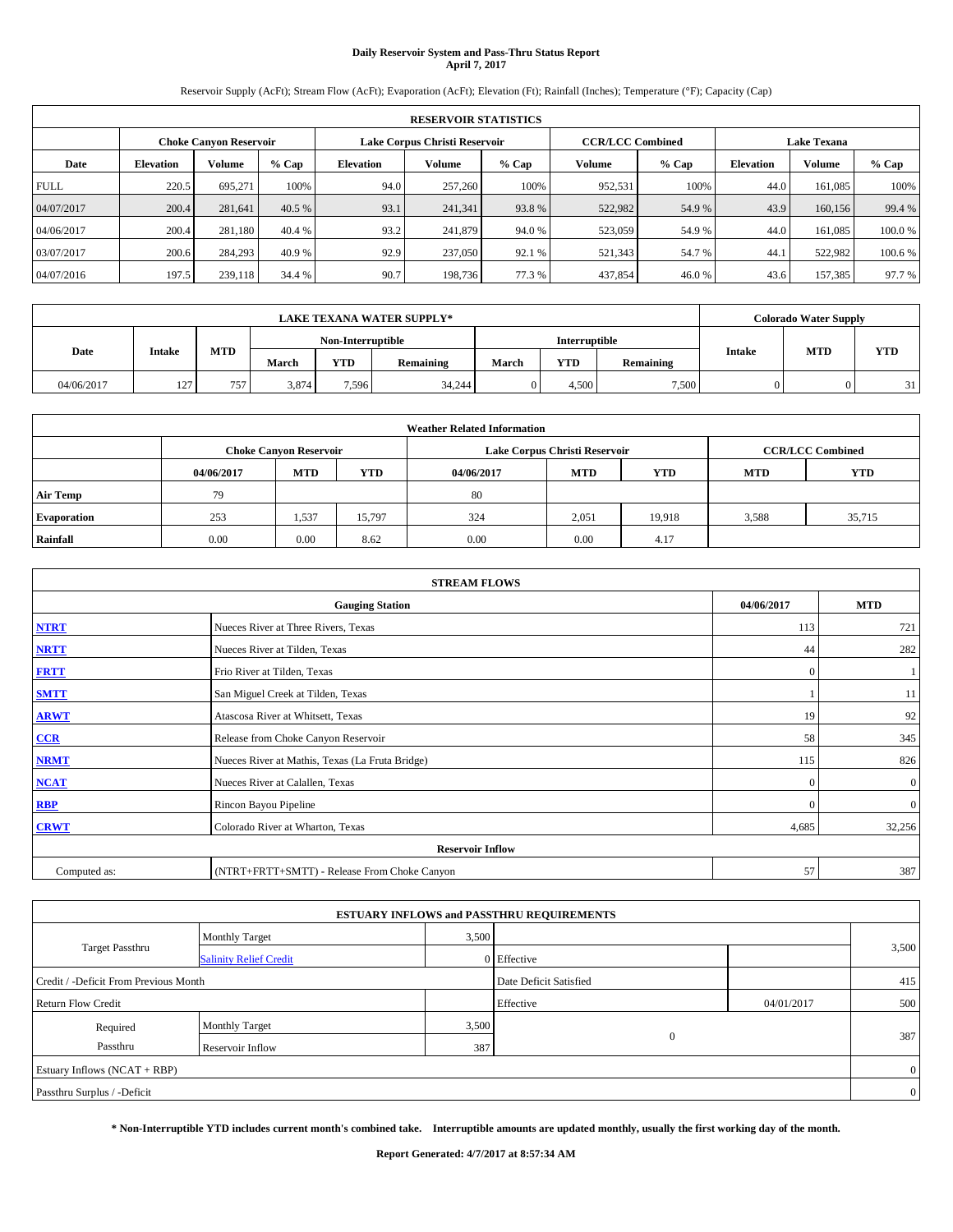# **Daily Reservoir System and Pass-Thru Status Report April 7, 2017**

Reservoir Supply (AcFt); Stream Flow (AcFt); Evaporation (AcFt); Elevation (Ft); Rainfall (Inches); Temperature (°F); Capacity (Cap)

|             | <b>RESERVOIR STATISTICS</b> |                        |         |                  |                               |         |                         |         |                  |                    |        |  |
|-------------|-----------------------------|------------------------|---------|------------------|-------------------------------|---------|-------------------------|---------|------------------|--------------------|--------|--|
|             |                             | Choke Canvon Reservoir |         |                  | Lake Corpus Christi Reservoir |         | <b>CCR/LCC Combined</b> |         |                  | <b>Lake Texana</b> |        |  |
| Date        | <b>Elevation</b>            | Volume                 | $%$ Cap | <b>Elevation</b> | <b>Volume</b>                 | $%$ Cap | Volume                  | $%$ Cap | <b>Elevation</b> | <b>Volume</b>      |        |  |
| <b>FULL</b> | 220.5                       | 695,271                | 100%    | 94.0             | 257,260                       | 100%    | 952,531                 | 100%    | 44.0             | 161.085            | 100%   |  |
| 04/07/2017  | 200.4                       | 281.641                | 40.5 %  | 93.1             | 241,341                       | 93.8%   | 522,982                 | 54.9 %  | 43.9             | 160,156            | 99.4 % |  |
| 04/06/2017  | 200.4                       | 281,180                | 40.4 %  | 93.2             | 241,879                       | 94.0%   | 523,059                 | 54.9 %  | 44.0             | 161.085            | 100.0% |  |
| 03/07/2017  | 200.6                       | 284,293                | 40.9 %  | 92.9             | 237,050                       | 92.1 %  | 521,343                 | 54.7%   | 44.              | 522.982            | 100.6% |  |
| 04/07/2016  | 197.5                       | 239,118                | 34.4 %  | 90.7             | 198,736                       | 77.3 %  | 437,854                 | 46.0%   | 43.6             | 157.385            | 97.7 % |  |

|            | <b>LAKE TEXANA WATER SUPPLY*</b> |            |       |                   |           |       |               |           |        | <b>Colorado Water Supply</b> |            |
|------------|----------------------------------|------------|-------|-------------------|-----------|-------|---------------|-----------|--------|------------------------------|------------|
|            |                                  |            |       | Non-Interruptible |           |       | Interruptible |           |        |                              |            |
| Date       | <b>Intake</b>                    | <b>MTD</b> | March | VTD               | Remaining | March | YTD           | Remaining | Intake | <b>MTD</b>                   | <b>YTD</b> |
| 04/06/2017 | 127                              | 757        | 3,874 | 7.596             | 34,244    |       | 4,500         | 7,500     |        |                              | 21         |

| <b>Weather Related Information</b> |            |                                                                                  |        |      |                               |        |                         |        |  |  |
|------------------------------------|------------|----------------------------------------------------------------------------------|--------|------|-------------------------------|--------|-------------------------|--------|--|--|
|                                    |            | <b>Choke Canyon Reservoir</b>                                                    |        |      | Lake Corpus Christi Reservoir |        | <b>CCR/LCC Combined</b> |        |  |  |
|                                    | 04/06/2017 | <b>YTD</b><br><b>MTD</b><br><b>MTD</b><br>04/06/2017<br><b>YTD</b><br><b>MTD</b> |        |      |                               |        |                         |        |  |  |
| <b>Air Temp</b>                    | 79         |                                                                                  |        | 80   |                               |        |                         |        |  |  |
| <b>Evaporation</b>                 | 253        | 1,537                                                                            | 15,797 | 324  | 2,051                         | 19.918 | 3,588                   | 35,715 |  |  |
| Rainfall                           | 0.00       | 0.00                                                                             | 8.62   | 0.00 | 0.00                          | 4.17   |                         |        |  |  |

|              | <b>STREAM FLOWS</b>                             |              |              |  |  |  |  |  |  |  |  |
|--------------|-------------------------------------------------|--------------|--------------|--|--|--|--|--|--|--|--|
|              | <b>Gauging Station</b>                          | 04/06/2017   | <b>MTD</b>   |  |  |  |  |  |  |  |  |
| <b>NTRT</b>  | Nueces River at Three Rivers, Texas             | 113          | 721          |  |  |  |  |  |  |  |  |
| <b>NRTT</b>  | Nueces River at Tilden, Texas                   | 44           | 282          |  |  |  |  |  |  |  |  |
| <b>FRTT</b>  | Frio River at Tilden, Texas                     | $\mathbf{0}$ |              |  |  |  |  |  |  |  |  |
| <b>SMTT</b>  | San Miguel Creek at Tilden, Texas               |              | 11           |  |  |  |  |  |  |  |  |
| <b>ARWT</b>  | Atascosa River at Whitsett, Texas               | 19           | 92           |  |  |  |  |  |  |  |  |
| $CCR$        | Release from Choke Canyon Reservoir             | 58           | 345          |  |  |  |  |  |  |  |  |
| <b>NRMT</b>  | Nueces River at Mathis, Texas (La Fruta Bridge) | 115          | 826          |  |  |  |  |  |  |  |  |
| <b>NCAT</b>  | Nueces River at Calallen, Texas                 | $\mathbf{0}$ | $\mathbf{0}$ |  |  |  |  |  |  |  |  |
| RBP          | Rincon Bayou Pipeline                           | $\Omega$     | $\mathbf{0}$ |  |  |  |  |  |  |  |  |
| <b>CRWT</b>  | Colorado River at Wharton, Texas                | 4,685        | 32,256       |  |  |  |  |  |  |  |  |
|              | <b>Reservoir Inflow</b>                         |              |              |  |  |  |  |  |  |  |  |
| Computed as: | (NTRT+FRTT+SMTT) - Release From Choke Canyon    | 57           | 387          |  |  |  |  |  |  |  |  |

| <b>ESTUARY INFLOWS and PASSTHRU REQUIREMENTS</b> |                               |       |                        |            |                |  |  |  |  |  |
|--------------------------------------------------|-------------------------------|-------|------------------------|------------|----------------|--|--|--|--|--|
|                                                  | <b>Monthly Target</b>         | 3,500 |                        |            |                |  |  |  |  |  |
| <b>Target Passthru</b>                           | <b>Salinity Relief Credit</b> |       | 0 Effective            |            | 3,500          |  |  |  |  |  |
| Credit / -Deficit From Previous Month            |                               |       | Date Deficit Satisfied |            | 415            |  |  |  |  |  |
| <b>Return Flow Credit</b>                        |                               |       | Effective              | 04/01/2017 | 500            |  |  |  |  |  |
| Required                                         | <b>Monthly Target</b>         | 3,500 |                        |            |                |  |  |  |  |  |
| Passthru                                         | Reservoir Inflow              | 387   | $\theta$               |            | 387            |  |  |  |  |  |
| Estuary Inflows (NCAT + RBP)                     |                               |       |                        |            |                |  |  |  |  |  |
| Passthru Surplus / -Deficit                      |                               |       |                        |            | $\overline{0}$ |  |  |  |  |  |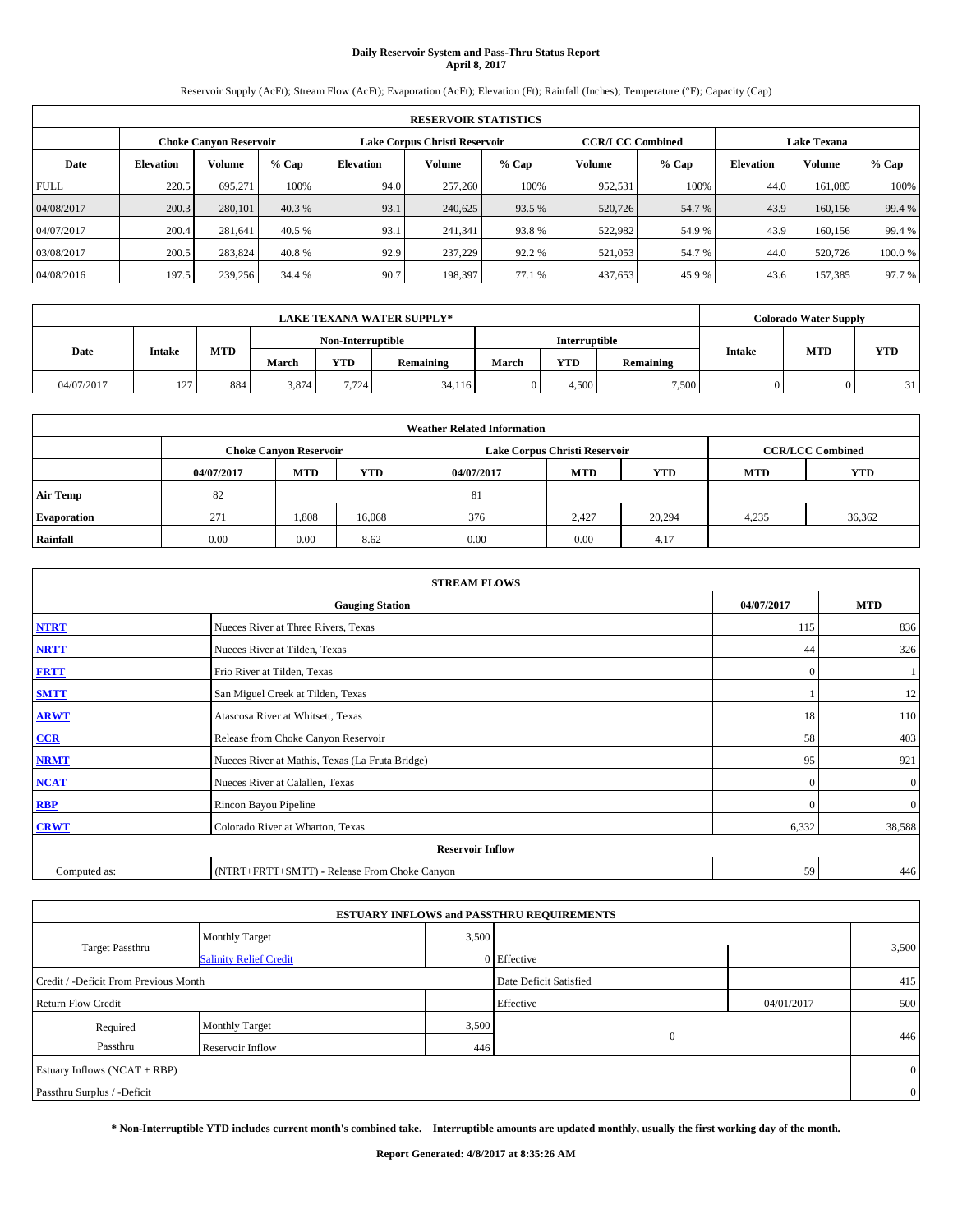# **Daily Reservoir System and Pass-Thru Status Report April 8, 2017**

Reservoir Supply (AcFt); Stream Flow (AcFt); Evaporation (AcFt); Elevation (Ft); Rainfall (Inches); Temperature (°F); Capacity (Cap)

|             | <b>RESERVOIR STATISTICS</b> |                        |         |                  |                               |         |                         |         |                    |               |        |
|-------------|-----------------------------|------------------------|---------|------------------|-------------------------------|---------|-------------------------|---------|--------------------|---------------|--------|
|             |                             | Choke Canvon Reservoir |         |                  | Lake Corpus Christi Reservoir |         | <b>CCR/LCC Combined</b> |         | <b>Lake Texana</b> |               |        |
| Date        | <b>Elevation</b>            | Volume                 | $%$ Cap | <b>Elevation</b> | Volume                        | $%$ Cap | Volume                  | $%$ Cap | <b>Elevation</b>   | <b>Volume</b> | % Cap  |
| <b>FULL</b> | 220.5                       | 695.271                | 100%    | 94.0             | 257,260                       | 100%    | 952,531                 | 100%    | 44.0               | 161.085       | 100%   |
| 04/08/2017  | 200.3                       | 280,101                | 40.3 %  | 93.1             | 240,625                       | 93.5 %  | 520,726                 | 54.7 %  | 43.9               | 160,156       | 99.4 % |
| 04/07/2017  | 200.4                       | 281.641                | 40.5 %  | 93.1             | 241,341                       | 93.8%   | 522,982                 | 54.9 %  | 43.9               | 160,156       | 99.4 % |
| 03/08/2017  | 200.5                       | 283.824                | 40.8%   | 92.9             | 237,229                       | 92.2 %  | 521,053                 | 54.7 %  | 44.0               | 520,726       | 100.0% |
| 04/08/2016  | 197.5                       | 239,256                | 34.4 %  | 90.7             | 198.397                       | 77.1 %  | 437,653                 | 45.9%   | 43.6               | 157,385       | 97.7 % |

|            | <b>LAKE TEXANA WATER SUPPLY*</b> |            |       |                   |           |       |                      |           |               | <b>Colorado Water Supply</b> |            |
|------------|----------------------------------|------------|-------|-------------------|-----------|-------|----------------------|-----------|---------------|------------------------------|------------|
|            |                                  |            |       | Non-Interruptible |           |       | <b>Interruptible</b> |           |               |                              |            |
| Date       | <b>Intake</b>                    | <b>MTD</b> | March | <b>YTD</b>        | Remaining | March | <b>YTD</b>           | Remaining | <b>Intake</b> | <b>MTD</b>                   | <b>YTD</b> |
| 04/07/2017 | 127                              | 884        | 3,874 | 7.724             | 34,116    |       | 4.500                | 7,500     |               |                              | 21         |

|                    | <b>Weather Related Information</b> |                                                                                  |        |      |                               |                         |       |        |  |  |  |  |
|--------------------|------------------------------------|----------------------------------------------------------------------------------|--------|------|-------------------------------|-------------------------|-------|--------|--|--|--|--|
|                    |                                    | <b>Choke Canvon Reservoir</b>                                                    |        |      | Lake Corpus Christi Reservoir | <b>CCR/LCC Combined</b> |       |        |  |  |  |  |
|                    | 04/07/2017                         | <b>YTD</b><br><b>MTD</b><br><b>MTD</b><br><b>YTD</b><br><b>MTD</b><br>04/07/2017 |        |      |                               |                         |       |        |  |  |  |  |
| <b>Air Temp</b>    | 82                                 |                                                                                  |        | 81   |                               |                         |       |        |  |  |  |  |
| <b>Evaporation</b> | 271                                | 1,808                                                                            | 16,068 | 376  | 2.427                         | 20.294                  | 4,235 | 36,362 |  |  |  |  |
| Rainfall           | 0.00                               | 0.00                                                                             | 8.62   | 0.00 | 0.00                          | 4.17                    |       |        |  |  |  |  |

| <b>STREAM FLOWS</b> |                                                 |              |              |  |  |  |  |  |
|---------------------|-------------------------------------------------|--------------|--------------|--|--|--|--|--|
|                     | <b>Gauging Station</b>                          | 04/07/2017   | <b>MTD</b>   |  |  |  |  |  |
| <b>NTRT</b>         | Nueces River at Three Rivers, Texas             | 115          | 836          |  |  |  |  |  |
| <b>NRTT</b>         | Nueces River at Tilden, Texas                   |              |              |  |  |  |  |  |
| <b>FRTT</b>         | Frio River at Tilden, Texas                     | $\mathbf{0}$ |              |  |  |  |  |  |
| <b>SMTT</b>         | San Miguel Creek at Tilden, Texas               |              | 12           |  |  |  |  |  |
| <b>ARWT</b>         | Atascosa River at Whitsett, Texas               | 18           | 110          |  |  |  |  |  |
| $CCR$               | Release from Choke Canyon Reservoir             | 58           | 403          |  |  |  |  |  |
| <b>NRMT</b>         | Nueces River at Mathis, Texas (La Fruta Bridge) | 95           | 921          |  |  |  |  |  |
| <b>NCAT</b>         | Nueces River at Calallen, Texas                 | $\mathbf{0}$ | $\mathbf{0}$ |  |  |  |  |  |
| RBP                 | Rincon Bayou Pipeline                           | $\mathbf{0}$ | $\mathbf{0}$ |  |  |  |  |  |
| <b>CRWT</b>         | Colorado River at Wharton, Texas                | 6,332        | 38,588       |  |  |  |  |  |
|                     | <b>Reservoir Inflow</b>                         |              |              |  |  |  |  |  |
| Computed as:        | (NTRT+FRTT+SMTT) - Release From Choke Canyon    | 59           | 446          |  |  |  |  |  |

|                                       |                               |       | <b>ESTUARY INFLOWS and PASSTHRU REQUIREMENTS</b> |            |                |
|---------------------------------------|-------------------------------|-------|--------------------------------------------------|------------|----------------|
|                                       | <b>Monthly Target</b>         | 3,500 |                                                  |            |                |
| <b>Target Passthru</b>                | <b>Salinity Relief Credit</b> |       | 0 Effective                                      |            | 3,500          |
| Credit / -Deficit From Previous Month |                               |       | Date Deficit Satisfied                           |            | 415            |
| <b>Return Flow Credit</b>             |                               |       | Effective                                        | 04/01/2017 | 500            |
| Required                              | <b>Monthly Target</b>         | 3,500 |                                                  |            |                |
| Passthru                              | Reservoir Inflow              | 446   | $\theta$                                         |            | 446            |
| Estuary Inflows (NCAT + RBP)          |                               |       |                                                  |            | $\overline{0}$ |
| Passthru Surplus / -Deficit           |                               |       |                                                  |            | $\overline{0}$ |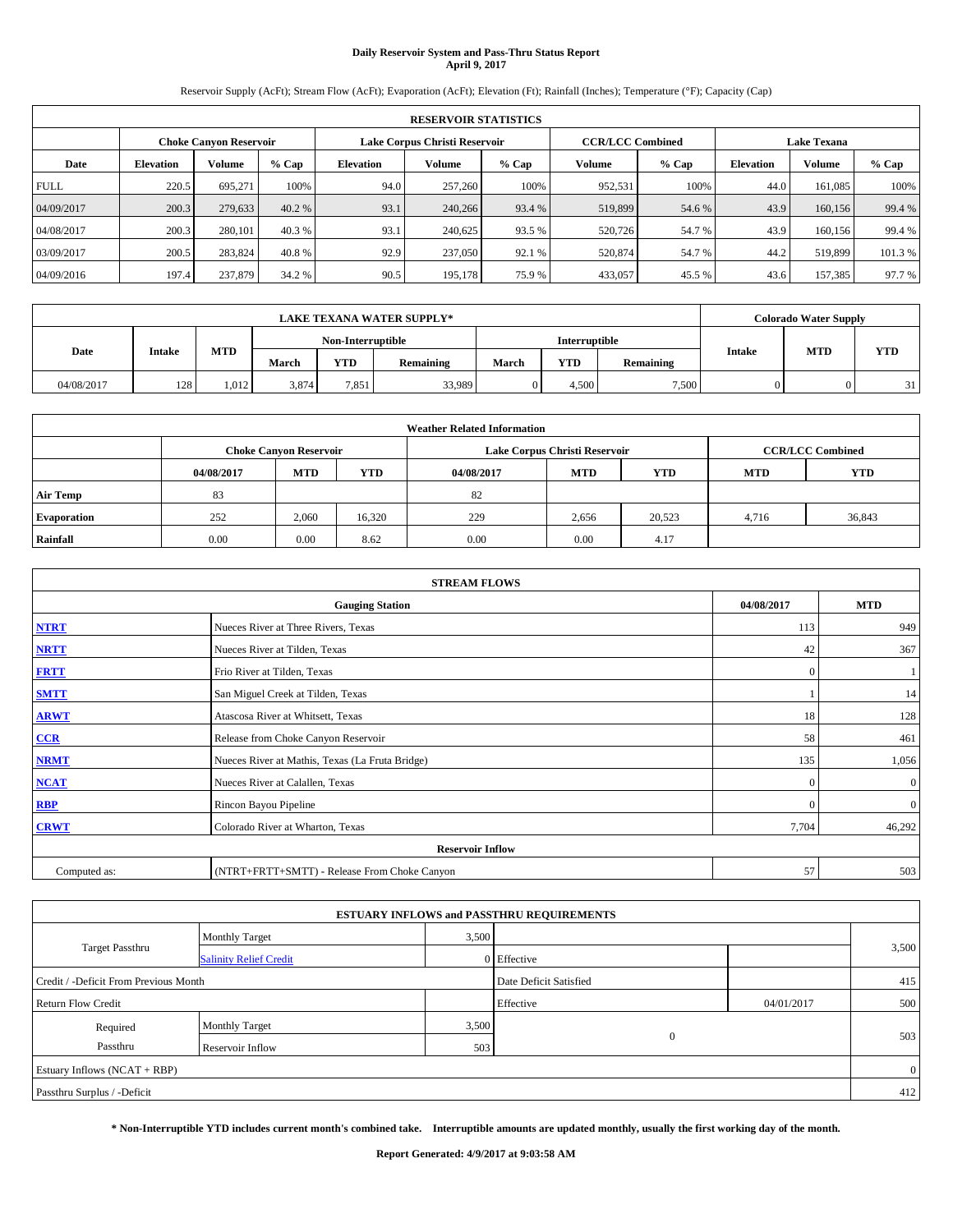# **Daily Reservoir System and Pass-Thru Status Report April 9, 2017**

Reservoir Supply (AcFt); Stream Flow (AcFt); Evaporation (AcFt); Elevation (Ft); Rainfall (Inches); Temperature (°F); Capacity (Cap)

|             | <b>RESERVOIR STATISTICS</b>                             |         |         |                  |                                        |        |         |                         |                    |               |         |  |  |
|-------------|---------------------------------------------------------|---------|---------|------------------|----------------------------------------|--------|---------|-------------------------|--------------------|---------------|---------|--|--|
|             | Lake Corpus Christi Reservoir<br>Choke Canvon Reservoir |         |         |                  |                                        |        |         | <b>CCR/LCC Combined</b> | <b>Lake Texana</b> |               |         |  |  |
| Date        | <b>Elevation</b>                                        | Volume  | $%$ Cap | <b>Elevation</b> | Volume<br>Volume<br>$%$ Cap<br>$%$ Cap |        |         |                         | <b>Elevation</b>   | <b>Volume</b> | % Cap   |  |  |
| <b>FULL</b> | 220.5                                                   | 695.271 | 100%    | 94.0             | 257,260                                | 100%   | 952,531 | 100%                    | 44.0               | 161.085       | 100%    |  |  |
| 04/09/2017  | 200.3                                                   | 279,633 | 40.2 %  | 93.1             | 240,266                                | 93.4 % | 519,899 | 54.6 %                  | 43.9               | 160,156       | 99.4 %  |  |  |
| 04/08/2017  | 200.3                                                   | 280,101 | 40.3 %  | 93.1             | 240,625                                | 93.5 % | 520,726 | 54.7 %                  | 43.9               | 160,156       | 99.4 %  |  |  |
| 03/09/2017  | 200.5                                                   | 283.824 | 40.8%   | 92.9             | 237,050                                | 92.1 % | 520,874 | 54.7 %                  | 44.2               | 519,899       | 101.3 % |  |  |
| 04/09/2016  | 197.4                                                   | 237,879 | 34.2 %  | 90.5             | 195.178                                | 75.9%  | 433,057 | 45.5 %                  | 43.6               | 157,385       | 97.7 %  |  |  |

|            | <b>LAKE TEXANA WATER SUPPLY*</b> |            |       |                   |           |       |                      |           |        | <b>Colorado Water Supply</b> |            |
|------------|----------------------------------|------------|-------|-------------------|-----------|-------|----------------------|-----------|--------|------------------------------|------------|
|            |                                  |            |       | Non-Interruptible |           |       | <b>Interruptible</b> |           |        |                              |            |
| Date       | <b>Intake</b>                    | <b>MTD</b> | March | <b>YTD</b>        | Remaining | March | <b>YTD</b>           | Remaining | Intake | <b>MTD</b>                   | <b>YTD</b> |
| 04/08/2017 | 128                              | 1.012      | 3,874 | 7.851             | 33,989    |       | 4.500                | 7.500     |        |                              | 21         |

|                    | <b>Weather Related Information</b> |                                                                                  |        |      |                               |                         |       |        |  |  |  |  |
|--------------------|------------------------------------|----------------------------------------------------------------------------------|--------|------|-------------------------------|-------------------------|-------|--------|--|--|--|--|
|                    |                                    | <b>Choke Canvon Reservoir</b>                                                    |        |      | Lake Corpus Christi Reservoir | <b>CCR/LCC Combined</b> |       |        |  |  |  |  |
|                    | 04/08/2017                         | <b>YTD</b><br><b>MTD</b><br><b>MTD</b><br><b>YTD</b><br>04/08/2017<br><b>MTD</b> |        |      |                               |                         |       |        |  |  |  |  |
| <b>Air Temp</b>    | 83                                 |                                                                                  |        | 82   |                               |                         |       |        |  |  |  |  |
| <b>Evaporation</b> | 252                                | 2,060                                                                            | 16,320 | 229  | 2,656                         | 20,523                  | 4,716 | 36,843 |  |  |  |  |
| Rainfall           | 0.00                               | 0.00                                                                             | 8.62   | 0.00 | 0.00                          | 4.17                    |       |        |  |  |  |  |

| <b>STREAM FLOWS</b> |                                                 |              |              |  |  |  |  |  |
|---------------------|-------------------------------------------------|--------------|--------------|--|--|--|--|--|
|                     | <b>Gauging Station</b>                          | 04/08/2017   | <b>MTD</b>   |  |  |  |  |  |
| <b>NTRT</b>         | Nueces River at Three Rivers, Texas             |              |              |  |  |  |  |  |
| <b>NRTT</b>         | Nueces River at Tilden, Texas                   | 42           | 367          |  |  |  |  |  |
| <b>FRTT</b>         | Frio River at Tilden, Texas                     | $\mathbf{0}$ |              |  |  |  |  |  |
| <b>SMTT</b>         | San Miguel Creek at Tilden, Texas               |              | 14           |  |  |  |  |  |
| <b>ARWT</b>         | Atascosa River at Whitsett, Texas               | 18           | 128          |  |  |  |  |  |
| $CCR$               | Release from Choke Canyon Reservoir             | 58           | 461          |  |  |  |  |  |
| <b>NRMT</b>         | Nueces River at Mathis, Texas (La Fruta Bridge) | 135          | 1,056        |  |  |  |  |  |
| <b>NCAT</b>         | Nueces River at Calallen, Texas                 | $\Omega$     | $\mathbf{0}$ |  |  |  |  |  |
| RBP                 | Rincon Bayou Pipeline                           | $\mathbf{0}$ | $\mathbf{0}$ |  |  |  |  |  |
| <b>CRWT</b>         | Colorado River at Wharton, Texas                | 7,704        | 46,292       |  |  |  |  |  |
|                     | <b>Reservoir Inflow</b>                         |              |              |  |  |  |  |  |
| Computed as:        | (NTRT+FRTT+SMTT) - Release From Choke Canyon    | 57           | 503          |  |  |  |  |  |

|                                       |                               |       | <b>ESTUARY INFLOWS and PASSTHRU REQUIREMENTS</b> |            |                |
|---------------------------------------|-------------------------------|-------|--------------------------------------------------|------------|----------------|
|                                       | <b>Monthly Target</b>         | 3,500 |                                                  |            |                |
| <b>Target Passthru</b>                | <b>Salinity Relief Credit</b> |       | 0 Effective                                      |            | 3,500          |
| Credit / -Deficit From Previous Month |                               |       | Date Deficit Satisfied                           |            | 415            |
| <b>Return Flow Credit</b>             |                               |       | Effective                                        | 04/01/2017 | 500            |
| Required                              | <b>Monthly Target</b>         | 3,500 |                                                  |            |                |
| Passthru                              | Reservoir Inflow              | 503   | $\theta$                                         |            | 503            |
| Estuary Inflows (NCAT + RBP)          |                               |       |                                                  |            | $\overline{0}$ |
| Passthru Surplus / -Deficit           |                               |       |                                                  |            | 412            |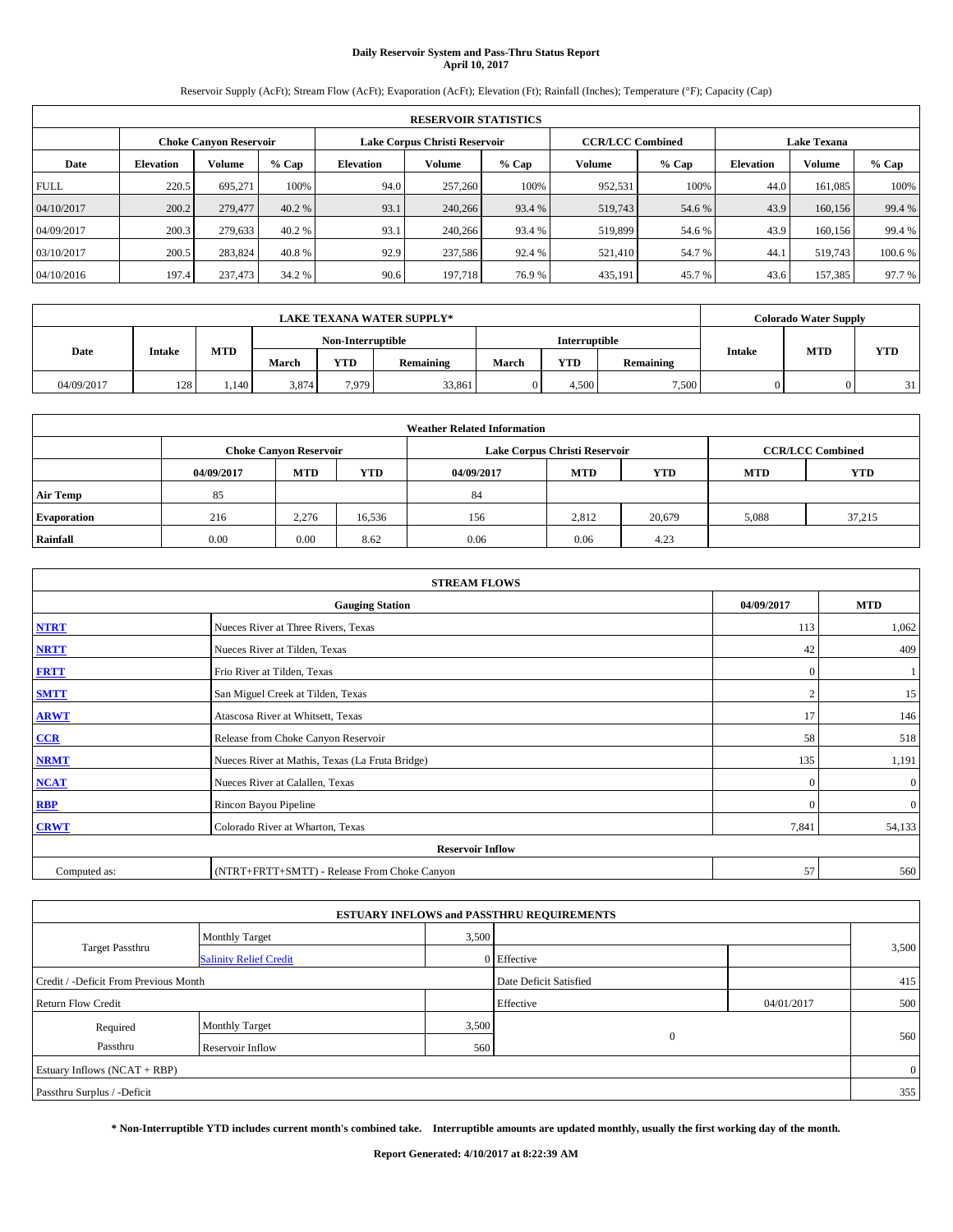# **Daily Reservoir System and Pass-Thru Status Report April 10, 2017**

Reservoir Supply (AcFt); Stream Flow (AcFt); Evaporation (AcFt); Elevation (Ft); Rainfall (Inches); Temperature (°F); Capacity (Cap)

|             | <b>RESERVOIR STATISTICS</b>                             |         |         |                  |         |         |         |                         |                    |               |         |  |  |
|-------------|---------------------------------------------------------|---------|---------|------------------|---------|---------|---------|-------------------------|--------------------|---------------|---------|--|--|
|             | Lake Corpus Christi Reservoir<br>Choke Canvon Reservoir |         |         |                  |         |         |         | <b>CCR/LCC Combined</b> | <b>Lake Texana</b> |               |         |  |  |
| Date        | <b>Elevation</b>                                        | Volume  | $%$ Cap | <b>Elevation</b> | Volume  | $%$ Cap | Volume  | $%$ Cap                 | <b>Elevation</b>   | <b>Volume</b> | % Cap   |  |  |
| <b>FULL</b> | 220.5                                                   | 695.271 | 100%    | 94.0             | 257,260 | 100%    | 952,531 | 100%                    | 44.0               | 161.085       | 100%    |  |  |
| 04/10/2017  | 200.2                                                   | 279,477 | 40.2 %  | 93.1             | 240,266 | 93.4 %  | 519,743 | 54.6 %                  | 43.9               | 160,156       | 99.4 %  |  |  |
| 04/09/2017  | 200.3                                                   | 279,633 | 40.2 %  | 93.1             | 240,266 | 93.4 %  | 519,899 | 54.6 %                  | 43.9               | 160,156       | 99.4 %  |  |  |
| 03/10/2017  | 200.5                                                   | 283.824 | 40.8%   | 92.9             | 237,586 | 92.4 %  | 521,410 | 54.7 %                  | 44.1               | 519,743       | 100.6 % |  |  |
| 04/10/2016  | 197.4                                                   | 237,473 | 34.2 %  | 90.6             | 197.718 | 76.9%   | 435,191 | 45.7%                   | 43.6               | 157,385       | 97.7 %  |  |  |

|            | <b>LAKE TEXANA WATER SUPPLY*</b> |            |       |                   |           |       |                      |           |        | <b>Colorado Water Supply</b> |            |
|------------|----------------------------------|------------|-------|-------------------|-----------|-------|----------------------|-----------|--------|------------------------------|------------|
|            |                                  |            |       | Non-Interruptible |           |       | <b>Interruptible</b> |           |        |                              |            |
| Date       | <b>Intake</b>                    | <b>MTD</b> | March | <b>YTD</b>        | Remaining | March | <b>YTD</b>           | Remaining | Intake | <b>MTD</b>                   | <b>YTD</b> |
| 04/09/2017 | 128                              | 1.140      | 3,874 | 7.979             | 33,861    |       | 4.500                | 7.500     |        |                              | 21         |

|                    | <b>Weather Related Information</b> |                               |                                                                    |      |                               |                         |       |        |  |  |  |  |
|--------------------|------------------------------------|-------------------------------|--------------------------------------------------------------------|------|-------------------------------|-------------------------|-------|--------|--|--|--|--|
|                    |                                    | <b>Choke Canvon Reservoir</b> |                                                                    |      | Lake Corpus Christi Reservoir | <b>CCR/LCC Combined</b> |       |        |  |  |  |  |
|                    | 04/09/2017                         | <b>MTD</b>                    | <b>YTD</b><br><b>MTD</b><br><b>YTD</b><br>04/09/2017<br><b>MTD</b> |      |                               |                         |       |        |  |  |  |  |
| <b>Air Temp</b>    | 85                                 |                               |                                                                    | 84   |                               |                         |       |        |  |  |  |  |
| <b>Evaporation</b> | 216                                | 2,276                         | 16,536                                                             | 156  | 2,812                         | 20,679                  | 5,088 | 37,215 |  |  |  |  |
| Rainfall           | 0.00                               | 0.00                          | 8.62                                                               | 0.06 | 0.06                          | 4.23                    |       |        |  |  |  |  |

| <b>STREAM FLOWS</b> |                                                 |              |              |  |  |  |  |  |  |
|---------------------|-------------------------------------------------|--------------|--------------|--|--|--|--|--|--|
|                     | <b>Gauging Station</b>                          |              |              |  |  |  |  |  |  |
| <b>NTRT</b>         | Nueces River at Three Rivers, Texas             |              |              |  |  |  |  |  |  |
| <b>NRTT</b>         | Nueces River at Tilden, Texas                   | 42           | 409          |  |  |  |  |  |  |
| <b>FRTT</b>         | Frio River at Tilden, Texas                     | $\mathbf{0}$ |              |  |  |  |  |  |  |
| <b>SMTT</b>         | San Miguel Creek at Tilden, Texas               |              | 15           |  |  |  |  |  |  |
| <b>ARWT</b>         | Atascosa River at Whitsett, Texas               | 17           | 146          |  |  |  |  |  |  |
| $CCR$               | Release from Choke Canyon Reservoir             | 58           | 518          |  |  |  |  |  |  |
| <b>NRMT</b>         | Nueces River at Mathis, Texas (La Fruta Bridge) | 135          | 1,191        |  |  |  |  |  |  |
| <b>NCAT</b>         | Nueces River at Calallen, Texas                 | $\mathbf{0}$ | $\mathbf{0}$ |  |  |  |  |  |  |
| RBP                 | Rincon Bayou Pipeline                           | $\Omega$     | $\mathbf{0}$ |  |  |  |  |  |  |
| <b>CRWT</b>         | Colorado River at Wharton, Texas                | 7,841        | 54,133       |  |  |  |  |  |  |
|                     |                                                 |              |              |  |  |  |  |  |  |
| Computed as:        | (NTRT+FRTT+SMTT) - Release From Choke Canyon    | 57           | 560          |  |  |  |  |  |  |

| <b>ESTUARY INFLOWS and PASSTHRU REQUIREMENTS</b> |                               |       |                        |            |                |  |  |  |  |  |
|--------------------------------------------------|-------------------------------|-------|------------------------|------------|----------------|--|--|--|--|--|
|                                                  | Monthly Target                | 3,500 |                        |            |                |  |  |  |  |  |
| <b>Target Passthru</b>                           | <b>Salinity Relief Credit</b> |       | 0 Effective            |            | 3,500          |  |  |  |  |  |
| Credit / -Deficit From Previous Month            |                               |       | Date Deficit Satisfied |            | 415            |  |  |  |  |  |
| <b>Return Flow Credit</b>                        |                               |       | Effective              | 04/01/2017 | 500            |  |  |  |  |  |
| Required                                         | <b>Monthly Target</b>         | 3,500 |                        |            |                |  |  |  |  |  |
| Passthru                                         | Reservoir Inflow              | 560   | $\overline{0}$         |            | 560            |  |  |  |  |  |
| Estuary Inflows (NCAT + RBP)                     |                               |       |                        |            | $\overline{0}$ |  |  |  |  |  |
| Passthru Surplus / -Deficit                      |                               |       |                        |            | 355            |  |  |  |  |  |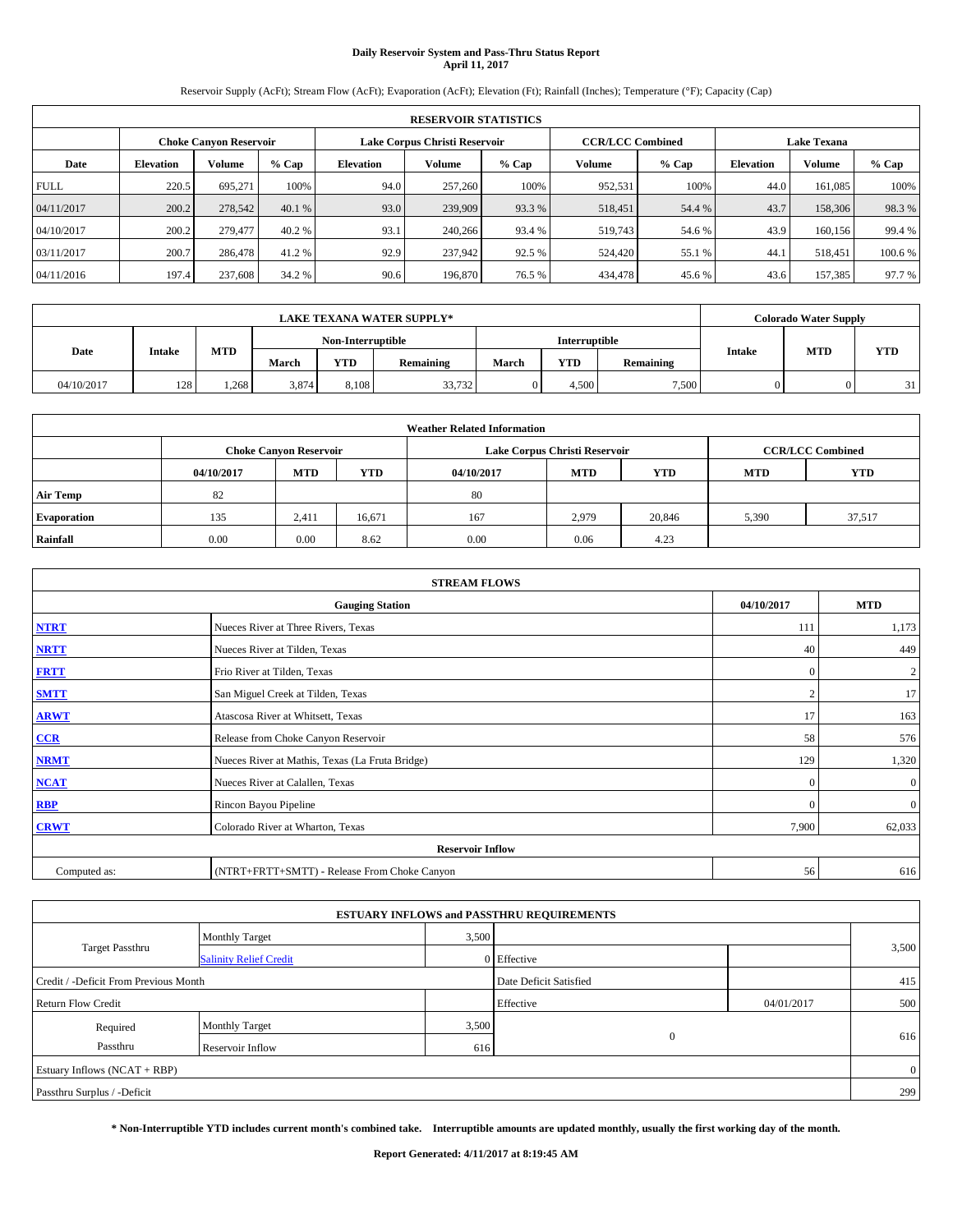# **Daily Reservoir System and Pass-Thru Status Report April 11, 2017**

Reservoir Supply (AcFt); Stream Flow (AcFt); Evaporation (AcFt); Elevation (Ft); Rainfall (Inches); Temperature (°F); Capacity (Cap)

|             | <b>RESERVOIR STATISTICS</b> |                        |         |                  |                               |         |                         |         |                  |                    |         |  |
|-------------|-----------------------------|------------------------|---------|------------------|-------------------------------|---------|-------------------------|---------|------------------|--------------------|---------|--|
|             |                             | Choke Canvon Reservoir |         |                  | Lake Corpus Christi Reservoir |         | <b>CCR/LCC Combined</b> |         |                  | <b>Lake Texana</b> |         |  |
| Date        | <b>Elevation</b>            | Volume                 | $%$ Cap | <b>Elevation</b> | <b>Volume</b>                 | $%$ Cap | Volume                  | $%$ Cap | <b>Elevation</b> | <b>Volume</b>      | $%$ Cap |  |
| <b>FULL</b> | 220.5                       | 695,271                | 100%    | 94.0             | 257,260                       | 100%    | 952.531                 | 100%    | 44.0             | 161.085            | 100%    |  |
| 04/11/2017  | 200.2                       | 278,542                | 40.1%   | 93.0             | 239,909                       | 93.3 %  | 518,451                 | 54.4 %  | 43.7             | 158,306            | 98.3%   |  |
| 04/10/2017  | 200.2                       | 279,477                | 40.2 %  | 93.1             | 240,266                       | 93.4 %  | 519,743                 | 54.6 %  | 43.9             | 160.156            | 99.4 %  |  |
| 03/11/2017  | 200.7                       | 286,478                | 41.2 %  | 92.9             | 237.942                       | 92.5 %  | 524,420                 | 55.1 %  | 44.              | 518,451            | 100.6%  |  |
| 04/11/2016  | 197.4                       | 237,608                | 34.2 %  | 90.6             | 196,870                       | 76.5 %  | 434,478                 | 45.6 %  | 43.6             | 157.385            | 97.7 %  |  |

| <b>LAKE TEXANA WATER SUPPLY*</b> |     |      |       |                   |               |                      | <b>Colorado Water Supply</b> |       |           |       |            |           |               |            |            |
|----------------------------------|-----|------|-------|-------------------|---------------|----------------------|------------------------------|-------|-----------|-------|------------|-----------|---------------|------------|------------|
|                                  |     |      |       | Non-Interruptible |               | <b>Interruptible</b> |                              |       |           |       |            |           |               |            |            |
| Date                             |     |      |       |                   | <b>Intake</b> | <b>MTD</b><br>March  |                              | YTD   | Remaining | March | <b>YTD</b> | Remaining | <b>Intake</b> | <b>MTD</b> | <b>YTD</b> |
| 04/10/2017                       | 128 | .268 | 3,874 | 8.108             | 33,732        |                      | 4,500                        | 7.500 |           |       | 31         |           |               |            |            |

| <b>Weather Related Information</b> |            |                               |            |            |                               |                         |            |            |  |  |  |
|------------------------------------|------------|-------------------------------|------------|------------|-------------------------------|-------------------------|------------|------------|--|--|--|
|                                    |            | <b>Choke Canvon Reservoir</b> |            |            | Lake Corpus Christi Reservoir | <b>CCR/LCC Combined</b> |            |            |  |  |  |
|                                    | 04/10/2017 | <b>MTD</b>                    | <b>YTD</b> | 04/10/2017 | <b>MTD</b>                    | <b>YTD</b>              | <b>MTD</b> | <b>YTD</b> |  |  |  |
| <b>Air Temp</b>                    | 82         |                               |            | 80         |                               |                         |            |            |  |  |  |
| <b>Evaporation</b>                 | 135        | 2,411                         | 16,671     | 167        | 2,979                         | 20,846                  | 5,390      | 37,517     |  |  |  |
| Rainfall                           | 0.00       | 0.00                          | 8.62       | 0.00       | 0.06                          | 4.23                    |            |            |  |  |  |

| <b>STREAM FLOWS</b> |                                                 |              |              |  |  |  |  |  |  |
|---------------------|-------------------------------------------------|--------------|--------------|--|--|--|--|--|--|
|                     | <b>Gauging Station</b>                          |              |              |  |  |  |  |  |  |
| <b>NTRT</b>         | Nueces River at Three Rivers, Texas             |              |              |  |  |  |  |  |  |
| <b>NRTT</b>         | Nueces River at Tilden, Texas                   | 40           | 449          |  |  |  |  |  |  |
| <b>FRTT</b>         | Frio River at Tilden, Texas                     | $\mathbf{0}$ | $\mathbf{2}$ |  |  |  |  |  |  |
| <b>SMTT</b>         | San Miguel Creek at Tilden, Texas               |              | 17           |  |  |  |  |  |  |
| <b>ARWT</b>         | Atascosa River at Whitsett, Texas               | 17           | 163          |  |  |  |  |  |  |
| $CCR$               | Release from Choke Canyon Reservoir             | 58           | 576          |  |  |  |  |  |  |
| <b>NRMT</b>         | Nueces River at Mathis, Texas (La Fruta Bridge) | 129          | 1,320        |  |  |  |  |  |  |
| <b>NCAT</b>         | Nueces River at Calallen, Texas                 | $\Omega$     | $\mathbf{0}$ |  |  |  |  |  |  |
| RBP                 | Rincon Bayou Pipeline                           | $\mathbf{0}$ | $\mathbf{0}$ |  |  |  |  |  |  |
| <b>CRWT</b>         | Colorado River at Wharton, Texas                | 7,900        | 62,033       |  |  |  |  |  |  |
|                     |                                                 |              |              |  |  |  |  |  |  |
| Computed as:        | (NTRT+FRTT+SMTT) - Release From Choke Canyon    |              |              |  |  |  |  |  |  |

| <b>ESTUARY INFLOWS and PASSTHRU REQUIREMENTS</b> |                               |           |                        |     |                |  |  |  |  |  |
|--------------------------------------------------|-------------------------------|-----------|------------------------|-----|----------------|--|--|--|--|--|
|                                                  | <b>Monthly Target</b>         | 3,500     |                        |     |                |  |  |  |  |  |
| <b>Target Passthru</b>                           | <b>Salinity Relief Credit</b> |           | 0 Effective            |     | 3,500          |  |  |  |  |  |
| Credit / -Deficit From Previous Month            |                               |           | Date Deficit Satisfied |     | 415            |  |  |  |  |  |
| <b>Return Flow Credit</b>                        |                               | Effective | 04/01/2017             | 500 |                |  |  |  |  |  |
| Required                                         | <b>Monthly Target</b>         | 3,500     |                        |     |                |  |  |  |  |  |
| Passthru                                         | Reservoir Inflow              | 616       | $\overline{0}$         |     | 616            |  |  |  |  |  |
| Estuary Inflows $(NCAT + RBP)$                   |                               |           |                        |     | $\overline{0}$ |  |  |  |  |  |
| Passthru Surplus / -Deficit                      |                               |           |                        |     | 299            |  |  |  |  |  |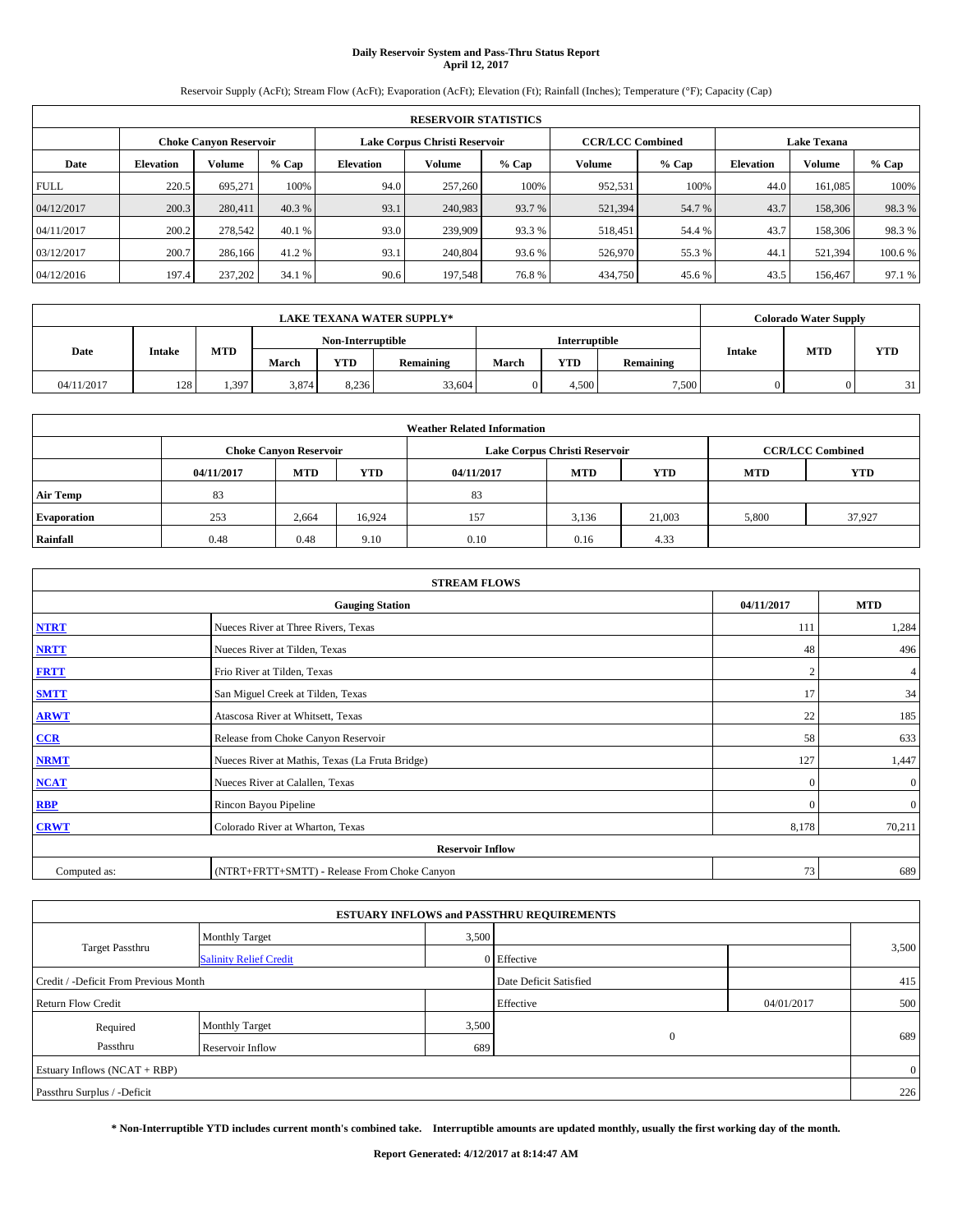## **Daily Reservoir System and Pass-Thru Status Report April 12, 2017**

Reservoir Supply (AcFt); Stream Flow (AcFt); Evaporation (AcFt); Elevation (Ft); Rainfall (Inches); Temperature (°F); Capacity (Cap)

|             | <b>RESERVOIR STATISTICS</b> |                        |         |                  |                               |         |                         |         |                  |                    |        |  |
|-------------|-----------------------------|------------------------|---------|------------------|-------------------------------|---------|-------------------------|---------|------------------|--------------------|--------|--|
|             |                             | Choke Canvon Reservoir |         |                  | Lake Corpus Christi Reservoir |         | <b>CCR/LCC Combined</b> |         |                  | <b>Lake Texana</b> |        |  |
| Date        | <b>Elevation</b>            | Volume                 | $%$ Cap | <b>Elevation</b> | <b>Volume</b>                 | $%$ Cap | Volume                  | $%$ Cap | <b>Elevation</b> | <b>Volume</b>      | % Cap  |  |
| <b>FULL</b> | 220.5                       | 695,271                | 100%    | 94.0             | 257,260                       | 100%    | 952,531                 | 100%    | 44.0             | 161.085            | 100%   |  |
| 04/12/2017  | 200.3                       | 280,411                | 40.3 %  | 93.1             | 240,983                       | 93.7 %  | 521,394                 | 54.7 %  | 43.7             | 158,306            | 98.3%  |  |
| 04/11/2017  | 200.2                       | 278,542                | 40.1 %  | 93.0             | 239,909                       | 93.3 %  | 518,451                 | 54.4 %  | 43.7             | 158,306            | 98.3%  |  |
| 03/12/2017  | 200.7                       | 286,166                | 41.2 %  | 93.1             | 240,804                       | 93.6 %  | 526,970                 | 55.3 %  | 44.              | 521.394            | 100.6% |  |
| 04/12/2016  | 197.4                       | 237,202                | 34.1 %  | 90.6             | 197,548                       | 76.8%   | 434,750                 | 45.6 %  | 43.5             | 156,467            | 97.1 % |  |

| <b>LAKE TEXANA WATER SUPPLY*</b> |               |       |                   |            |        |                      | <b>Colorado Water Supply</b> |       |            |           |               |            |            |
|----------------------------------|---------------|-------|-------------------|------------|--------|----------------------|------------------------------|-------|------------|-----------|---------------|------------|------------|
|                                  |               |       | Non-Interruptible |            |        | <b>Interruptible</b> |                              |       |            |           |               |            |            |
| Date                             | <b>Intake</b> |       |                   | <b>MTD</b> | March  | YTD                  | Remaining                    | March | <b>YTD</b> | Remaining | <b>Intake</b> | <b>MTD</b> | <b>YTD</b> |
| 04/11/2017                       | 128           | 1,397 | 3,874             | 8,236      | 33,604 |                      | 4,500                        | 7.500 |            |           | 31            |            |            |

| <b>Weather Related Information</b> |            |                               |            |            |                               |                         |            |            |  |  |  |
|------------------------------------|------------|-------------------------------|------------|------------|-------------------------------|-------------------------|------------|------------|--|--|--|
|                                    |            | <b>Choke Canvon Reservoir</b> |            |            | Lake Corpus Christi Reservoir | <b>CCR/LCC Combined</b> |            |            |  |  |  |
|                                    | 04/11/2017 | <b>MTD</b>                    | <b>YTD</b> | 04/11/2017 | <b>MTD</b>                    | <b>YTD</b>              | <b>MTD</b> | <b>YTD</b> |  |  |  |
| <b>Air Temp</b>                    | 83         |                               |            | 83         |                               |                         |            |            |  |  |  |
| <b>Evaporation</b>                 | 253        | 2,664                         | 16,924     | 157        | 3,136                         | 21,003                  | 5,800      | 37,927     |  |  |  |
| Rainfall                           | 0.48       | 0.48                          | 9.10       | 0.10       | 0.16                          | 4.33                    |            |            |  |  |  |

| <b>STREAM FLOWS</b> |                                                 |              |              |  |  |  |  |  |  |
|---------------------|-------------------------------------------------|--------------|--------------|--|--|--|--|--|--|
|                     | <b>Gauging Station</b>                          |              |              |  |  |  |  |  |  |
| <b>NTRT</b>         | Nueces River at Three Rivers, Texas             |              |              |  |  |  |  |  |  |
| <b>NRTT</b>         | Nueces River at Tilden, Texas                   | 48           | 496          |  |  |  |  |  |  |
| <b>FRTT</b>         | Frio River at Tilden, Texas                     |              | 4            |  |  |  |  |  |  |
| <b>SMTT</b>         | San Miguel Creek at Tilden, Texas               | 17           | 34           |  |  |  |  |  |  |
| <b>ARWT</b>         | Atascosa River at Whitsett, Texas               | 22           | 185          |  |  |  |  |  |  |
| $CCR$               | Release from Choke Canyon Reservoir             | 58           | 633          |  |  |  |  |  |  |
| <b>NRMT</b>         | Nueces River at Mathis, Texas (La Fruta Bridge) | 127          | 1,447        |  |  |  |  |  |  |
| <b>NCAT</b>         | Nueces River at Calallen, Texas                 | $\mathbf{0}$ | $\mathbf{0}$ |  |  |  |  |  |  |
| RBP                 | Rincon Bayou Pipeline                           | $\Omega$     | $\mathbf{0}$ |  |  |  |  |  |  |
| <b>CRWT</b>         | Colorado River at Wharton, Texas                | 8,178        | 70,211       |  |  |  |  |  |  |
|                     |                                                 |              |              |  |  |  |  |  |  |
| Computed as:        | (NTRT+FRTT+SMTT) - Release From Choke Canyon    | 73           | 689          |  |  |  |  |  |  |

| <b>ESTUARY INFLOWS and PASSTHRU REQUIREMENTS</b> |                               |       |                        |            |                |  |  |  |  |  |
|--------------------------------------------------|-------------------------------|-------|------------------------|------------|----------------|--|--|--|--|--|
|                                                  | Monthly Target                | 3,500 |                        |            |                |  |  |  |  |  |
| <b>Target Passthru</b>                           | <b>Salinity Relief Credit</b> |       | 0 Effective            |            | 3,500          |  |  |  |  |  |
| Credit / -Deficit From Previous Month            |                               |       | Date Deficit Satisfied |            | 415            |  |  |  |  |  |
| <b>Return Flow Credit</b>                        |                               |       | Effective              | 04/01/2017 | 500            |  |  |  |  |  |
| Required                                         | <b>Monthly Target</b>         | 3,500 |                        |            |                |  |  |  |  |  |
| Passthru                                         | Reservoir Inflow              | 689   | $\overline{0}$         |            | 689            |  |  |  |  |  |
| Estuary Inflows $(NCAT + RBP)$                   |                               |       |                        |            | $\overline{0}$ |  |  |  |  |  |
| Passthru Surplus / -Deficit                      |                               |       |                        |            | 226            |  |  |  |  |  |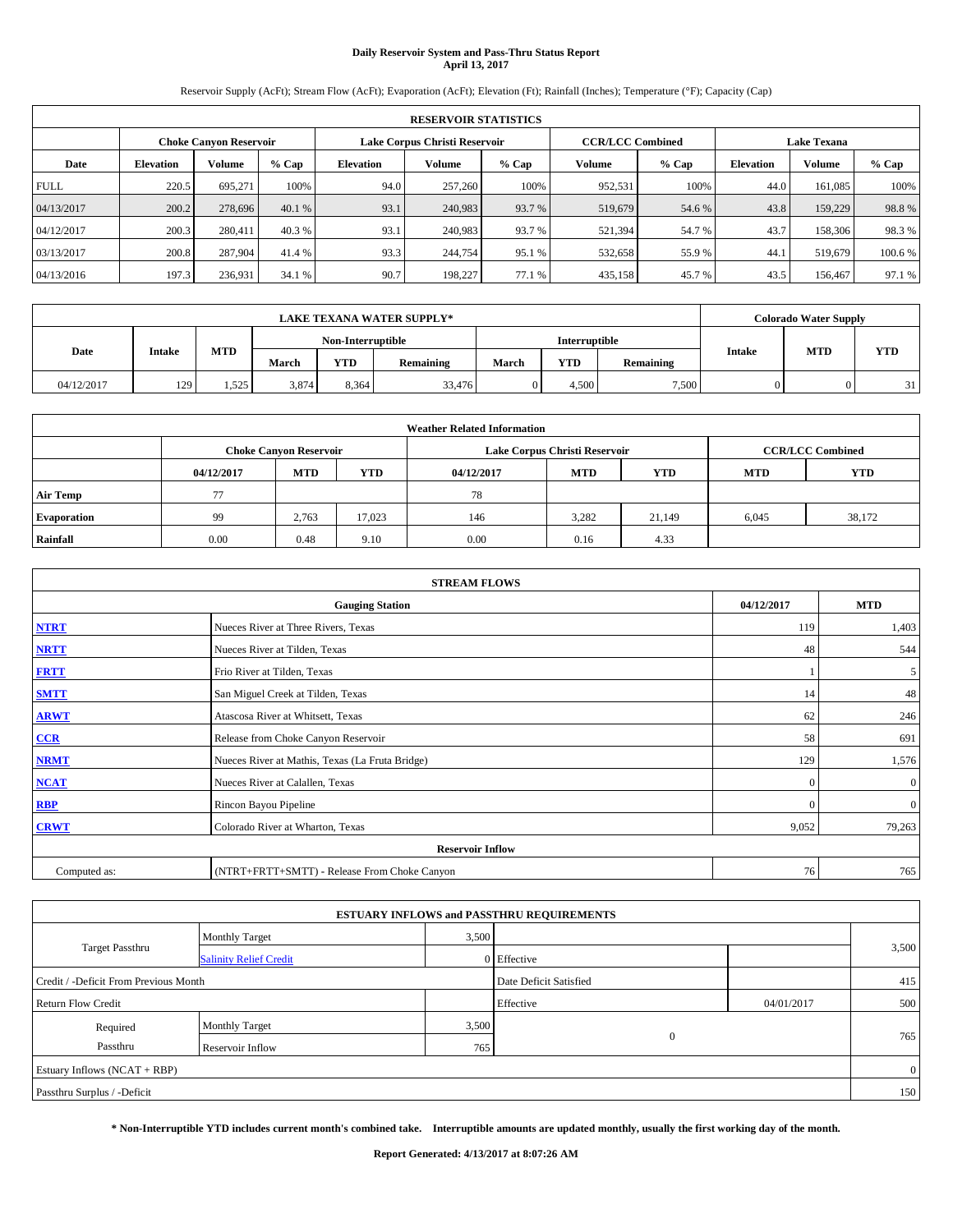## **Daily Reservoir System and Pass-Thru Status Report April 13, 2017**

Reservoir Supply (AcFt); Stream Flow (AcFt); Evaporation (AcFt); Elevation (Ft); Rainfall (Inches); Temperature (°F); Capacity (Cap)

|             | <b>RESERVOIR STATISTICS</b> |         |         |                  |                               |         |                         |         |                    |               |         |
|-------------|-----------------------------|---------|---------|------------------|-------------------------------|---------|-------------------------|---------|--------------------|---------------|---------|
|             | Choke Canvon Reservoir      |         |         |                  | Lake Corpus Christi Reservoir |         | <b>CCR/LCC Combined</b> |         | <b>Lake Texana</b> |               |         |
| Date        | <b>Elevation</b>            | Volume  | $%$ Cap | <b>Elevation</b> | Volume                        | $%$ Cap | Volume                  | $%$ Cap | <b>Elevation</b>   | <b>Volume</b> | % Cap   |
| <b>FULL</b> | 220.5                       | 695.271 | 100%    | 94.0             | 257,260                       | 100%    | 952,531                 | 100%    | 44.0               | 161.085       | 100%    |
| 04/13/2017  | 200.2                       | 278,696 | 40.1%   | 93.1             | 240,983                       | 93.7 %  | 519,679                 | 54.6 %  | 43.8               | 159,229       | 98.8%   |
| 04/12/2017  | 200.3                       | 280,411 | 40.3 %  | 93.1             | 240,983                       | 93.7 %  | 521,394                 | 54.7 %  | 43.7               | 158,306       | 98.3%   |
| 03/13/2017  | 200.8                       | 287,904 | 41.4 %  | 93.3             | 244,754                       | 95.1 %  | 532,658                 | 55.9 %  | 44.1               | 519,679       | 100.6 % |
| 04/13/2016  | 197.3                       | 236,931 | 34.1 %  | 90.7             | 198,227                       | 77.1 %  | 435,158                 | 45.7%   | 43.5               | 156,467       | 97.1 %  |

|            | <b>LAKE TEXANA WATER SUPPLY*</b> |            |       |                   |           |       |                      |           |               | <b>Colorado Water Supply</b> |            |  |
|------------|----------------------------------|------------|-------|-------------------|-----------|-------|----------------------|-----------|---------------|------------------------------|------------|--|
|            |                                  |            |       | Non-Interruptible |           |       | <b>Interruptible</b> |           |               |                              |            |  |
| Date       | <b>Intake</b>                    | <b>MTD</b> | March | <b>YTD</b>        | Remaining | March | <b>YTD</b>           | Remaining | <b>Intake</b> | <b>MTD</b>                   | <b>YTD</b> |  |
| 04/12/2017 | 129                              | 1,525      | 3,874 | 8,364             | 33,476    |       | 4.500                | 7.500     |               |                              | 21         |  |

| <b>Weather Related Information</b> |            |                               |            |            |                               |                         |                          |        |  |  |  |
|------------------------------------|------------|-------------------------------|------------|------------|-------------------------------|-------------------------|--------------------------|--------|--|--|--|
|                                    |            | <b>Choke Canvon Reservoir</b> |            |            | Lake Corpus Christi Reservoir | <b>CCR/LCC Combined</b> |                          |        |  |  |  |
|                                    | 04/12/2017 | <b>MTD</b>                    | <b>YTD</b> | 04/12/2017 | <b>MTD</b>                    | <b>YTD</b>              | <b>YTD</b><br><b>MTD</b> |        |  |  |  |
| <b>Air Temp</b>                    | 77         |                               |            | 78         |                               |                         |                          |        |  |  |  |
| <b>Evaporation</b>                 | 99         | 2,763                         | 17,023     | 146        | 3,282                         | 21,149                  | 6,045                    | 38,172 |  |  |  |
| Rainfall                           | 0.00       | 0.48                          | 9.10       | 0.00       | 0.16                          | 4.33                    |                          |        |  |  |  |

|              | <b>STREAM FLOWS</b>                             |            |              |  |  |  |  |  |  |  |  |
|--------------|-------------------------------------------------|------------|--------------|--|--|--|--|--|--|--|--|
|              | <b>Gauging Station</b>                          | 04/12/2017 | <b>MTD</b>   |  |  |  |  |  |  |  |  |
| <b>NTRT</b>  | Nueces River at Three Rivers, Texas             | 119        | 1,403        |  |  |  |  |  |  |  |  |
| <b>NRTT</b>  | Nueces River at Tilden, Texas                   | 48         | 544          |  |  |  |  |  |  |  |  |
| <b>FRTT</b>  | Frio River at Tilden, Texas                     |            | 5            |  |  |  |  |  |  |  |  |
| <b>SMTT</b>  | San Miguel Creek at Tilden, Texas               | 14         | 48           |  |  |  |  |  |  |  |  |
| <b>ARWT</b>  | Atascosa River at Whitsett, Texas               | 62         | 246          |  |  |  |  |  |  |  |  |
| CCR          | Release from Choke Canyon Reservoir             | 58         | 691          |  |  |  |  |  |  |  |  |
| <b>NRMT</b>  | Nueces River at Mathis, Texas (La Fruta Bridge) | 129        | 1,576        |  |  |  |  |  |  |  |  |
| <b>NCAT</b>  | Nueces River at Calallen, Texas                 | $\Omega$   | $\mathbf{0}$ |  |  |  |  |  |  |  |  |
| <b>RBP</b>   | Rincon Bayou Pipeline                           | $\Omega$   | $\mathbf{0}$ |  |  |  |  |  |  |  |  |
| <b>CRWT</b>  | Colorado River at Wharton, Texas                | 9,052      | 79,263       |  |  |  |  |  |  |  |  |
|              | <b>Reservoir Inflow</b>                         |            |              |  |  |  |  |  |  |  |  |
| Computed as: | (NTRT+FRTT+SMTT) - Release From Choke Canyon    | 76         | 765          |  |  |  |  |  |  |  |  |

| <b>ESTUARY INFLOWS and PASSTHRU REQUIREMENTS</b> |                               |       |                        |            |                |  |  |  |  |  |
|--------------------------------------------------|-------------------------------|-------|------------------------|------------|----------------|--|--|--|--|--|
|                                                  | Monthly Target                | 3,500 |                        |            |                |  |  |  |  |  |
| <b>Target Passthru</b>                           | <b>Salinity Relief Credit</b> |       | 0 Effective            |            | 3,500          |  |  |  |  |  |
| Credit / -Deficit From Previous Month            |                               |       | Date Deficit Satisfied |            | 415            |  |  |  |  |  |
| <b>Return Flow Credit</b>                        |                               |       | Effective              | 04/01/2017 | 500            |  |  |  |  |  |
| Required                                         | <b>Monthly Target</b>         | 3,500 |                        |            |                |  |  |  |  |  |
| Passthru                                         | Reservoir Inflow              | 765   | $\overline{0}$         |            | 765            |  |  |  |  |  |
| Estuary Inflows (NCAT + RBP)                     |                               |       |                        |            | $\overline{0}$ |  |  |  |  |  |
| Passthru Surplus / -Deficit                      |                               |       |                        |            | 150            |  |  |  |  |  |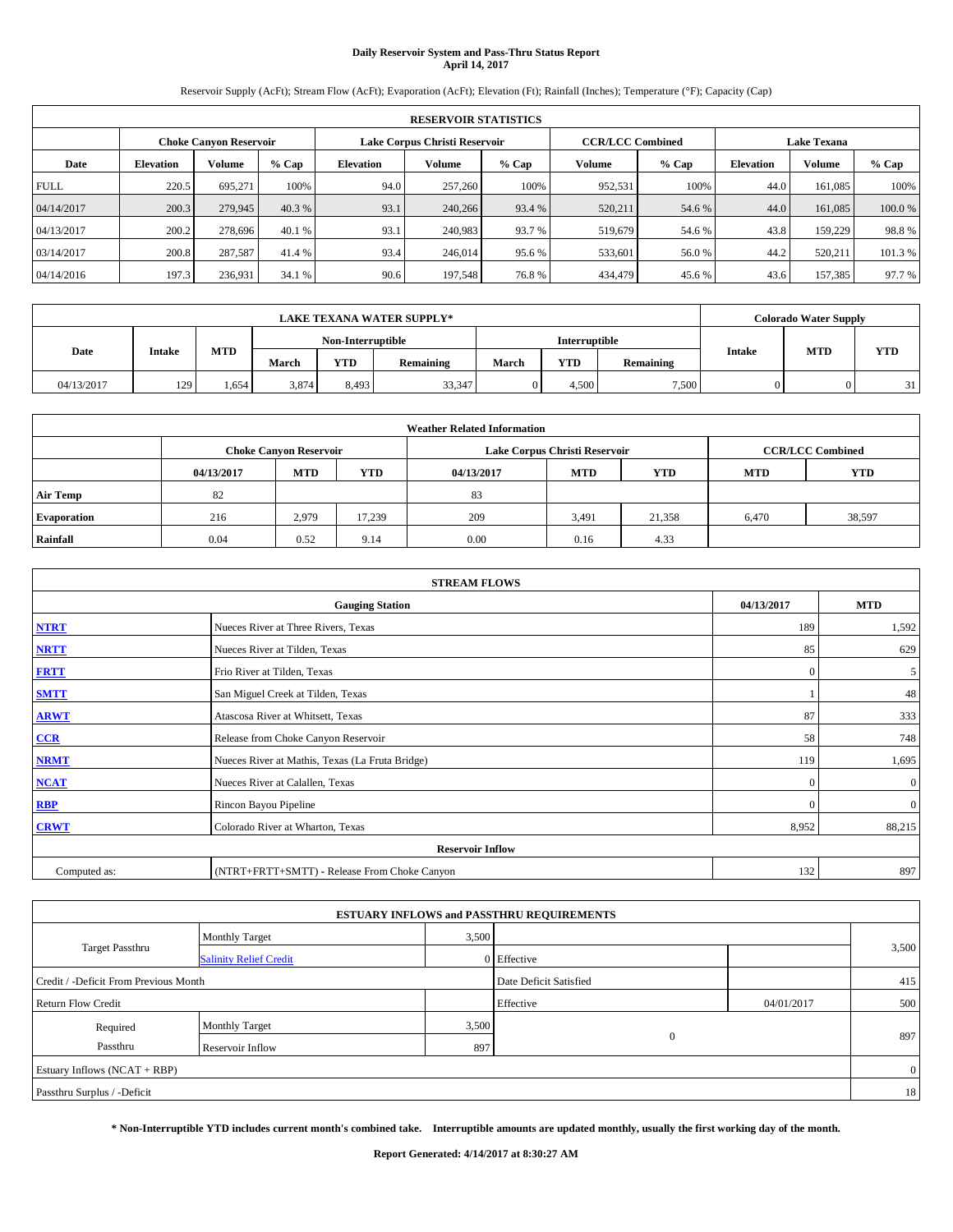## **Daily Reservoir System and Pass-Thru Status Report April 14, 2017**

Reservoir Supply (AcFt); Stream Flow (AcFt); Evaporation (AcFt); Elevation (Ft); Rainfall (Inches); Temperature (°F); Capacity (Cap)

|             | <b>RESERVOIR STATISTICS</b> |         |         |                  |         |                                                          |         |         |                  |                    |         |  |
|-------------|-----------------------------|---------|---------|------------------|---------|----------------------------------------------------------|---------|---------|------------------|--------------------|---------|--|
|             | Choke Canvon Reservoir      |         |         |                  |         | <b>CCR/LCC Combined</b><br>Lake Corpus Christi Reservoir |         |         |                  | <b>Lake Texana</b> |         |  |
| Date        | <b>Elevation</b>            | Volume  | $%$ Cap | <b>Elevation</b> | Volume  | $%$ Cap                                                  | Volume  | $%$ Cap | <b>Elevation</b> | <b>Volume</b>      | % Cap   |  |
| <b>FULL</b> | 220.5                       | 695.271 | 100%    | 94.0             | 257,260 | 100%                                                     | 952,531 | 100%    | 44.0             | 161.085            | 100%    |  |
| 04/14/2017  | 200.3                       | 279,945 | 40.3 %  | 93.1             | 240,266 | 93.4 %                                                   | 520,211 | 54.6 %  | 44.0             | 161,085            | 100.0%  |  |
| 04/13/2017  | 200.2                       | 278.696 | 40.1 %  | 93.1             | 240,983 | 93.7 %                                                   | 519,679 | 54.6 %  | 43.8             | 159,229            | 98.8%   |  |
| 03/14/2017  | 200.8                       | 287,587 | 41.4 %  | 93.4             | 246,014 | 95.6 %                                                   | 533,601 | 56.0%   | 44.2             | 520.211            | 101.3 % |  |
| 04/14/2016  | 197.3                       | 236,931 | 34.1 %  | 90.6             | 197,548 | 76.8%                                                    | 434,479 | 45.6 %  | 43.6             | 157,385            | 97.7 %  |  |

|            | <b>LAKE TEXANA WATER SUPPLY*</b> |            |       |                   |           |       |                      |           |               | <b>Colorado Water Supply</b> |            |  |
|------------|----------------------------------|------------|-------|-------------------|-----------|-------|----------------------|-----------|---------------|------------------------------|------------|--|
|            |                                  |            |       | Non-Interruptible |           |       | <b>Interruptible</b> |           |               |                              |            |  |
| Date       | <b>Intake</b>                    | <b>MTD</b> | March | <b>YTD</b>        | Remaining | March | <b>YTD</b>           | Remaining | <b>Intake</b> | <b>MTD</b>                   | <b>YTD</b> |  |
| 04/13/2017 | 129                              | 1,654      | 3,874 | 8.493             | 33,347    |       | 4.500                | 7.500     |               |                              | 21         |  |

| <b>Weather Related Information</b> |            |                               |            |            |                               |                         |                          |        |  |  |  |
|------------------------------------|------------|-------------------------------|------------|------------|-------------------------------|-------------------------|--------------------------|--------|--|--|--|
|                                    |            | <b>Choke Canvon Reservoir</b> |            |            | Lake Corpus Christi Reservoir | <b>CCR/LCC Combined</b> |                          |        |  |  |  |
|                                    | 04/13/2017 | <b>MTD</b>                    | <b>YTD</b> | 04/13/2017 | <b>MTD</b>                    | <b>YTD</b>              | <b>YTD</b><br><b>MTD</b> |        |  |  |  |
| <b>Air Temp</b>                    | 82         |                               |            | 83         |                               |                         |                          |        |  |  |  |
| <b>Evaporation</b>                 | 216        | 2,979                         | 17.239     | 209        | 3,491                         | 21,358                  | 6,470                    | 38,597 |  |  |  |
| Rainfall                           | 0.04       | 0.52                          | 9.14       | 0.00       | 0.16                          | 4.33                    |                          |        |  |  |  |

| <b>STREAM FLOWS</b> |                                                 |              |              |  |  |  |  |  |  |
|---------------------|-------------------------------------------------|--------------|--------------|--|--|--|--|--|--|
|                     | <b>Gauging Station</b>                          | 04/13/2017   | <b>MTD</b>   |  |  |  |  |  |  |
| <b>NTRT</b>         | Nueces River at Three Rivers, Texas             | 189          | 1,592        |  |  |  |  |  |  |
| <b>NRTT</b>         | Nueces River at Tilden, Texas                   | 85           | 629          |  |  |  |  |  |  |
| <b>FRTT</b>         | Frio River at Tilden, Texas                     | $\mathbf{0}$ | 5            |  |  |  |  |  |  |
| <b>SMTT</b>         | San Miguel Creek at Tilden, Texas               |              | 48           |  |  |  |  |  |  |
| <b>ARWT</b>         | Atascosa River at Whitsett, Texas               | 87           | 333          |  |  |  |  |  |  |
| $CCR$               | Release from Choke Canyon Reservoir             | 58           | 748          |  |  |  |  |  |  |
| <b>NRMT</b>         | Nueces River at Mathis, Texas (La Fruta Bridge) | 119          | 1,695        |  |  |  |  |  |  |
| <b>NCAT</b>         | Nueces River at Calallen, Texas                 | $\mathbf{0}$ | $\mathbf{0}$ |  |  |  |  |  |  |
| RBP                 | Rincon Bayou Pipeline                           | $\Omega$     | $\mathbf{0}$ |  |  |  |  |  |  |
| <b>CRWT</b>         | Colorado River at Wharton, Texas                | 8,952        | 88,215       |  |  |  |  |  |  |
|                     | <b>Reservoir Inflow</b>                         |              |              |  |  |  |  |  |  |
| Computed as:        | (NTRT+FRTT+SMTT) - Release From Choke Canyon    |              |              |  |  |  |  |  |  |

| <b>ESTUARY INFLOWS and PASSTHRU REQUIREMENTS</b> |                               |                        |                |            |       |  |  |  |  |  |
|--------------------------------------------------|-------------------------------|------------------------|----------------|------------|-------|--|--|--|--|--|
|                                                  | <b>Monthly Target</b>         | 3,500                  |                |            |       |  |  |  |  |  |
| <b>Target Passthru</b>                           | <b>Salinity Relief Credit</b> |                        | 0 Effective    |            | 3,500 |  |  |  |  |  |
| Credit / -Deficit From Previous Month            |                               | Date Deficit Satisfied |                | 415        |       |  |  |  |  |  |
| <b>Return Flow Credit</b>                        |                               |                        | Effective      | 04/01/2017 | 500   |  |  |  |  |  |
| Required                                         | <b>Monthly Target</b>         | 3,500                  |                |            |       |  |  |  |  |  |
| Passthru                                         | Reservoir Inflow              | 897                    | $\overline{0}$ |            | 897   |  |  |  |  |  |
| Estuary Inflows (NCAT + RBP)                     |                               |                        |                |            |       |  |  |  |  |  |
| Passthru Surplus / -Deficit                      |                               |                        |                |            |       |  |  |  |  |  |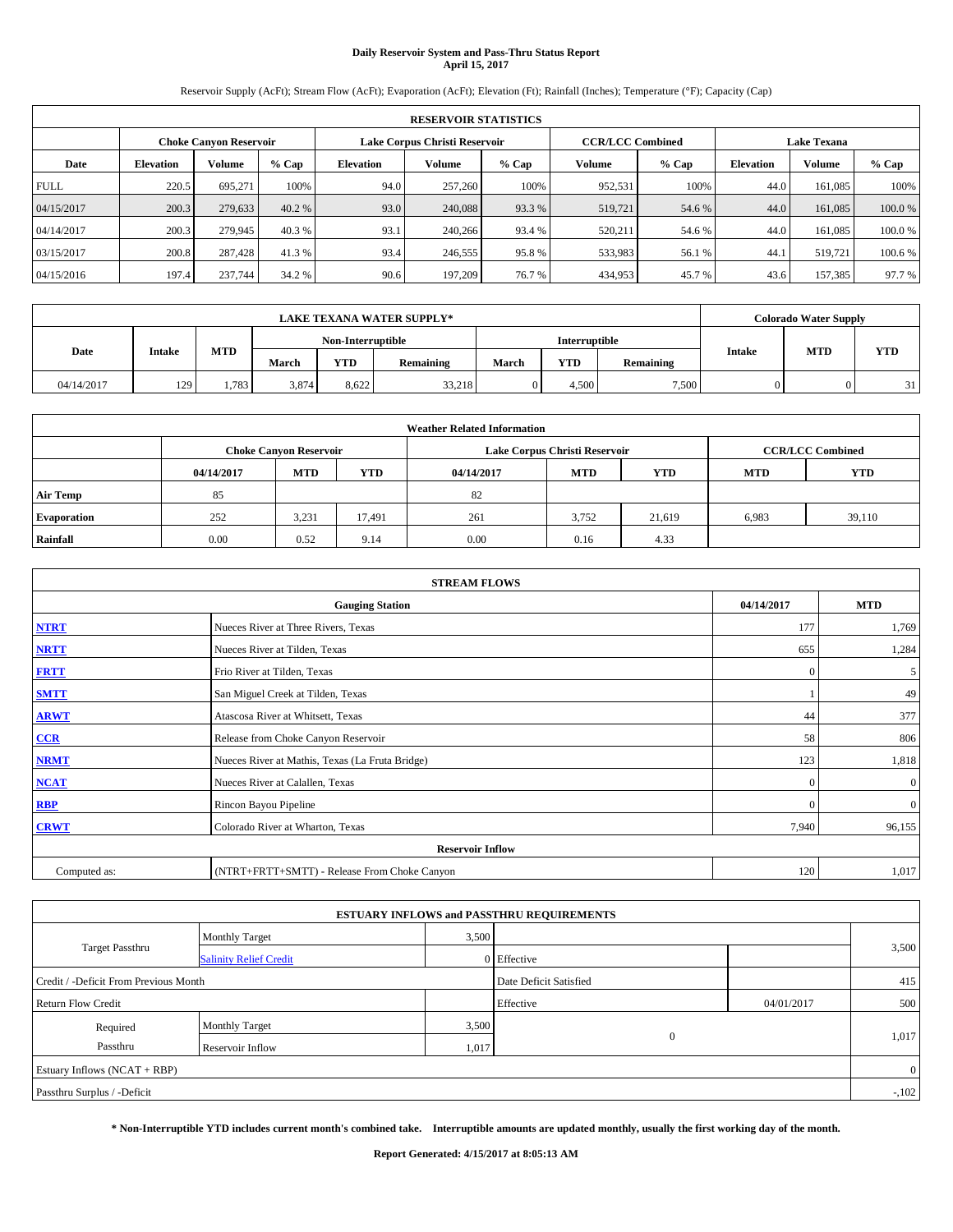# **Daily Reservoir System and Pass-Thru Status Report April 15, 2017**

Reservoir Supply (AcFt); Stream Flow (AcFt); Evaporation (AcFt); Elevation (Ft); Rainfall (Inches); Temperature (°F); Capacity (Cap)

|             | <b>RESERVOIR STATISTICS</b> |         |         |                  |                               |         |                         |         |                    |               |         |
|-------------|-----------------------------|---------|---------|------------------|-------------------------------|---------|-------------------------|---------|--------------------|---------------|---------|
|             | Choke Canvon Reservoir      |         |         |                  | Lake Corpus Christi Reservoir |         | <b>CCR/LCC Combined</b> |         | <b>Lake Texana</b> |               |         |
| Date        | <b>Elevation</b>            | Volume  | $%$ Cap | <b>Elevation</b> | Volume                        | $%$ Cap | Volume                  | $%$ Cap | <b>Elevation</b>   | <b>Volume</b> | % Cap   |
| <b>FULL</b> | 220.5                       | 695.271 | 100%    | 94.0             | 257,260                       | 100%    | 952,531                 | 100%    | 44.0               | 161.085       | 100%    |
| 04/15/2017  | 200.3                       | 279,633 | 40.2 %  | 93.0             | 240,088                       | 93.3 %  | 519,721                 | 54.6 %  | 44.0               | 161,085       | 100.0%  |
| 04/14/2017  | 200.3                       | 279,945 | 40.3 %  | 93.1             | 240,266                       | 93.4 %  | 520,211                 | 54.6 %  | 44.0               | 161.085       | 100.0%  |
| 03/15/2017  | 200.8                       | 287,428 | 41.3 %  | 93.4             | 246,555                       | 95.8%   | 533,983                 | 56.1 %  | 44.1               | 519,721       | 100.6 % |
| 04/15/2016  | 197.4                       | 237,744 | 34.2 %  | 90.6             | 197,209                       | 76.7%   | 434,953                 | 45.7%   | 43.6               | 157,385       | 97.7 %  |

|            | <b>LAKE TEXANA WATER SUPPLY*</b> |            |       |            |                   |       |                      |           |               | <b>Colorado Water Supply</b> |            |  |
|------------|----------------------------------|------------|-------|------------|-------------------|-------|----------------------|-----------|---------------|------------------------------|------------|--|
|            |                                  |            |       |            | Non-Interruptible |       | <b>Interruptible</b> |           |               |                              |            |  |
| Date       | <b>Intake</b>                    | <b>MTD</b> | March | <b>YTD</b> | Remaining         | March | <b>YTD</b>           | Remaining | <b>Intake</b> | <b>MTD</b>                   | <b>YTD</b> |  |
| 04/14/2017 | 129                              | 1.783      | 3,874 | 8.622      | 33.218            |       | 4.500                | 7.500     |               |                              | 31         |  |

| <b>Weather Related Information</b> |            |                               |            |            |                                        |                         |       |        |  |  |  |
|------------------------------------|------------|-------------------------------|------------|------------|----------------------------------------|-------------------------|-------|--------|--|--|--|
|                                    |            | <b>Choke Canvon Reservoir</b> |            |            | Lake Corpus Christi Reservoir          | <b>CCR/LCC Combined</b> |       |        |  |  |  |
|                                    | 04/14/2017 | <b>MTD</b>                    | <b>YTD</b> | 04/14/2017 | <b>MTD</b><br><b>YTD</b><br><b>MTD</b> |                         |       |        |  |  |  |
| <b>Air Temp</b>                    | 85         |                               |            | 82         |                                        |                         |       |        |  |  |  |
| <b>Evaporation</b>                 | 252        | 3,231                         | 17,491     | 261        | 3,752                                  | 21,619                  | 6,983 | 39,110 |  |  |  |
| Rainfall                           | 0.00       | 0.52                          | 9.14       | 0.00       | 0.16                                   | 4.33                    |       |        |  |  |  |

| <b>STREAM FLOWS</b> |                                                 |              |              |  |  |  |  |  |  |
|---------------------|-------------------------------------------------|--------------|--------------|--|--|--|--|--|--|
|                     | 04/14/2017                                      | <b>MTD</b>   |              |  |  |  |  |  |  |
| <b>NTRT</b>         | Nueces River at Three Rivers, Texas             | 177          | 1,769        |  |  |  |  |  |  |
| <b>NRTT</b>         | Nueces River at Tilden, Texas                   | 655          | 1,284        |  |  |  |  |  |  |
| <b>FRTT</b>         | Frio River at Tilden, Texas                     | $\mathbf{0}$ | 5            |  |  |  |  |  |  |
| <b>SMTT</b>         | San Miguel Creek at Tilden, Texas               |              | 49           |  |  |  |  |  |  |
| <b>ARWT</b>         | Atascosa River at Whitsett, Texas               | 44           | 377          |  |  |  |  |  |  |
| CCR                 | Release from Choke Canyon Reservoir             | 58           | 806          |  |  |  |  |  |  |
| <b>NRMT</b>         | Nueces River at Mathis, Texas (La Fruta Bridge) | 123          | 1,818        |  |  |  |  |  |  |
| <b>NCAT</b>         | Nueces River at Calallen, Texas                 | $\Omega$     | $\mathbf{0}$ |  |  |  |  |  |  |
| <b>RBP</b>          | Rincon Bayou Pipeline                           | $\Omega$     | $\mathbf{0}$ |  |  |  |  |  |  |
| <b>CRWT</b>         | Colorado River at Wharton, Texas                | 7,940        | 96,155       |  |  |  |  |  |  |
|                     |                                                 |              |              |  |  |  |  |  |  |
| Computed as:        | 120                                             | 1,017        |              |  |  |  |  |  |  |

|                                       |                               |       | <b>ESTUARY INFLOWS and PASSTHRU REQUIREMENTS</b> |            |         |  |  |  |
|---------------------------------------|-------------------------------|-------|--------------------------------------------------|------------|---------|--|--|--|
|                                       | Monthly Target                | 3,500 |                                                  |            |         |  |  |  |
| <b>Target Passthru</b>                | <b>Salinity Relief Credit</b> |       | 0 Effective                                      |            | 3,500   |  |  |  |
| Credit / -Deficit From Previous Month |                               |       | Date Deficit Satisfied                           |            | 415     |  |  |  |
| <b>Return Flow Credit</b>             |                               |       | Effective                                        | 04/01/2017 | 500     |  |  |  |
| Required                              | <b>Monthly Target</b>         | 3,500 |                                                  |            |         |  |  |  |
| Passthru                              | Reservoir Inflow              | 1,017 | $\overline{0}$                                   |            | 1,017   |  |  |  |
| Estuary Inflows (NCAT + RBP)          |                               |       |                                                  |            |         |  |  |  |
| Passthru Surplus / -Deficit           |                               |       |                                                  |            | $-.102$ |  |  |  |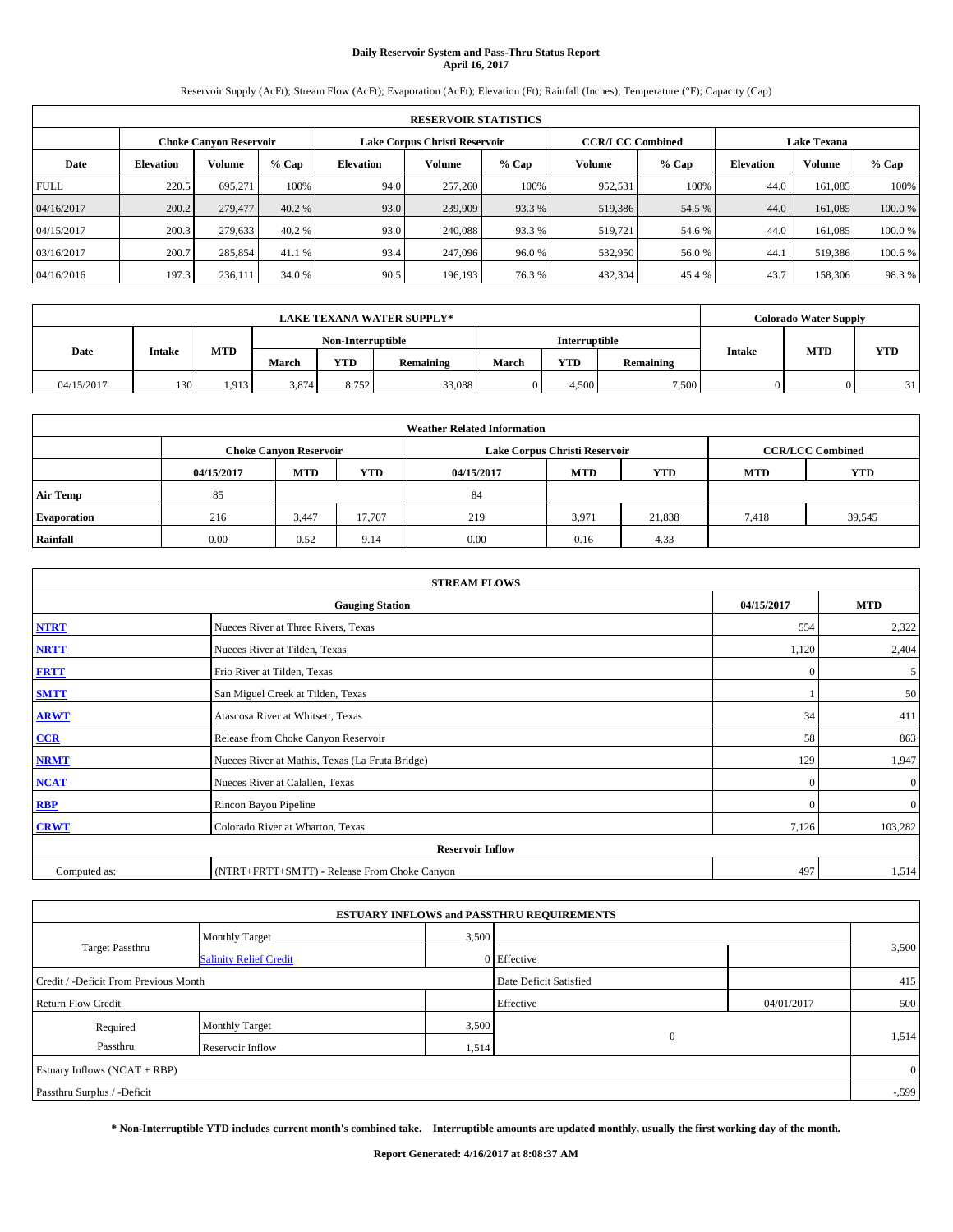# **Daily Reservoir System and Pass-Thru Status Report April 16, 2017**

Reservoir Supply (AcFt); Stream Flow (AcFt); Evaporation (AcFt); Elevation (Ft); Rainfall (Inches); Temperature (°F); Capacity (Cap)

| <b>RESERVOIR STATISTICS</b> |                  |                        |         |                  |                               |         |                         |         |                  |                    |         |
|-----------------------------|------------------|------------------------|---------|------------------|-------------------------------|---------|-------------------------|---------|------------------|--------------------|---------|
|                             |                  | Choke Canvon Reservoir |         |                  | Lake Corpus Christi Reservoir |         | <b>CCR/LCC Combined</b> |         |                  | <b>Lake Texana</b> |         |
| Date                        | <b>Elevation</b> | Volume                 | $%$ Cap | <b>Elevation</b> | Volume                        | $%$ Cap | Volume                  | $%$ Cap | <b>Elevation</b> | <b>Volume</b>      | % Cap   |
| <b>FULL</b>                 | 220.5            | 695.271                | 100%    | 94.0             | 257,260                       | 100%    | 952,531                 | 100%    | 44.0             | 161.085            | 100%    |
| 04/16/2017                  | 200.2            | 279,477                | 40.2 %  | 93.0             | 239,909                       | 93.3 %  | 519,386                 | 54.5 %  | 44.0             | 161,085            | 100.0%  |
| 04/15/2017                  | 200.3            | 279,633                | 40.2 %  | 93.0             | 240,088                       | 93.3 %  | 519,721                 | 54.6 %  | 44.0             | 161.085            | 100.0%  |
| 03/16/2017                  | 200.7            | 285,854                | 41.1 %  | 93.4             | 247,096                       | 96.0%   | 532,950                 | 56.0%   | 44.1             | 519,386            | 100.6 % |
| 04/16/2016                  | 197.3            | 236,111                | 34.0 %  | 90.5             | 196.193                       | 76.3 %  | 432,304                 | 45.4 %  | 43.7             | 158,306            | 98.3%   |

| <b>LAKE TEXANA WATER SUPPLY*</b> |               |            |       |                   |           |       |                      |           |  | <b>Colorado Water Supply</b> |            |
|----------------------------------|---------------|------------|-------|-------------------|-----------|-------|----------------------|-----------|--|------------------------------|------------|
|                                  |               |            |       | Non-Interruptible |           |       | <b>Interruptible</b> |           |  |                              | <b>YTD</b> |
| Date                             | <b>Intake</b> | <b>MTD</b> | March | <b>YTD</b>        | Remaining | March | <b>YTD</b>           | Remaining |  | <b>MTD</b><br><b>Intake</b>  |            |
| 04/15/2017                       | 130           | 1,913      | 3,874 | 8.752             | 33,088    |       | 4.500                | 7.500     |  |                              | 21         |

| <b>Weather Related Information</b> |            |                               |            |            |                                        |                         |       |        |  |  |
|------------------------------------|------------|-------------------------------|------------|------------|----------------------------------------|-------------------------|-------|--------|--|--|
|                                    |            | <b>Choke Canvon Reservoir</b> |            |            | Lake Corpus Christi Reservoir          | <b>CCR/LCC Combined</b> |       |        |  |  |
|                                    | 04/15/2017 | <b>MTD</b>                    | <b>YTD</b> | 04/15/2017 | <b>MTD</b><br><b>YTD</b><br><b>MTD</b> |                         |       |        |  |  |
| <b>Air Temp</b>                    | 85         |                               |            | 84         |                                        |                         |       |        |  |  |
| <b>Evaporation</b>                 | 216        | 3.447                         | 17.707     | 219        | 3,971                                  | 21,838                  | 7,418 | 39,545 |  |  |
| Rainfall                           | 0.00       | 0.52                          | 9.14       | 0.00       | 0.16                                   | 4.33                    |       |        |  |  |

| <b>STREAM FLOWS</b> |                                                 |              |              |  |  |  |  |  |  |
|---------------------|-------------------------------------------------|--------------|--------------|--|--|--|--|--|--|
|                     | 04/15/2017                                      | <b>MTD</b>   |              |  |  |  |  |  |  |
| <b>NTRT</b>         | Nueces River at Three Rivers, Texas             | 554          | 2,322        |  |  |  |  |  |  |
| <b>NRTT</b>         | Nueces River at Tilden, Texas                   | 1,120        | 2,404        |  |  |  |  |  |  |
| <b>FRTT</b>         | Frio River at Tilden, Texas                     | $\mathbf{0}$ | 5            |  |  |  |  |  |  |
| <b>SMTT</b>         | San Miguel Creek at Tilden, Texas               |              | 50           |  |  |  |  |  |  |
| <b>ARWT</b>         | Atascosa River at Whitsett, Texas               | 34           | 411          |  |  |  |  |  |  |
| $CCR$               | Release from Choke Canyon Reservoir             | 58           | 863          |  |  |  |  |  |  |
| <b>NRMT</b>         | Nueces River at Mathis, Texas (La Fruta Bridge) | 129          | 1,947        |  |  |  |  |  |  |
| <b>NCAT</b>         | Nueces River at Calallen, Texas                 | $\Omega$     | $\mathbf{0}$ |  |  |  |  |  |  |
| RBP                 | Rincon Bayou Pipeline                           | $\mathbf{0}$ | $\mathbf{0}$ |  |  |  |  |  |  |
| <b>CRWT</b>         | Colorado River at Wharton, Texas                | 7,126        | 103,282      |  |  |  |  |  |  |
|                     | <b>Reservoir Inflow</b>                         |              |              |  |  |  |  |  |  |
| Computed as:        | 497                                             | 1,514        |              |  |  |  |  |  |  |

|                                       |                               |       | <b>ESTUARY INFLOWS and PASSTHRU REQUIREMENTS</b> |            |                |
|---------------------------------------|-------------------------------|-------|--------------------------------------------------|------------|----------------|
|                                       | <b>Monthly Target</b>         | 3,500 |                                                  |            |                |
| <b>Target Passthru</b>                | <b>Salinity Relief Credit</b> |       | 0 Effective                                      |            | 3,500          |
| Credit / -Deficit From Previous Month |                               |       | Date Deficit Satisfied                           |            | 415            |
| <b>Return Flow Credit</b>             |                               |       | Effective                                        | 04/01/2017 | 500            |
| Required                              | <b>Monthly Target</b>         | 3,500 |                                                  |            |                |
| Passthru                              | Reservoir Inflow              | 1,514 | $\overline{0}$                                   |            | 1,514          |
| Estuary Inflows (NCAT + RBP)          |                               |       |                                                  |            | $\overline{0}$ |
| Passthru Surplus / -Deficit           |                               |       |                                                  |            | $-0.599$       |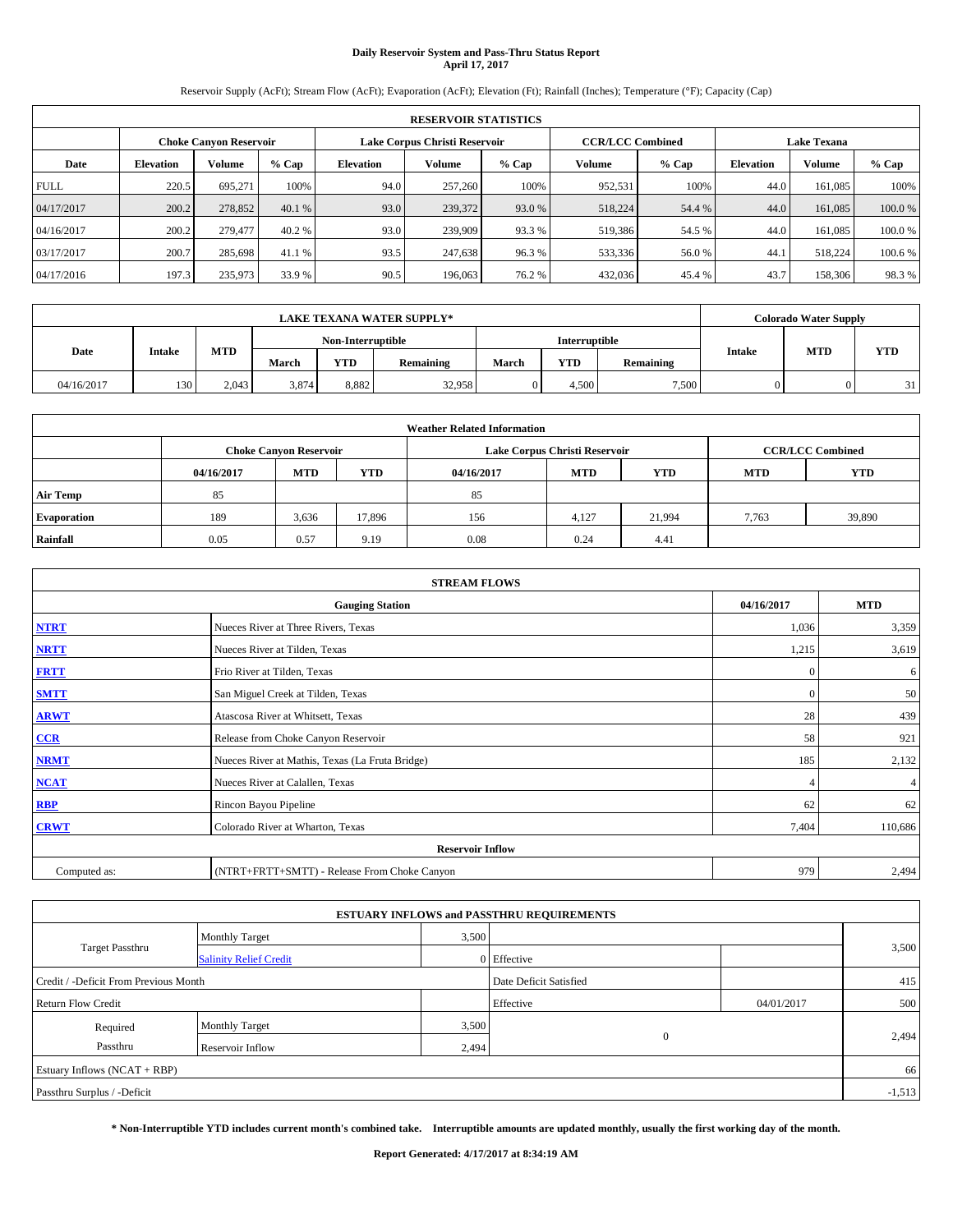## **Daily Reservoir System and Pass-Thru Status Report April 17, 2017**

Reservoir Supply (AcFt); Stream Flow (AcFt); Evaporation (AcFt); Elevation (Ft); Rainfall (Inches); Temperature (°F); Capacity (Cap)

| <b>RESERVOIR STATISTICS</b> |                  |                        |         |                  |                               |         |               |                         |                  |                    |         |  |
|-----------------------------|------------------|------------------------|---------|------------------|-------------------------------|---------|---------------|-------------------------|------------------|--------------------|---------|--|
|                             |                  | Choke Canvon Reservoir |         |                  | Lake Corpus Christi Reservoir |         |               | <b>CCR/LCC Combined</b> |                  | <b>Lake Texana</b> |         |  |
| Date                        | <b>Elevation</b> | Volume                 | $%$ Cap | <b>Elevation</b> | Volume                        | $%$ Cap | <b>Volume</b> | $%$ Cap                 | <b>Elevation</b> | <b>Volume</b>      | % Cap   |  |
| <b>FULL</b>                 | 220.5            | 695.271                | 100%    | 94.0             | 257,260                       | 100%    | 952,531       | 100%                    | 44.0             | 161.085            | 100%    |  |
| 04/17/2017                  | 200.2            | 278,852                | 40.1 %  | 93.0             | 239,372                       | 93.0 %  | 518,224       | 54.4 %                  | 44.0             | 161,085            | 100.0%  |  |
| 04/16/2017                  | 200.2            | 279,477                | 40.2 %  | 93.0             | 239,909                       | 93.3 %  | 519.386       | 54.5 %                  | 44.0             | 161.085            | 100.0%  |  |
| 03/17/2017                  | 200.7            | 285,698                | 41.1 %  | 93.5             | 247,638                       | 96.3%   | 533,336       | 56.0%                   | 44.1             | 518,224            | 100.6 % |  |
| 04/17/2016                  | 197.3            | 235,973                | 33.9 %  | 90.5             | 196,063                       | 76.2 %  | 432,036       | 45.4 %                  | 43.7             | 158,306            | 98.3%   |  |

| <b>LAKE TEXANA WATER SUPPLY*</b> |               |            |       |                   |           |       |                      |           |               | <b>Colorado Water Supply</b> |            |
|----------------------------------|---------------|------------|-------|-------------------|-----------|-------|----------------------|-----------|---------------|------------------------------|------------|
|                                  |               |            |       | Non-Interruptible |           |       | <b>Interruptible</b> |           |               |                              |            |
| Date                             | <b>Intake</b> | <b>MTD</b> | March | <b>YTD</b>        | Remaining | March | <b>YTD</b>           | Remaining | <b>Intake</b> | <b>MTD</b>                   | <b>YTD</b> |
| 04/16/2017                       | 130           | 2.043      | 3,874 | 8.882             | 32,958    |       | 4.500                | 7.500     |               |                              | 21         |

| <b>Weather Related Information</b> |            |                               |            |            |                               |                         |       |        |  |
|------------------------------------|------------|-------------------------------|------------|------------|-------------------------------|-------------------------|-------|--------|--|
|                                    |            | <b>Choke Canyon Reservoir</b> |            |            | Lake Corpus Christi Reservoir | <b>CCR/LCC Combined</b> |       |        |  |
|                                    | 04/16/2017 | <b>MTD</b>                    | <b>YTD</b> | 04/16/2017 | <b>YTD</b>                    |                         |       |        |  |
| <b>Air Temp</b>                    | 85         |                               |            | 85         |                               |                         |       |        |  |
| <b>Evaporation</b>                 | 189        | 3,636                         | 17,896     | 156        | 4.127                         | 21.994                  | 7,763 | 39,890 |  |
| Rainfall                           | 0.05       | 0.57                          | 9.19       | 0.08       | 0.24                          | 4.41                    |       |        |  |

| <b>STREAM FLOWS</b> |                                                 |              |                |  |  |  |  |  |  |
|---------------------|-------------------------------------------------|--------------|----------------|--|--|--|--|--|--|
|                     | 04/16/2017                                      | <b>MTD</b>   |                |  |  |  |  |  |  |
| <b>NTRT</b>         | Nueces River at Three Rivers, Texas             | 1,036        | 3,359          |  |  |  |  |  |  |
| <b>NRTT</b>         | Nueces River at Tilden, Texas                   | 1,215        | 3,619          |  |  |  |  |  |  |
| <b>FRTT</b>         | Frio River at Tilden, Texas                     | $\mathbf{0}$ | 6              |  |  |  |  |  |  |
| <b>SMTT</b>         | San Miguel Creek at Tilden, Texas               | $\mathbf{0}$ | 50             |  |  |  |  |  |  |
| <b>ARWT</b>         | Atascosa River at Whitsett, Texas               | 28           | 439            |  |  |  |  |  |  |
| CCR                 | Release from Choke Canyon Reservoir             | 58           | 921            |  |  |  |  |  |  |
| <b>NRMT</b>         | Nueces River at Mathis, Texas (La Fruta Bridge) | 185          | 2,132          |  |  |  |  |  |  |
| <b>NCAT</b>         | Nueces River at Calallen, Texas                 |              | $\overline{4}$ |  |  |  |  |  |  |
| <b>RBP</b>          | Rincon Bayou Pipeline                           | 62           | 62             |  |  |  |  |  |  |
| <b>CRWT</b>         | Colorado River at Wharton, Texas                | 7,404        | 110,686        |  |  |  |  |  |  |
|                     | <b>Reservoir Inflow</b>                         |              |                |  |  |  |  |  |  |
| Computed as:        | (NTRT+FRTT+SMTT) - Release From Choke Canyon    | 979          | 2,494          |  |  |  |  |  |  |

|                                       |                               |           | <b>ESTUARY INFLOWS and PASSTHRU REQUIREMENTS</b> |     |       |  |  |  |  |
|---------------------------------------|-------------------------------|-----------|--------------------------------------------------|-----|-------|--|--|--|--|
|                                       | <b>Monthly Target</b>         | 3,500     |                                                  |     |       |  |  |  |  |
| <b>Target Passthru</b>                | <b>Salinity Relief Credit</b> |           | 0 Effective                                      |     | 3,500 |  |  |  |  |
| Credit / -Deficit From Previous Month |                               |           | Date Deficit Satisfied                           |     | 415   |  |  |  |  |
| <b>Return Flow Credit</b>             |                               | Effective | 04/01/2017                                       | 500 |       |  |  |  |  |
| Required                              | <b>Monthly Target</b>         | 3,500     |                                                  |     |       |  |  |  |  |
| Passthru                              | Reservoir Inflow              | 2,494     | $\Omega$                                         |     | 2,494 |  |  |  |  |
| Estuary Inflows $(NCAT + RBP)$        |                               |           |                                                  |     |       |  |  |  |  |
| Passthru Surplus / -Deficit           |                               |           |                                                  |     |       |  |  |  |  |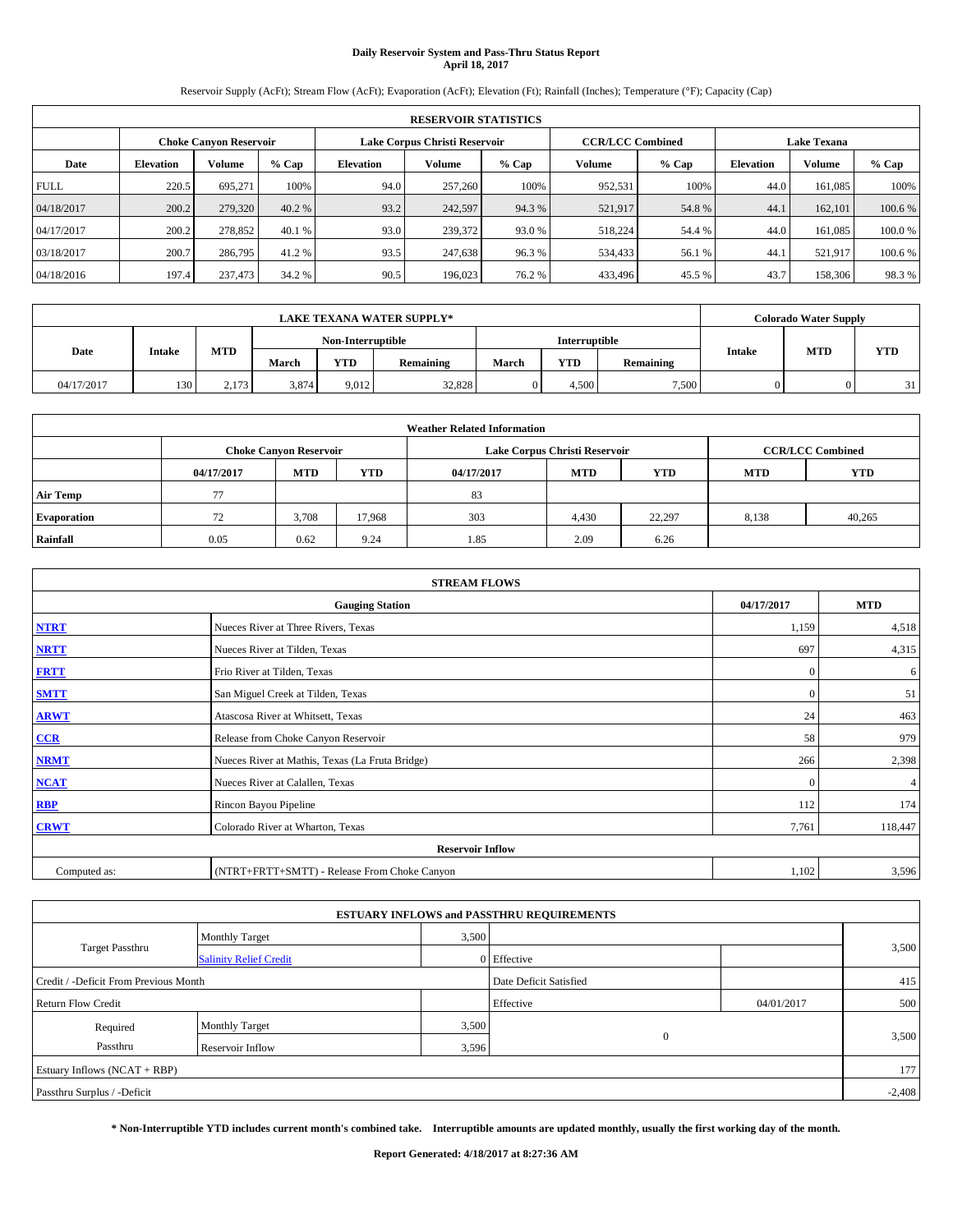## **Daily Reservoir System and Pass-Thru Status Report April 18, 2017**

Reservoir Supply (AcFt); Stream Flow (AcFt); Evaporation (AcFt); Elevation (Ft); Rainfall (Inches); Temperature (°F); Capacity (Cap)

|             | <b>RESERVOIR STATISTICS</b> |                        |         |                  |                               |         |               |                                               |                  |               |         |
|-------------|-----------------------------|------------------------|---------|------------------|-------------------------------|---------|---------------|-----------------------------------------------|------------------|---------------|---------|
|             |                             | Choke Canvon Reservoir |         |                  | Lake Corpus Christi Reservoir |         |               | <b>CCR/LCC Combined</b><br><b>Lake Texana</b> |                  |               |         |
| Date        | <b>Elevation</b>            | Volume                 | $%$ Cap | <b>Elevation</b> | Volume                        | $%$ Cap | <b>Volume</b> | $%$ Cap                                       | <b>Elevation</b> | <b>Volume</b> | % Cap   |
| <b>FULL</b> | 220.5                       | 695.271                | 100%    | 94.0             | 257,260                       | 100%    | 952,531       | 100%                                          | 44.0             | 161.085       | 100%    |
| 04/18/2017  | 200.2                       | 279,320                | 40.2 %  | 93.2             | 242,597                       | 94.3 %  | 521,917       | 54.8%                                         | 44.1             | 162,101       | 100.6 % |
| 04/17/2017  | 200.2                       | 278,852                | 40.1 %  | 93.0             | 239,372                       | 93.0 %  | 518,224       | 54.4 %                                        | 44.0             | 161.085       | 100.0%  |
| 03/18/2017  | 200.7                       | 286,795                | 41.2 %  | 93.5             | 247.638                       | 96.3%   | 534,433       | 56.1 %                                        | 44.1             | 521.917       | 100.6 % |
| 04/18/2016  | 197.4                       | 237,473                | 34.2 %  | 90.5             | 196,023                       | 76.2 %  | 433,496       | 45.5 %                                        | 43.7             | 158,306       | 98.3%   |

|            |               |            |                   |            | <b>LAKE TEXANA WATER SUPPLY*</b> |                      |            |           |               | <b>Colorado Water Supply</b> |            |
|------------|---------------|------------|-------------------|------------|----------------------------------|----------------------|------------|-----------|---------------|------------------------------|------------|
|            |               |            | Non-Interruptible |            |                                  | <b>Interruptible</b> |            |           |               |                              |            |
| Date       | <b>Intake</b> | <b>MTD</b> | March             | <b>YTD</b> | Remaining                        | March                | <b>YTD</b> | Remaining | <b>Intake</b> | <b>MTD</b>                   | <b>YTD</b> |
| 04/17/2017 | 130           | 2.173      | 3,874             | 9.012      | 32,828                           |                      | 4.500      | 7.500     |               |                              | 21         |

| <b>Weather Related Information</b> |            |                                                                                  |        |      |                               |        |       |                         |  |  |
|------------------------------------|------------|----------------------------------------------------------------------------------|--------|------|-------------------------------|--------|-------|-------------------------|--|--|
|                                    |            | <b>Choke Canvon Reservoir</b>                                                    |        |      | Lake Corpus Christi Reservoir |        |       | <b>CCR/LCC Combined</b> |  |  |
|                                    | 04/17/2017 | <b>MTD</b><br><b>YTD</b><br><b>MTD</b><br><b>YTD</b><br><b>MTD</b><br>04/17/2017 |        |      |                               |        |       | <b>YTD</b>              |  |  |
| <b>Air Temp</b>                    | 77         |                                                                                  |        | 83   |                               |        |       |                         |  |  |
| <b>Evaporation</b>                 | 72         | 3,708                                                                            | 17.968 | 303  | 4,430                         | 22.297 | 8,138 | 40,265                  |  |  |
| Rainfall                           | 0.05       | 0.62                                                                             | 9.24   | 1.85 | 2.09                          | 6.26   |       |                         |  |  |

|              | <b>STREAM FLOWS</b>                             |              |                |  |  |  |  |  |  |  |
|--------------|-------------------------------------------------|--------------|----------------|--|--|--|--|--|--|--|
|              | <b>Gauging Station</b>                          | 04/17/2017   | <b>MTD</b>     |  |  |  |  |  |  |  |
| <b>NTRT</b>  | Nueces River at Three Rivers, Texas             | 1,159        | 4,518          |  |  |  |  |  |  |  |
| <b>NRTT</b>  | Nueces River at Tilden, Texas                   | 697          | 4,315          |  |  |  |  |  |  |  |
| <b>FRTT</b>  | Frio River at Tilden, Texas                     | $\mathbf{0}$ | 6              |  |  |  |  |  |  |  |
| <b>SMTT</b>  | San Miguel Creek at Tilden, Texas               | $\mathbf{0}$ | 51             |  |  |  |  |  |  |  |
| <b>ARWT</b>  | Atascosa River at Whitsett, Texas               | 24           | 463            |  |  |  |  |  |  |  |
| $CCR$        | Release from Choke Canyon Reservoir             | 58           | 979            |  |  |  |  |  |  |  |
| <b>NRMT</b>  | Nueces River at Mathis, Texas (La Fruta Bridge) | 266          | 2,398          |  |  |  |  |  |  |  |
| <b>NCAT</b>  | Nueces River at Calallen, Texas                 | $\mathbf{0}$ | 4 <sub>1</sub> |  |  |  |  |  |  |  |
| RBP          | Rincon Bayou Pipeline                           | 112          | 174            |  |  |  |  |  |  |  |
| <b>CRWT</b>  | Colorado River at Wharton, Texas                | 7,761        | 118,447        |  |  |  |  |  |  |  |
|              | <b>Reservoir Inflow</b>                         |              |                |  |  |  |  |  |  |  |
| Computed as: | (NTRT+FRTT+SMTT) - Release From Choke Canyon    | 1,102        | 3,596          |  |  |  |  |  |  |  |

| <b>ESTUARY INFLOWS and PASSTHRU REQUIREMENTS</b> |                               |           |                        |     |       |  |  |  |  |  |
|--------------------------------------------------|-------------------------------|-----------|------------------------|-----|-------|--|--|--|--|--|
|                                                  | <b>Monthly Target</b>         | 3,500     |                        |     |       |  |  |  |  |  |
| <b>Target Passthru</b>                           | <b>Salinity Relief Credit</b> |           | 0 Effective            |     | 3,500 |  |  |  |  |  |
| Credit / -Deficit From Previous Month            |                               |           | Date Deficit Satisfied |     | 415   |  |  |  |  |  |
| <b>Return Flow Credit</b>                        |                               | Effective | 04/01/2017             | 500 |       |  |  |  |  |  |
| Required                                         | <b>Monthly Target</b>         | 3,500     |                        |     |       |  |  |  |  |  |
| Passthru                                         | Reservoir Inflow              | 3,596     | $\Omega$               |     | 3,500 |  |  |  |  |  |
| Estuary Inflows $(NCAT + RBP)$                   |                               |           |                        |     |       |  |  |  |  |  |
| Passthru Surplus / -Deficit                      |                               |           |                        |     |       |  |  |  |  |  |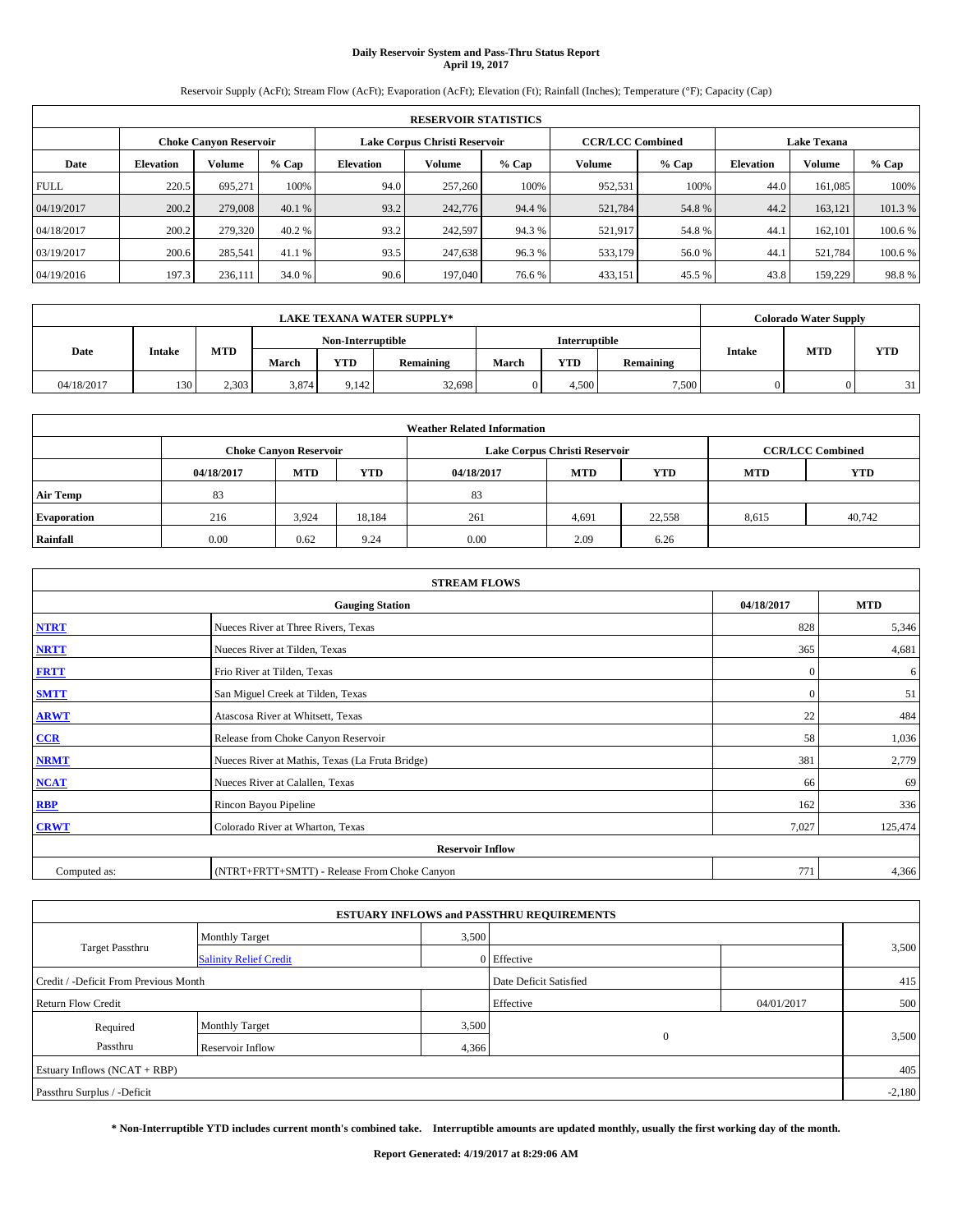## **Daily Reservoir System and Pass-Thru Status Report April 19, 2017**

Reservoir Supply (AcFt); Stream Flow (AcFt); Evaporation (AcFt); Elevation (Ft); Rainfall (Inches); Temperature (°F); Capacity (Cap)

|             | <b>RESERVOIR STATISTICS</b> |                        |         |                  |                               |         |         |                                                                                                                |      |         |         |
|-------------|-----------------------------|------------------------|---------|------------------|-------------------------------|---------|---------|----------------------------------------------------------------------------------------------------------------|------|---------|---------|
|             |                             | Choke Canvon Reservoir |         |                  | Lake Corpus Christi Reservoir |         |         | <b>CCR/LCC Combined</b><br><b>Lake Texana</b><br><b>Volume</b><br><b>Volume</b><br>$%$ Cap<br><b>Elevation</b> |      |         |         |
| Date        | <b>Elevation</b>            | Volume                 | $%$ Cap | <b>Elevation</b> | Volume                        | $%$ Cap |         |                                                                                                                |      |         | % Cap   |
| <b>FULL</b> | 220.5                       | 695.271                | 100%    | 94.0             | 257,260                       | 100%    | 952,531 | 100%                                                                                                           | 44.0 | 161.085 | 100%    |
| 04/19/2017  | 200.2                       | 279,008                | 40.1%   | 93.2             | 242,776                       | 94.4 %  | 521,784 | 54.8%                                                                                                          | 44.2 | 163,121 | 101.3%  |
| 04/18/2017  | 200.2                       | 279,320                | 40.2 %  | 93.2             | 242,597                       | 94.3 %  | 521,917 | 54.8%                                                                                                          | 44.  | 162,101 | 100.6 % |
| 03/19/2017  | 200.6                       | 285.541                | 41.1 %  | 93.5             | 247.638                       | 96.3%   | 533,179 | 56.0%                                                                                                          | 44.1 | 521.784 | 100.6 % |
| 04/19/2016  | 197.3                       | 236,111                | 34.0 %  | 90.6             | 197,040                       | 76.6 %  | 433,151 | 45.5 %                                                                                                         | 43.8 | 159,229 | 98.8%   |

|            |               |            |                   |            | <b>LAKE TEXANA WATER SUPPLY*</b> |                      |            |           |               | <b>Colorado Water Supply</b> |            |
|------------|---------------|------------|-------------------|------------|----------------------------------|----------------------|------------|-----------|---------------|------------------------------|------------|
| Date       |               |            | Non-Interruptible |            |                                  | <b>Interruptible</b> |            |           |               |                              |            |
|            | <b>Intake</b> | <b>MTD</b> | March             | <b>YTD</b> | Remaining                        | March                | <b>YTD</b> | Remaining | <b>Intake</b> | <b>MTD</b>                   | <b>YTD</b> |
| 04/18/2017 | 130           | 2.303      | 3,874             | 9.142      | 32,698                           |                      | 4.500      | 7.500     |               |                              | 21         |

| <b>Weather Related Information</b> |            |                                                                                  |        |      |                               |        |                         |            |  |  |
|------------------------------------|------------|----------------------------------------------------------------------------------|--------|------|-------------------------------|--------|-------------------------|------------|--|--|
|                                    |            | <b>Choke Canvon Reservoir</b>                                                    |        |      | Lake Corpus Christi Reservoir |        | <b>CCR/LCC Combined</b> |            |  |  |
|                                    | 04/18/2017 | <b>YTD</b><br><b>MTD</b><br><b>MTD</b><br><b>YTD</b><br><b>MTD</b><br>04/18/2017 |        |      |                               |        |                         | <b>YTD</b> |  |  |
| <b>Air Temp</b>                    | 83         |                                                                                  |        | 83   |                               |        |                         |            |  |  |
| <b>Evaporation</b>                 | 216        | 3,924                                                                            | 18,184 | 261  | 4,691                         | 22,558 | 8,615                   | 40,742     |  |  |
| Rainfall                           | 0.00       | 0.62                                                                             | 9.24   | 0.00 | 2.09                          | 6.26   |                         |            |  |  |

|              | <b>STREAM FLOWS</b>                             |              |            |  |  |  |  |  |  |  |
|--------------|-------------------------------------------------|--------------|------------|--|--|--|--|--|--|--|
|              | <b>Gauging Station</b>                          | 04/18/2017   | <b>MTD</b> |  |  |  |  |  |  |  |
| <b>NTRT</b>  | Nueces River at Three Rivers, Texas             | 828          | 5,346      |  |  |  |  |  |  |  |
| <b>NRTT</b>  | Nueces River at Tilden, Texas                   | 365          | 4,681      |  |  |  |  |  |  |  |
| <b>FRTT</b>  | Frio River at Tilden, Texas                     | $\mathbf{0}$ | 6          |  |  |  |  |  |  |  |
| <b>SMTT</b>  | San Miguel Creek at Tilden, Texas               | $\mathbf{0}$ | 51         |  |  |  |  |  |  |  |
| <b>ARWT</b>  | Atascosa River at Whitsett, Texas               | 22           | 484        |  |  |  |  |  |  |  |
| $CCR$        | Release from Choke Canyon Reservoir             | 58           | 1,036      |  |  |  |  |  |  |  |
| <b>NRMT</b>  | Nueces River at Mathis, Texas (La Fruta Bridge) | 381          | 2,779      |  |  |  |  |  |  |  |
| <b>NCAT</b>  | Nueces River at Calallen, Texas                 | 66           | 69         |  |  |  |  |  |  |  |
| RBP          | Rincon Bayou Pipeline                           | 162          | 336        |  |  |  |  |  |  |  |
| <b>CRWT</b>  | Colorado River at Wharton, Texas                | 7,027        | 125,474    |  |  |  |  |  |  |  |
|              | <b>Reservoir Inflow</b>                         |              |            |  |  |  |  |  |  |  |
| Computed as: | (NTRT+FRTT+SMTT) - Release From Choke Canyon    | 771          | 4,366      |  |  |  |  |  |  |  |

| <b>ESTUARY INFLOWS and PASSTHRU REQUIREMENTS</b> |                               |           |                        |     |       |  |  |  |  |  |
|--------------------------------------------------|-------------------------------|-----------|------------------------|-----|-------|--|--|--|--|--|
|                                                  | <b>Monthly Target</b>         | 3,500     |                        |     |       |  |  |  |  |  |
| <b>Target Passthru</b>                           | <b>Salinity Relief Credit</b> |           | 0 Effective            |     | 3,500 |  |  |  |  |  |
| Credit / -Deficit From Previous Month            |                               |           | Date Deficit Satisfied |     | 415   |  |  |  |  |  |
| <b>Return Flow Credit</b>                        |                               | Effective | 04/01/2017             | 500 |       |  |  |  |  |  |
| Required                                         | <b>Monthly Target</b>         | 3,500     |                        |     |       |  |  |  |  |  |
| Passthru                                         | Reservoir Inflow              | 4,366     | $\Omega$               |     | 3,500 |  |  |  |  |  |
| Estuary Inflows $(NCAT + RBP)$                   |                               |           |                        |     |       |  |  |  |  |  |
| Passthru Surplus / -Deficit                      |                               |           |                        |     |       |  |  |  |  |  |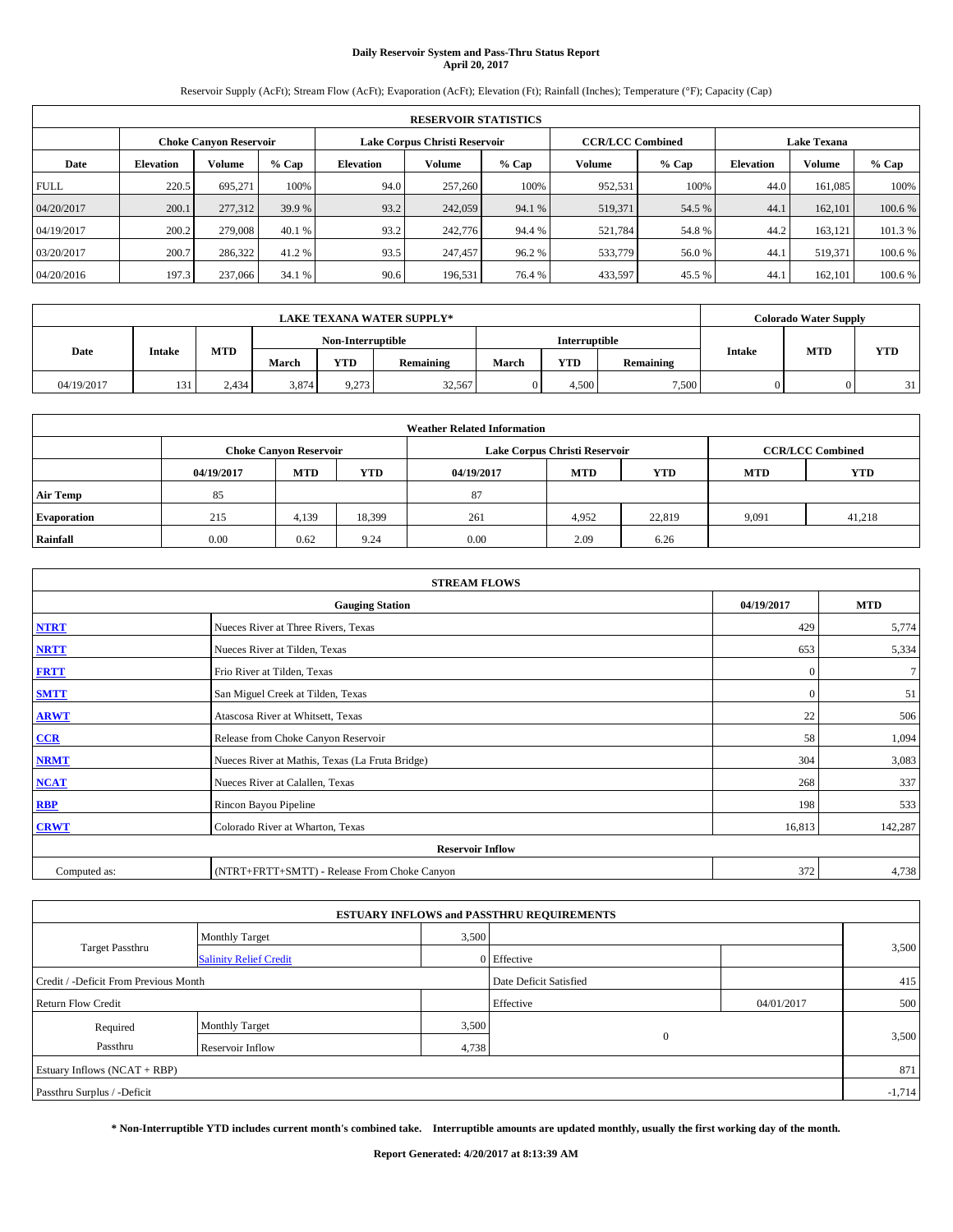## **Daily Reservoir System and Pass-Thru Status Report April 20, 2017**

Reservoir Supply (AcFt); Stream Flow (AcFt); Evaporation (AcFt); Elevation (Ft); Rainfall (Inches); Temperature (°F); Capacity (Cap)

|             | <b>RESERVOIR STATISTICS</b> |                        |         |                  |                               |         |                                               |         |                  |               |         |
|-------------|-----------------------------|------------------------|---------|------------------|-------------------------------|---------|-----------------------------------------------|---------|------------------|---------------|---------|
|             |                             | Choke Canvon Reservoir |         |                  | Lake Corpus Christi Reservoir |         | <b>CCR/LCC Combined</b><br><b>Lake Texana</b> |         |                  |               |         |
| Date        | <b>Elevation</b>            | Volume                 | $%$ Cap | <b>Elevation</b> | Volume                        | $%$ Cap | <b>Volume</b>                                 | $%$ Cap | <b>Elevation</b> | <b>Volume</b> | % Cap   |
| <b>FULL</b> | 220.5                       | 695.271                | 100%    | 94.0             | 257,260                       | 100%    | 952,531                                       | 100%    | 44.0             | 161.085       | 100%    |
| 04/20/2017  | 200.1                       | 277,312                | 39.9 %  | 93.2             | 242,059                       | 94.1 %  | 519,371                                       | 54.5 %  | 44.1             | 162,101       | 100.6 % |
| 04/19/2017  | 200.2                       | 279,008                | 40.1 %  | 93.2             | 242,776                       | 94.4 %  | 521,784                                       | 54.8%   | 44.2             | 163,121       | 101.3 % |
| 03/20/2017  | 200.7                       | 286,322                | 41.2 %  | 93.5             | 247,457                       | 96.2%   | 533,779                                       | 56.0%   | 44.1             | 519.371       | 100.6 % |
| 04/20/2016  | 197.3                       | 237,066                | 34.1 %  | 90.6             | 196,531                       | 76.4 %  | 433,597                                       | 45.5 %  | 44.              | 162,101       | 100.6 % |

|            | <b>LAKE TEXANA WATER SUPPLY*</b> |            |                   |            |           |                      |            |           |        | <b>Colorado Water Supply</b> |            |
|------------|----------------------------------|------------|-------------------|------------|-----------|----------------------|------------|-----------|--------|------------------------------|------------|
|            |                                  |            | Non-Interruptible |            |           | <b>Interruptible</b> |            |           |        |                              |            |
| Date       | <b>Intake</b>                    | <b>MTD</b> | March             | <b>YTD</b> | Remaining | March                | <b>YTD</b> | Remaining | Intake | <b>MTD</b>                   | <b>YTD</b> |
| 04/19/2017 | 131                              | 2.434      | 3,874             | 9,273      | 32,567    |                      | 4.500      | 7.500     |        |                              | 21         |

|                    | <b>Weather Related Information</b>                                                             |                               |        |      |                               |                         |       |            |  |  |  |  |
|--------------------|------------------------------------------------------------------------------------------------|-------------------------------|--------|------|-------------------------------|-------------------------|-------|------------|--|--|--|--|
|                    |                                                                                                | <b>Choke Canyon Reservoir</b> |        |      | Lake Corpus Christi Reservoir | <b>CCR/LCC Combined</b> |       |            |  |  |  |  |
|                    | <b>MTD</b><br><b>YTD</b><br><b>MTD</b><br><b>YTD</b><br><b>MTD</b><br>04/19/2017<br>04/19/2017 |                               |        |      |                               |                         |       | <b>YTD</b> |  |  |  |  |
| <b>Air Temp</b>    | 85                                                                                             |                               |        | 87   |                               |                         |       |            |  |  |  |  |
| <b>Evaporation</b> | 215                                                                                            | 4,139                         | 18,399 | 261  | 4,952                         | 22,819                  | 9,091 | 41,218     |  |  |  |  |
| Rainfall           | 0.00                                                                                           | 0.62                          | 9.24   | 0.00 | 2.09                          | 6.26                    |       |            |  |  |  |  |

| <b>STREAM FLOWS</b> |                                                 |              |            |  |  |  |  |  |
|---------------------|-------------------------------------------------|--------------|------------|--|--|--|--|--|
|                     | <b>Gauging Station</b>                          | 04/19/2017   | <b>MTD</b> |  |  |  |  |  |
| <b>NTRT</b>         | Nueces River at Three Rivers, Texas             | 429          | 5,774      |  |  |  |  |  |
| <b>NRTT</b>         | Nueces River at Tilden, Texas                   | 653          | 5,334      |  |  |  |  |  |
| <b>FRTT</b>         | Frio River at Tilden, Texas                     | $\mathbf{0}$ | 7          |  |  |  |  |  |
| <b>SMTT</b>         | San Miguel Creek at Tilden, Texas               | $\mathbf{0}$ | 51         |  |  |  |  |  |
| <b>ARWT</b>         | Atascosa River at Whitsett, Texas               | 22           | 506        |  |  |  |  |  |
| $CCR$               | Release from Choke Canyon Reservoir             | 58           | 1,094      |  |  |  |  |  |
| <b>NRMT</b>         | Nueces River at Mathis, Texas (La Fruta Bridge) | 304          | 3,083      |  |  |  |  |  |
| <b>NCAT</b>         | Nueces River at Calallen, Texas                 | 268          | 337        |  |  |  |  |  |
| RBP                 | Rincon Bayou Pipeline                           | 198          | 533        |  |  |  |  |  |
| <b>CRWT</b>         | Colorado River at Wharton, Texas                | 16,813       | 142,287    |  |  |  |  |  |
|                     | <b>Reservoir Inflow</b>                         |              |            |  |  |  |  |  |
| Computed as:        | (NTRT+FRTT+SMTT) - Release From Choke Canyon    |              |            |  |  |  |  |  |

|                                       |                               |       | <b>ESTUARY INFLOWS and PASSTHRU REQUIREMENTS</b> |            |          |
|---------------------------------------|-------------------------------|-------|--------------------------------------------------|------------|----------|
|                                       | <b>Monthly Target</b>         | 3,500 |                                                  |            |          |
| <b>Target Passthru</b>                | <b>Salinity Relief Credit</b> |       | 0 Effective                                      |            | 3,500    |
| Credit / -Deficit From Previous Month |                               |       | Date Deficit Satisfied                           |            | 415      |
| <b>Return Flow Credit</b>             |                               |       | Effective                                        | 04/01/2017 | 500      |
| Required                              | <b>Monthly Target</b>         | 3,500 |                                                  |            |          |
| Passthru                              | Reservoir Inflow              | 4,738 | $\Omega$                                         |            | 3,500    |
| Estuary Inflows $(NCAT + RBP)$        |                               |       |                                                  |            | 871      |
| Passthru Surplus / -Deficit           |                               |       |                                                  |            | $-1,714$ |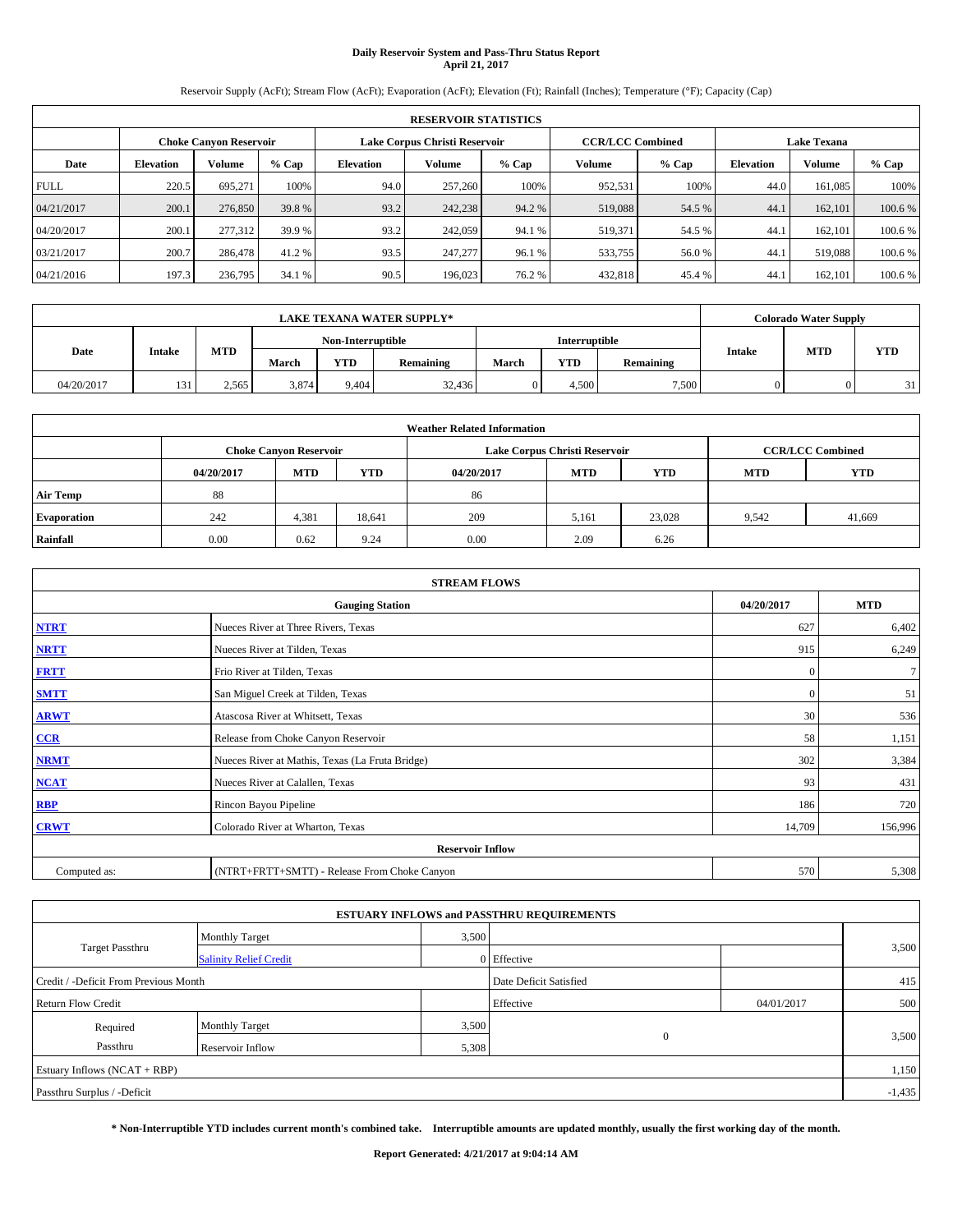## **Daily Reservoir System and Pass-Thru Status Report April 21, 2017**

Reservoir Supply (AcFt); Stream Flow (AcFt); Evaporation (AcFt); Elevation (Ft); Rainfall (Inches); Temperature (°F); Capacity (Cap)

|                                                         | <b>RESERVOIR STATISTICS</b> |         |         |                  |         |                         |               |                    |                  |               |         |  |  |
|---------------------------------------------------------|-----------------------------|---------|---------|------------------|---------|-------------------------|---------------|--------------------|------------------|---------------|---------|--|--|
| Lake Corpus Christi Reservoir<br>Choke Canvon Reservoir |                             |         |         |                  |         | <b>CCR/LCC Combined</b> |               | <b>Lake Texana</b> |                  |               |         |  |  |
| Date                                                    | <b>Elevation</b>            | Volume  | $%$ Cap | <b>Elevation</b> | Volume  | $%$ Cap                 | <b>Volume</b> | $%$ Cap            | <b>Elevation</b> | <b>Volume</b> | % Cap   |  |  |
| <b>FULL</b>                                             | 220.5                       | 695.271 | 100%    | 94.0             | 257,260 | 100%                    | 952,531       | 100%               | 44.0             | 161.085       | 100%    |  |  |
| 04/21/2017                                              | 200.1                       | 276,850 | 39.8 %  | 93.2             | 242,238 | 94.2 %                  | 519,088       | 54.5 %             | 44.1             | 162,101       | 100.6 % |  |  |
| 04/20/2017                                              | 200.1                       | 277,312 | 39.9 %  | 93.2             | 242,059 | 94.1 %                  | 519,371       | 54.5 %             | 44.              | 162,101       | 100.6 % |  |  |
| 03/21/2017                                              | 200.7                       | 286,478 | 41.2 %  | 93.5             | 247,277 | 96.1 %                  | 533,755       | 56.0%              | 44.              | 519,088       | 100.6 % |  |  |
| 04/21/2016                                              | 197.3                       | 236,795 | 34.1 %  | 90.5             | 196,023 | 76.2 %                  | 432,818       | 45.4 %             | 44.              | 162,101       | 100.6 % |  |  |

|            | <b>LAKE TEXANA WATER SUPPLY*</b> |            |       |                   |           |                      |            |           |        | <b>Colorado Water Supply</b> |            |
|------------|----------------------------------|------------|-------|-------------------|-----------|----------------------|------------|-----------|--------|------------------------------|------------|
|            |                                  |            |       | Non-Interruptible |           | <b>Interruptible</b> |            |           |        |                              |            |
| Date       | <b>Intake</b>                    | <b>MTD</b> | March | <b>YTD</b>        | Remaining | March                | <b>YTD</b> | Remaining | Intake | <b>MTD</b>                   | <b>YTD</b> |
| 04/20/2017 | 131                              | 2,565      | 3,874 | 9.404             | 32,436    |                      | 4,500      | 7.500     |        |                              | 31         |

|                    | <b>Weather Related Information</b>                                                             |                               |        |      |                               |                         |       |        |  |  |  |  |
|--------------------|------------------------------------------------------------------------------------------------|-------------------------------|--------|------|-------------------------------|-------------------------|-------|--------|--|--|--|--|
|                    |                                                                                                | <b>Choke Canyon Reservoir</b> |        |      | Lake Corpus Christi Reservoir | <b>CCR/LCC Combined</b> |       |        |  |  |  |  |
|                    | <b>MTD</b><br><b>YTD</b><br>04/20/2017<br><b>MTD</b><br><b>YTD</b><br><b>MTD</b><br>04/20/2017 |                               |        |      |                               |                         |       |        |  |  |  |  |
| <b>Air Temp</b>    | 88                                                                                             |                               |        | 86   |                               |                         |       |        |  |  |  |  |
| <b>Evaporation</b> | 242                                                                                            | 4,381                         | 18,641 | 209  | 5,161                         | 23,028                  | 9,542 | 41,669 |  |  |  |  |
| Rainfall           | 0.00                                                                                           | 0.62                          | 9.24   | 0.00 | 2.09                          | 6.26                    |       |        |  |  |  |  |

| <b>STREAM FLOWS</b> |                                                 |              |            |  |  |  |  |  |
|---------------------|-------------------------------------------------|--------------|------------|--|--|--|--|--|
|                     | <b>Gauging Station</b>                          | 04/20/2017   | <b>MTD</b> |  |  |  |  |  |
| <b>NTRT</b>         | Nueces River at Three Rivers, Texas             | 627          | 6,402      |  |  |  |  |  |
| <b>NRTT</b>         | Nueces River at Tilden, Texas                   | 915          | 6,249      |  |  |  |  |  |
| <b>FRTT</b>         | Frio River at Tilden, Texas                     | $\mathbf{0}$ | 7          |  |  |  |  |  |
| <b>SMTT</b>         | San Miguel Creek at Tilden, Texas               | $\mathbf{0}$ | 51         |  |  |  |  |  |
| <b>ARWT</b>         | Atascosa River at Whitsett, Texas               | 30           | 536        |  |  |  |  |  |
| $CCR$               | Release from Choke Canyon Reservoir             | 58           | 1,151      |  |  |  |  |  |
| <b>NRMT</b>         | Nueces River at Mathis, Texas (La Fruta Bridge) | 302          | 3,384      |  |  |  |  |  |
| <b>NCAT</b>         | Nueces River at Calallen, Texas                 | 93           | 431        |  |  |  |  |  |
| RBP                 | Rincon Bayou Pipeline                           | 186          | 720        |  |  |  |  |  |
| <b>CRWT</b>         | Colorado River at Wharton, Texas                | 14,709       | 156,996    |  |  |  |  |  |
|                     | <b>Reservoir Inflow</b>                         |              |            |  |  |  |  |  |
| Computed as:        | (NTRT+FRTT+SMTT) - Release From Choke Canyon    |              |            |  |  |  |  |  |

|                                       |                               |       | <b>ESTUARY INFLOWS and PASSTHRU REQUIREMENTS</b> |            |          |  |
|---------------------------------------|-------------------------------|-------|--------------------------------------------------|------------|----------|--|
|                                       | <b>Monthly Target</b>         | 3,500 |                                                  |            |          |  |
| <b>Target Passthru</b>                | <b>Salinity Relief Credit</b> |       | 0 Effective                                      |            | 3,500    |  |
| Credit / -Deficit From Previous Month |                               |       | Date Deficit Satisfied                           |            | 415      |  |
| <b>Return Flow Credit</b>             |                               |       | Effective                                        | 04/01/2017 | 500      |  |
| Required                              | <b>Monthly Target</b>         | 3,500 |                                                  |            |          |  |
| Passthru                              | Reservoir Inflow              | 5,308 | $\Omega$                                         |            | 3,500    |  |
| Estuary Inflows $(NCAT + RBP)$        |                               |       |                                                  |            | 1,150    |  |
| Passthru Surplus / -Deficit           |                               |       |                                                  |            | $-1,435$ |  |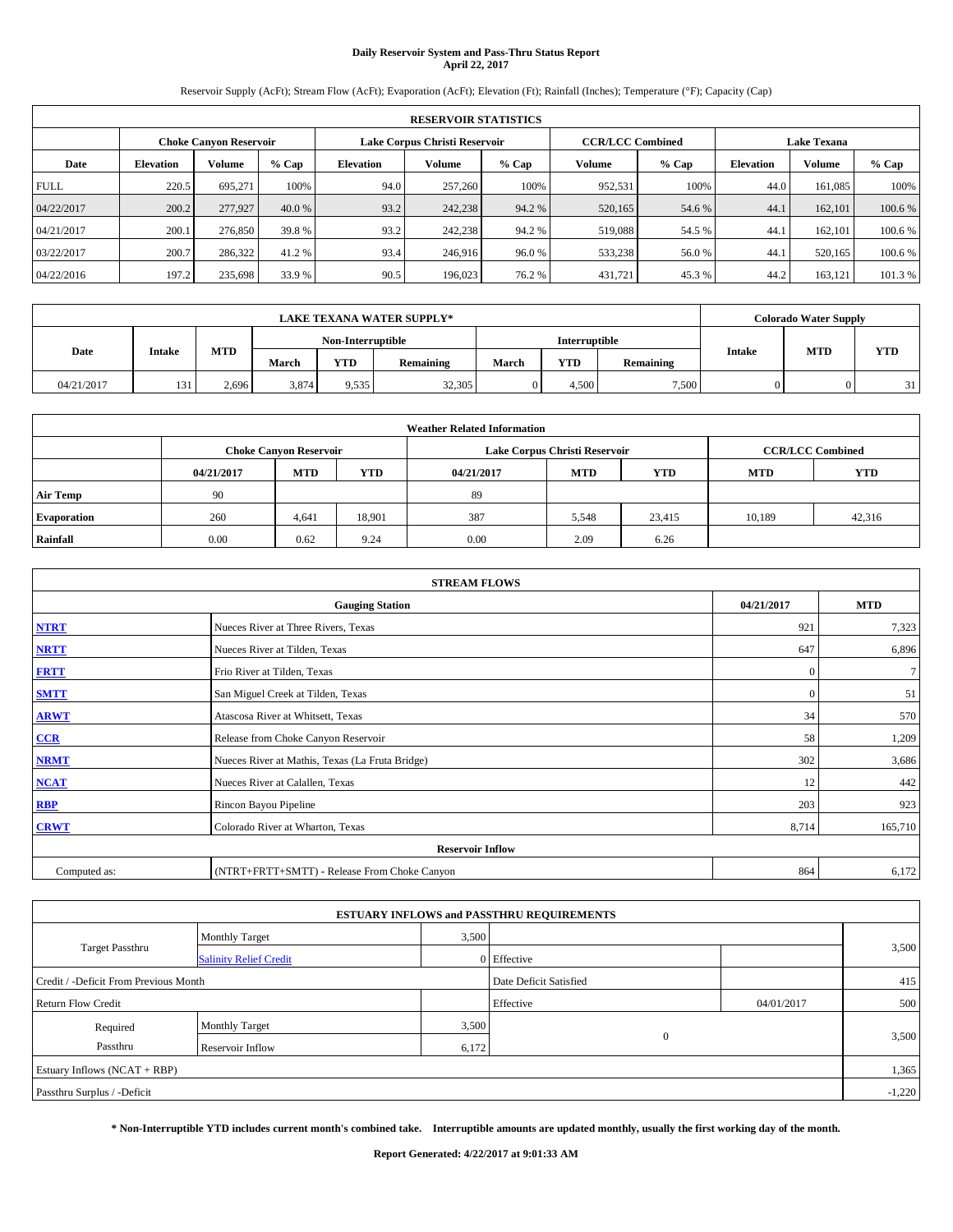## **Daily Reservoir System and Pass-Thru Status Report April 22, 2017**

Reservoir Supply (AcFt); Stream Flow (AcFt); Evaporation (AcFt); Elevation (Ft); Rainfall (Inches); Temperature (°F); Capacity (Cap)

|                                                         | <b>RESERVOIR STATISTICS</b> |         |         |                  |         |                         |               |                    |                  |               |         |  |  |
|---------------------------------------------------------|-----------------------------|---------|---------|------------------|---------|-------------------------|---------------|--------------------|------------------|---------------|---------|--|--|
| Lake Corpus Christi Reservoir<br>Choke Canvon Reservoir |                             |         |         |                  |         | <b>CCR/LCC Combined</b> |               | <b>Lake Texana</b> |                  |               |         |  |  |
| Date                                                    | <b>Elevation</b>            | Volume  | $%$ Cap | <b>Elevation</b> | Volume  | $%$ Cap                 | <b>Volume</b> | $%$ Cap            | <b>Elevation</b> | <b>Volume</b> | % Cap   |  |  |
| <b>FULL</b>                                             | 220.5                       | 695.271 | 100%    | 94.0             | 257,260 | 100%                    | 952,531       | 100%               | 44.0             | 161.085       | 100%    |  |  |
| 04/22/2017                                              | 200.2                       | 277,927 | 40.0 %  | 93.2             | 242,238 | 94.2 %                  | 520,165       | 54.6 %             | 44.1             | 162,101       | 100.6 % |  |  |
| 04/21/2017                                              | 200.1                       | 276,850 | 39.8 %  | 93.2             | 242,238 | 94.2 %                  | 519,088       | 54.5 %             | 44.              | 162,101       | 100.6 % |  |  |
| 03/22/2017                                              | 200.7                       | 286,322 | 41.2 %  | 93.4             | 246,916 | 96.0%                   | 533,238       | 56.0%              | 44.              | 520.165       | 100.6 % |  |  |
| 04/22/2016                                              | 197.2                       | 235,698 | 33.9 %  | 90.5             | 196,023 | 76.2 %                  | 431,721       | 45.3%              | 44.2             | 163,121       | 101.3 % |  |  |

|            |               |            |       |                   | <b>LAKE TEXANA WATER SUPPLY*</b> |                      |            |           | <b>Colorado Water Supply</b> |            |
|------------|---------------|------------|-------|-------------------|----------------------------------|----------------------|------------|-----------|------------------------------|------------|
|            |               |            |       | Non-Interruptible |                                  | <b>Interruptible</b> |            |           |                              |            |
| Date       | <b>Intake</b> | <b>MTD</b> | March | <b>YTD</b>        | Remaining                        | March                | <b>YTD</b> | Remaining | <b>MTD</b><br>Intake         | <b>YTD</b> |
| 04/21/2017 | 131           | 2,696      | 3,874 | 9,535             | 32,305                           |                      | 4.500      | 7.500     |                              | 21         |

|                    | <b>Weather Related Information</b> |                                                                                  |        |      |                               |                         |        |        |  |  |  |  |
|--------------------|------------------------------------|----------------------------------------------------------------------------------|--------|------|-------------------------------|-------------------------|--------|--------|--|--|--|--|
|                    |                                    | <b>Choke Canyon Reservoir</b>                                                    |        |      | Lake Corpus Christi Reservoir | <b>CCR/LCC Combined</b> |        |        |  |  |  |  |
|                    | 04/21/2017                         | <b>YTD</b><br><b>MTD</b><br><b>MTD</b><br><b>YTD</b><br><b>MTD</b><br>04/21/2017 |        |      |                               |                         |        |        |  |  |  |  |
| <b>Air Temp</b>    | 90                                 |                                                                                  |        | 89   |                               |                         |        |        |  |  |  |  |
| <b>Evaporation</b> | 260                                | 4,641                                                                            | 18,901 | 387  | 5,548                         | 23,415                  | 10,189 | 42,316 |  |  |  |  |
| Rainfall           | 0.00                               | 0.62                                                                             | 9.24   | 0.00 | 2.09                          | 6.26                    |        |        |  |  |  |  |

| <b>STREAM FLOWS</b> |                                                 |              |         |  |  |  |  |  |  |  |
|---------------------|-------------------------------------------------|--------------|---------|--|--|--|--|--|--|--|
|                     | 04/21/2017                                      | <b>MTD</b>   |         |  |  |  |  |  |  |  |
| <b>NTRT</b>         | Nueces River at Three Rivers, Texas             |              |         |  |  |  |  |  |  |  |
| <b>NRTT</b>         | Nueces River at Tilden, Texas                   | 647          | 6,896   |  |  |  |  |  |  |  |
| <b>FRTT</b>         | Frio River at Tilden, Texas                     | $\mathbf{0}$ | 7       |  |  |  |  |  |  |  |
| <b>SMTT</b>         | San Miguel Creek at Tilden, Texas               | $\mathbf{0}$ | 51      |  |  |  |  |  |  |  |
| <b>ARWT</b>         | Atascosa River at Whitsett, Texas               | 34           | 570     |  |  |  |  |  |  |  |
| $CCR$               | Release from Choke Canyon Reservoir             | 58           | 1,209   |  |  |  |  |  |  |  |
| <b>NRMT</b>         | Nueces River at Mathis, Texas (La Fruta Bridge) | 302          | 3,686   |  |  |  |  |  |  |  |
| <b>NCAT</b>         | Nueces River at Calallen, Texas                 | 12           | 442     |  |  |  |  |  |  |  |
| RBP                 | Rincon Bayou Pipeline                           | 203          | 923     |  |  |  |  |  |  |  |
| <b>CRWT</b>         | Colorado River at Wharton, Texas                | 8,714        | 165,710 |  |  |  |  |  |  |  |
|                     |                                                 |              |         |  |  |  |  |  |  |  |
| Computed as:        | (NTRT+FRTT+SMTT) - Release From Choke Canyon    | 864          | 6,172   |  |  |  |  |  |  |  |

| <b>ESTUARY INFLOWS and PASSTHRU REQUIREMENTS</b> |                               |       |                        |            |          |  |  |  |  |  |
|--------------------------------------------------|-------------------------------|-------|------------------------|------------|----------|--|--|--|--|--|
|                                                  | <b>Monthly Target</b>         | 3,500 |                        |            |          |  |  |  |  |  |
| <b>Target Passthru</b>                           | <b>Salinity Relief Credit</b> |       | 0 Effective            |            | 3,500    |  |  |  |  |  |
| Credit / -Deficit From Previous Month            |                               |       | Date Deficit Satisfied |            | 415      |  |  |  |  |  |
| <b>Return Flow Credit</b>                        |                               |       | Effective              | 04/01/2017 | 500      |  |  |  |  |  |
| Required                                         | <b>Monthly Target</b>         | 3,500 |                        |            |          |  |  |  |  |  |
| Passthru                                         | Reservoir Inflow              | 6,172 | $\Omega$               |            | 3,500    |  |  |  |  |  |
| Estuary Inflows $(NCAT + RBP)$                   |                               |       |                        |            |          |  |  |  |  |  |
| Passthru Surplus / -Deficit                      |                               |       |                        |            | $-1,220$ |  |  |  |  |  |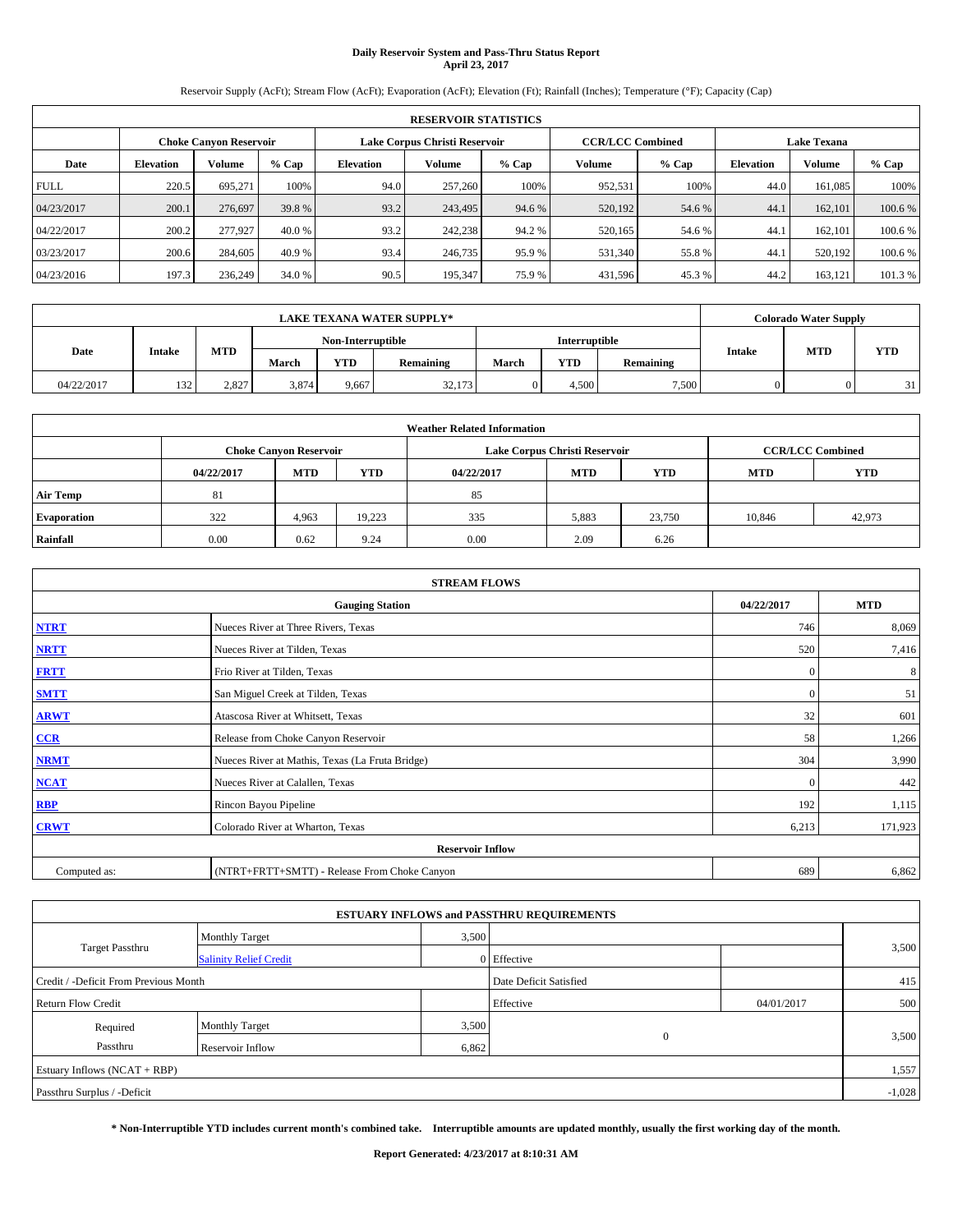## **Daily Reservoir System and Pass-Thru Status Report April 23, 2017**

Reservoir Supply (AcFt); Stream Flow (AcFt); Evaporation (AcFt); Elevation (Ft); Rainfall (Inches); Temperature (°F); Capacity (Cap)

|             | <b>RESERVOIR STATISTICS</b> |                        |         |                  |                               |         |                         |         |                  |                    |         |  |
|-------------|-----------------------------|------------------------|---------|------------------|-------------------------------|---------|-------------------------|---------|------------------|--------------------|---------|--|
|             |                             | Choke Canvon Reservoir |         |                  | Lake Corpus Christi Reservoir |         | <b>CCR/LCC Combined</b> |         |                  | <b>Lake Texana</b> |         |  |
| Date        | <b>Elevation</b>            | Volume                 | $%$ Cap | <b>Elevation</b> | Volume                        | $%$ Cap | <b>Volume</b>           | $%$ Cap | <b>Elevation</b> | <b>Volume</b>      | % Cap   |  |
| <b>FULL</b> | 220.5                       | 695.271                | 100%    | 94.0             | 257,260                       | 100%    | 952,531                 | 100%    | 44.0             | 161.085            | 100%    |  |
| 04/23/2017  | 200.1                       | 276,697                | 39.8 %  | 93.2             | 243,495                       | 94.6 %  | 520,192                 | 54.6 %  | 44.1             | 162,101            | 100.6 % |  |
| 04/22/2017  | 200.2                       | 277,927                | 40.0%   | 93.2             | 242,238                       | 94.2 %  | 520,165                 | 54.6 %  | 44.              | 162,101            | 100.6 % |  |
| 03/23/2017  | 200.6                       | 284,605                | 40.9 %  | 93.4             | 246,735                       | 95.9%   | 531,340                 | 55.8%   | 44.1             | 520.192            | 100.6 % |  |
| 04/23/2016  | 197.3                       | 236,249                | 34.0 %  | 90.5             | 195,347                       | 75.9%   | 431,596                 | 45.3%   | 44.2             | 163,121            | 101.3 % |  |

| <b>LAKE TEXANA WATER SUPPLY*</b> |                   |            |       |            |           |                      |            | <b>Colorado Water Supply</b> |        |            |            |
|----------------------------------|-------------------|------------|-------|------------|-----------|----------------------|------------|------------------------------|--------|------------|------------|
|                                  | Non-Interruptible |            |       |            |           | <b>Interruptible</b> |            |                              |        |            |            |
| Date                             | <b>Intake</b>     | <b>MTD</b> | March | <b>YTD</b> | Remaining | March                | <b>YTD</b> | Remaining                    | Intake | <b>MTD</b> | <b>YTD</b> |
| 04/22/2017                       | 132               | 2.827      | 3,874 | 9.667      | 32,173    |                      | 4.500      | 7.500                        |        |            | 21         |

| <b>Weather Related Information</b> |            |                               |            |            |                               |                         |            |            |  |  |  |
|------------------------------------|------------|-------------------------------|------------|------------|-------------------------------|-------------------------|------------|------------|--|--|--|
|                                    |            | <b>Choke Canyon Reservoir</b> |            |            | Lake Corpus Christi Reservoir | <b>CCR/LCC Combined</b> |            |            |  |  |  |
|                                    | 04/22/2017 | <b>MTD</b>                    | <b>YTD</b> | 04/22/2017 | <b>MTD</b>                    | <b>YTD</b>              | <b>MTD</b> | <b>YTD</b> |  |  |  |
| <b>Air Temp</b>                    | 81         |                               |            | 85         |                               |                         |            |            |  |  |  |
| <b>Evaporation</b>                 | 322        | 4,963                         | 19.223     | 335        | 5,883                         | 23,750                  | 10.846     | 42,973     |  |  |  |
| Rainfall                           | 0.00       | 0.62                          | 9.24       | 0.00       | 2.09                          | 6.26                    |            |            |  |  |  |

| <b>STREAM FLOWS</b> |                                                 |              |         |  |  |  |  |  |  |
|---------------------|-------------------------------------------------|--------------|---------|--|--|--|--|--|--|
|                     | <b>Gauging Station</b>                          |              |         |  |  |  |  |  |  |
| <b>NTRT</b>         | Nueces River at Three Rivers, Texas             |              |         |  |  |  |  |  |  |
| <b>NRTT</b>         | Nueces River at Tilden, Texas                   | 520          | 7,416   |  |  |  |  |  |  |
| <b>FRTT</b>         | Frio River at Tilden, Texas                     | $\mathbf{0}$ | 8       |  |  |  |  |  |  |
| <b>SMTT</b>         | San Miguel Creek at Tilden, Texas               | $\mathbf{0}$ | 51      |  |  |  |  |  |  |
| <b>ARWT</b>         | Atascosa River at Whitsett, Texas               | 32           | 601     |  |  |  |  |  |  |
| $CCR$               | Release from Choke Canyon Reservoir             | 58           | 1,266   |  |  |  |  |  |  |
| <b>NRMT</b>         | Nueces River at Mathis, Texas (La Fruta Bridge) | 304          | 3,990   |  |  |  |  |  |  |
| <b>NCAT</b>         | Nueces River at Calallen, Texas                 | $\mathbf{0}$ | 442     |  |  |  |  |  |  |
| RBP                 | Rincon Bayou Pipeline                           | 192          | 1,115   |  |  |  |  |  |  |
| <b>CRWT</b>         | Colorado River at Wharton, Texas                | 6,213        | 171,923 |  |  |  |  |  |  |
|                     |                                                 |              |         |  |  |  |  |  |  |
| Computed as:        | (NTRT+FRTT+SMTT) - Release From Choke Canyon    | 689          | 6,862   |  |  |  |  |  |  |

| <b>ESTUARY INFLOWS and PASSTHRU REQUIREMENTS</b> |                               |       |                        |            |          |  |  |  |  |  |
|--------------------------------------------------|-------------------------------|-------|------------------------|------------|----------|--|--|--|--|--|
|                                                  | <b>Monthly Target</b>         | 3,500 |                        |            |          |  |  |  |  |  |
| <b>Target Passthru</b>                           | <b>Salinity Relief Credit</b> |       | 0 Effective            |            | 3,500    |  |  |  |  |  |
| Credit / -Deficit From Previous Month            |                               |       | Date Deficit Satisfied |            | 415      |  |  |  |  |  |
| <b>Return Flow Credit</b>                        |                               |       | Effective              | 04/01/2017 | 500      |  |  |  |  |  |
| Required                                         | <b>Monthly Target</b>         | 3,500 |                        |            |          |  |  |  |  |  |
| Passthru                                         | Reservoir Inflow              | 6,862 | $\Omega$               |            | 3,500    |  |  |  |  |  |
| Estuary Inflows $(NCAT + RBP)$                   |                               |       |                        |            |          |  |  |  |  |  |
| Passthru Surplus / -Deficit                      |                               |       |                        |            | $-1,028$ |  |  |  |  |  |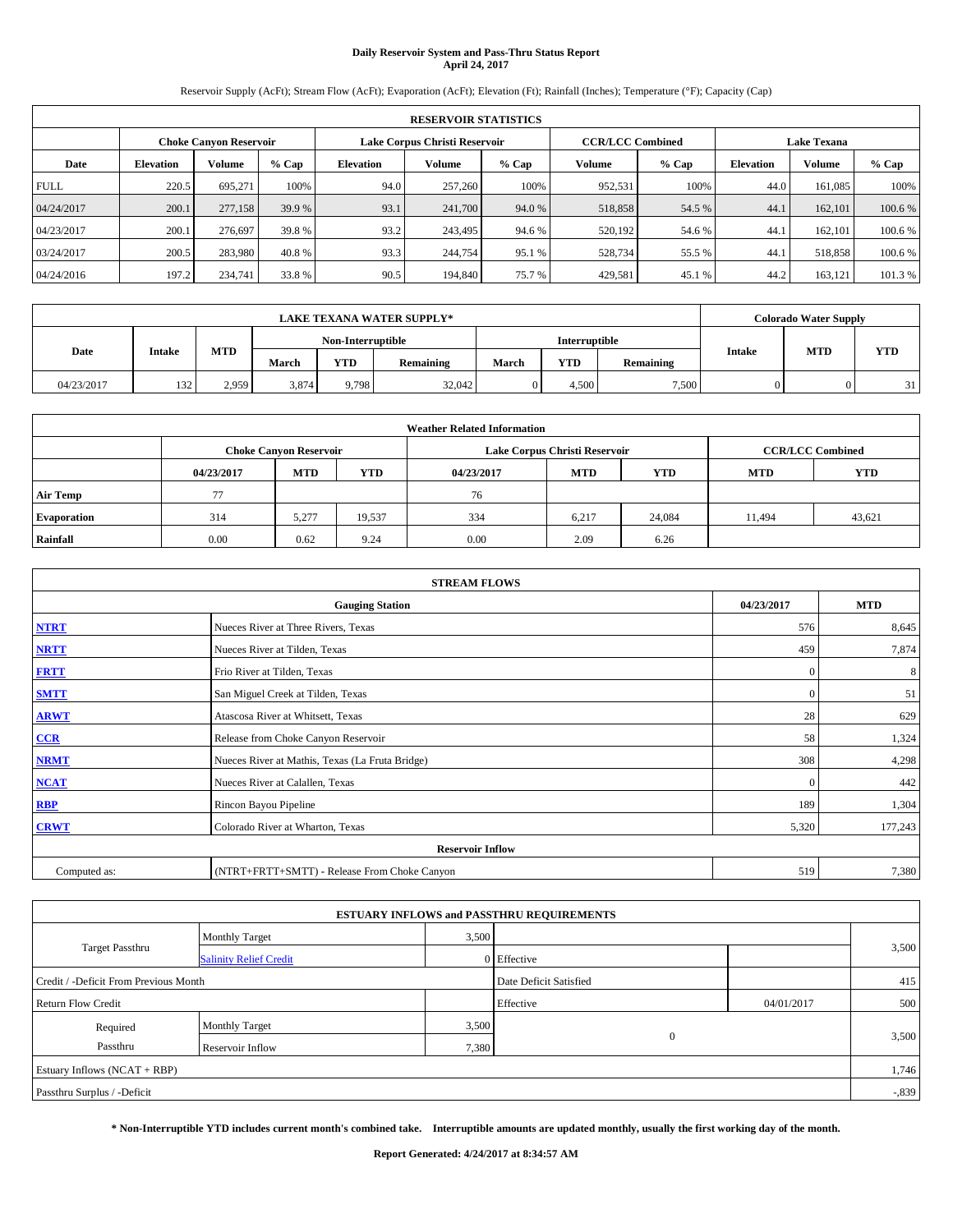## **Daily Reservoir System and Pass-Thru Status Report April 24, 2017**

Reservoir Supply (AcFt); Stream Flow (AcFt); Evaporation (AcFt); Elevation (Ft); Rainfall (Inches); Temperature (°F); Capacity (Cap)

|             | <b>RESERVOIR STATISTICS</b> |                               |         |                  |                               |         |                         |         |                  |                    |         |  |
|-------------|-----------------------------|-------------------------------|---------|------------------|-------------------------------|---------|-------------------------|---------|------------------|--------------------|---------|--|
|             |                             | <b>Choke Canvon Reservoir</b> |         |                  | Lake Corpus Christi Reservoir |         | <b>CCR/LCC Combined</b> |         |                  | <b>Lake Texana</b> |         |  |
| Date        | <b>Elevation</b>            | Volume                        | $%$ Cap | <b>Elevation</b> | Volume                        | $%$ Cap | Volume                  | $%$ Cap | <b>Elevation</b> | Volume             | % Cap   |  |
| <b>FULL</b> | 220.5                       | 695.271                       | 100%    | 94.0             | 257,260                       | 100%    | 952,531                 | 100%    | 44.0             | 161,085            | 100%    |  |
| 04/24/2017  | 200.1                       | 277,158                       | 39.9 %  | 93.1             | 241,700                       | 94.0 %  | 518,858                 | 54.5 %  | 44.1             | 162,101            | 100.6 % |  |
| 04/23/2017  | 200.1                       | 276,697                       | 39.8%   | 93.2             | 243,495                       | 94.6 %  | 520,192                 | 54.6 %  | 44.1             | 162,101            | 100.6%  |  |
| 03/24/2017  | 200.5                       | 283.980                       | 40.8%   | 93.3             | 244,754                       | 95.1 %  | 528,734                 | 55.5 %  | 44.1             | 518,858            | 100.6 % |  |
| 04/24/2016  | 197.2                       | 234,741                       | 33.8 %  | 90.5             | 194,840                       | 75.7 %  | 429,581                 | 45.1 %  | 44.2             | 163,121            | 101.3%  |  |

| <b>LAKE TEXANA WATER SUPPLY*</b> |     |       |                   |       |        |                      | <b>Colorado Water Supply</b> |            |       |            |           |       |            |           |        |            |            |
|----------------------------------|-----|-------|-------------------|-------|--------|----------------------|------------------------------|------------|-------|------------|-----------|-------|------------|-----------|--------|------------|------------|
|                                  |     |       | Non-Interruptible |       |        | <b>Interruptible</b> |                              |            |       |            |           |       |            |           |        |            |            |
| Date                             |     |       |                   |       |        |                      | <b>Intake</b>                | <b>MTD</b> | March | <b>YTD</b> | Remaining | March | <b>YTD</b> | Remaining | Intake | <b>MTD</b> | <b>YTD</b> |
| 04/23/2017                       | 132 | 2.959 | 3,874             | 9.798 | 32,042 |                      | 4,500                        | 7.500      |       |            | 31        |       |            |           |        |            |            |

| <b>Weather Related Information</b> |            |                               |            |            |                               |                         |            |            |  |  |  |
|------------------------------------|------------|-------------------------------|------------|------------|-------------------------------|-------------------------|------------|------------|--|--|--|
|                                    |            | <b>Choke Canyon Reservoir</b> |            |            | Lake Corpus Christi Reservoir | <b>CCR/LCC Combined</b> |            |            |  |  |  |
|                                    | 04/23/2017 | <b>MTD</b>                    | <b>YTD</b> | 04/23/2017 | <b>MTD</b>                    | <b>YTD</b>              | <b>MTD</b> | <b>YTD</b> |  |  |  |
| <b>Air Temp</b>                    | די         |                               |            | 76         |                               |                         |            |            |  |  |  |
| <b>Evaporation</b>                 | 314        | 5,277                         | 19,537     | 334        | 6,217                         | 24,084                  | 11,494     | 43,621     |  |  |  |
| Rainfall                           | 0.00       | 0.62                          | 9.24       | 0.00       | 2.09                          | 6.26                    |            |            |  |  |  |

| <b>STREAM FLOWS</b> |                                                 |              |         |  |  |  |  |  |  |  |
|---------------------|-------------------------------------------------|--------------|---------|--|--|--|--|--|--|--|
|                     | 04/23/2017                                      | <b>MTD</b>   |         |  |  |  |  |  |  |  |
| <b>NTRT</b>         | Nueces River at Three Rivers, Texas             |              |         |  |  |  |  |  |  |  |
| <b>NRTT</b>         | Nueces River at Tilden, Texas                   | 459          | 7,874   |  |  |  |  |  |  |  |
| <b>FRTT</b>         | Frio River at Tilden, Texas                     | $\mathbf{0}$ | 8       |  |  |  |  |  |  |  |
| <b>SMTT</b>         | San Miguel Creek at Tilden, Texas               | $\mathbf{0}$ | 51      |  |  |  |  |  |  |  |
| <b>ARWT</b>         | Atascosa River at Whitsett, Texas               | 28           | 629     |  |  |  |  |  |  |  |
| $CCR$               | Release from Choke Canyon Reservoir             | 58           | 1,324   |  |  |  |  |  |  |  |
| <b>NRMT</b>         | Nueces River at Mathis, Texas (La Fruta Bridge) | 308          | 4,298   |  |  |  |  |  |  |  |
| <b>NCAT</b>         | Nueces River at Calallen, Texas                 | $\theta$     | 442     |  |  |  |  |  |  |  |
| RBP                 | Rincon Bayou Pipeline                           | 189          | 1,304   |  |  |  |  |  |  |  |
| <b>CRWT</b>         | Colorado River at Wharton, Texas                | 5,320        | 177,243 |  |  |  |  |  |  |  |
|                     |                                                 |              |         |  |  |  |  |  |  |  |
| Computed as:        | (NTRT+FRTT+SMTT) - Release From Choke Canyon    |              |         |  |  |  |  |  |  |  |

| <b>ESTUARY INFLOWS and PASSTHRU REQUIREMENTS</b> |                               |                        |                |            |          |  |  |  |  |  |
|--------------------------------------------------|-------------------------------|------------------------|----------------|------------|----------|--|--|--|--|--|
|                                                  | <b>Monthly Target</b>         | 3,500                  |                |            |          |  |  |  |  |  |
| <b>Target Passthru</b>                           | <b>Salinity Relief Credit</b> |                        | 0 Effective    |            | 3,500    |  |  |  |  |  |
| Credit / -Deficit From Previous Month            |                               | Date Deficit Satisfied |                | 415        |          |  |  |  |  |  |
| <b>Return Flow Credit</b>                        |                               |                        | Effective      | 04/01/2017 | 500      |  |  |  |  |  |
| Required                                         | <b>Monthly Target</b>         | 3,500                  |                |            |          |  |  |  |  |  |
| Passthru                                         | Reservoir Inflow              | 7,380                  | $\overline{0}$ |            | 3,500    |  |  |  |  |  |
| Estuary Inflows (NCAT + RBP)                     |                               |                        |                |            | 1,746    |  |  |  |  |  |
| Passthru Surplus / -Deficit                      |                               |                        |                |            | $-0.839$ |  |  |  |  |  |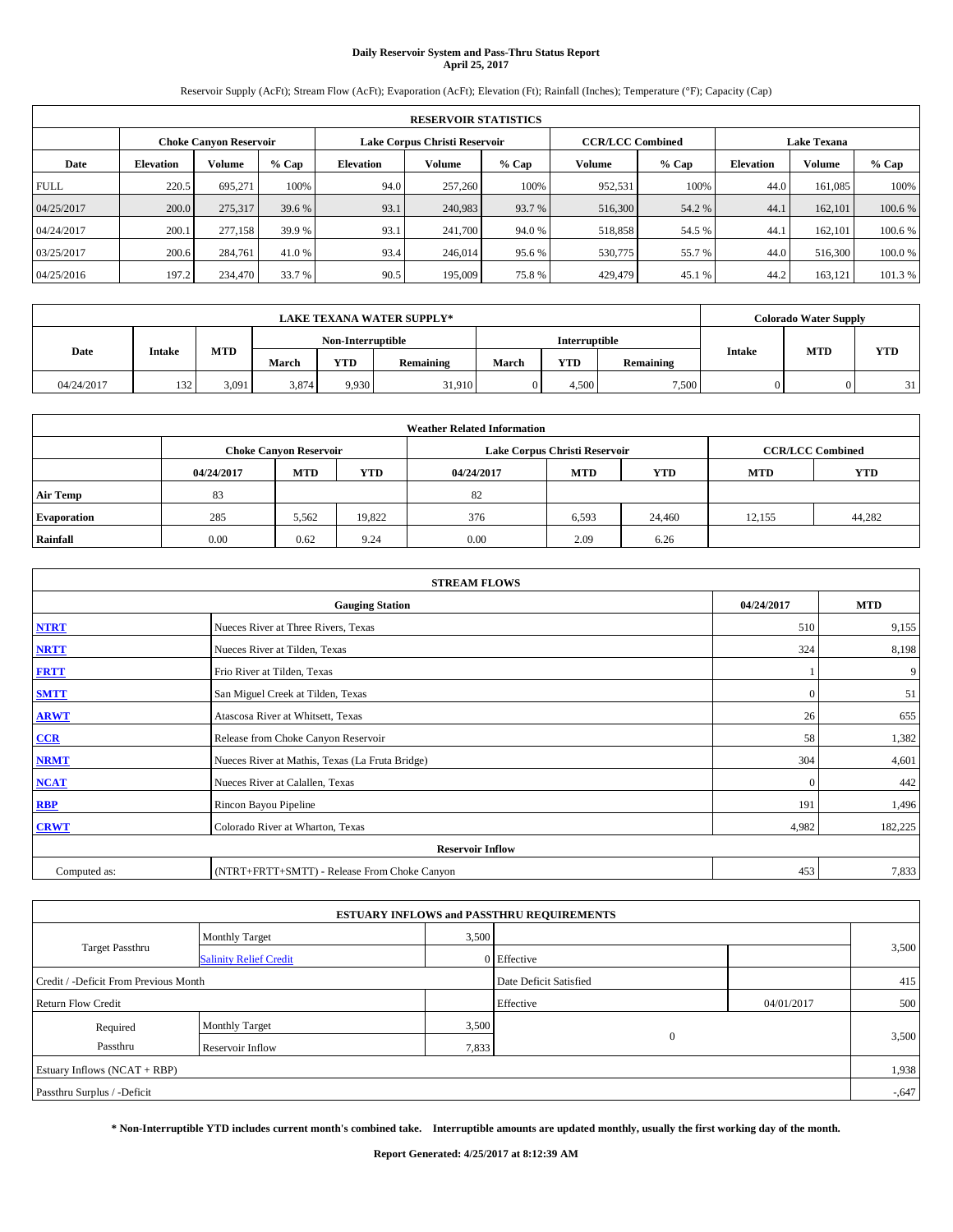## **Daily Reservoir System and Pass-Thru Status Report April 25, 2017**

Reservoir Supply (AcFt); Stream Flow (AcFt); Evaporation (AcFt); Elevation (Ft); Rainfall (Inches); Temperature (°F); Capacity (Cap)

|             | <b>RESERVOIR STATISTICS</b> |                        |        |                  |                               |         |                         |         |                  |                    |         |  |
|-------------|-----------------------------|------------------------|--------|------------------|-------------------------------|---------|-------------------------|---------|------------------|--------------------|---------|--|
|             |                             | Choke Canvon Reservoir |        |                  | Lake Corpus Christi Reservoir |         | <b>CCR/LCC Combined</b> |         |                  | <b>Lake Texana</b> |         |  |
| Date        | <b>Elevation</b>            | $%$ Cap<br>Volume      |        | <b>Elevation</b> | Volume                        | $%$ Cap | Volume                  | $%$ Cap | <b>Elevation</b> | <b>Volume</b>      | % Cap   |  |
| <b>FULL</b> | 220.5                       | 695.271                | 100%   | 94.0             | 257,260                       | 100%    | 952,531                 | 100%    | 44.0             | 161.085            | 100%    |  |
| 04/25/2017  | 200.0                       | 275,317                | 39.6 % | 93.1             | 240,983                       | 93.7 %  | 516,300                 | 54.2 %  | 44.1             | 162,101            | 100.6 % |  |
| 04/24/2017  | 200.1                       | 277.158                | 39.9 % | 93.1             | 241,700                       | 94.0 %  | 518,858                 | 54.5 %  | 44.              | 162,101            | 100.6 % |  |
| 03/25/2017  | 200.6                       | 284.761                | 41.0 % | 93.4             | 246,014                       | 95.6 %  | 530,775                 | 55.7 %  | 44.0             | 516,300            | 100.0%  |  |
| 04/25/2016  | 197.2                       | 234,470                | 33.7 % | 90.5             | 195,009                       | 75.8%   | 429,479                 | 45.1 %  | 44.2             | 163,121            | 101.3 % |  |

|            | <b>LAKE TEXANA WATER SUPPLY*</b> |            |       |                   |           |                      |            |           |        | <b>Colorado Water Supply</b> |            |  |
|------------|----------------------------------|------------|-------|-------------------|-----------|----------------------|------------|-----------|--------|------------------------------|------------|--|
|            | <b>Intake</b>                    |            |       | Non-Interruptible |           | <b>Interruptible</b> |            |           |        |                              |            |  |
| Date       |                                  | <b>MTD</b> | March | <b>YTD</b>        | Remaining | March                | <b>YTD</b> | Remaining | Intake | <b>MTD</b>                   | <b>YTD</b> |  |
| 04/24/2017 | 132                              | 3,091      | 3,874 | 9.930             | 31,910    |                      | 4.500      | 7.500     |        |                              | 31         |  |

| <b>Weather Related Information</b> |            |                               |            |            |                                                      |                         |        |        |  |  |
|------------------------------------|------------|-------------------------------|------------|------------|------------------------------------------------------|-------------------------|--------|--------|--|--|
|                                    |            | <b>Choke Canyon Reservoir</b> |            |            | Lake Corpus Christi Reservoir                        | <b>CCR/LCC Combined</b> |        |        |  |  |
|                                    | 04/24/2017 | <b>MTD</b>                    | <b>YTD</b> | 04/24/2017 | <b>MTD</b><br><b>MTD</b><br><b>YTD</b><br><b>YTD</b> |                         |        |        |  |  |
| <b>Air Temp</b>                    | 83         |                               |            | 82         |                                                      |                         |        |        |  |  |
| <b>Evaporation</b>                 | 285        | 5,562                         | 19,822     | 376        | 6,593                                                | 24,460                  | 12,155 | 44,282 |  |  |
| Rainfall                           | 0.00       | 0.62                          | 9.24       | 0.00       | 2.09                                                 | 6.26                    |        |        |  |  |

| <b>STREAM FLOWS</b> |                                                 |              |            |  |  |  |  |  |  |
|---------------------|-------------------------------------------------|--------------|------------|--|--|--|--|--|--|
|                     | <b>Gauging Station</b>                          | 04/24/2017   | <b>MTD</b> |  |  |  |  |  |  |
| <b>NTRT</b>         | Nueces River at Three Rivers, Texas             | 510          | 9,155      |  |  |  |  |  |  |
| <b>NRTT</b>         | Nueces River at Tilden, Texas                   | 324          | 8,198      |  |  |  |  |  |  |
| <b>FRTT</b>         | Frio River at Tilden, Texas                     |              | 9          |  |  |  |  |  |  |
| <b>SMTT</b>         | San Miguel Creek at Tilden, Texas               | $\mathbf{0}$ | 51         |  |  |  |  |  |  |
| <b>ARWT</b>         | Atascosa River at Whitsett, Texas               | 26           | 655        |  |  |  |  |  |  |
| CCR                 | Release from Choke Canyon Reservoir             | 58           | 1,382      |  |  |  |  |  |  |
| <b>NRMT</b>         | Nueces River at Mathis, Texas (La Fruta Bridge) | 304          | 4,601      |  |  |  |  |  |  |
| <b>NCAT</b>         | Nueces River at Calallen, Texas                 | $\mathbf{0}$ | 442        |  |  |  |  |  |  |
| <b>RBP</b>          | Rincon Bayou Pipeline                           | 191          | 1,496      |  |  |  |  |  |  |
| <b>CRWT</b>         | Colorado River at Wharton, Texas                | 4,982        | 182,225    |  |  |  |  |  |  |
|                     | <b>Reservoir Inflow</b>                         |              |            |  |  |  |  |  |  |
| Computed as:        | (NTRT+FRTT+SMTT) - Release From Choke Canyon    |              |            |  |  |  |  |  |  |

| <b>ESTUARY INFLOWS and PASSTHRU REQUIREMENTS</b> |                               |                        |                |            |         |  |  |  |  |  |
|--------------------------------------------------|-------------------------------|------------------------|----------------|------------|---------|--|--|--|--|--|
|                                                  | <b>Monthly Target</b>         | 3,500                  |                |            |         |  |  |  |  |  |
| <b>Target Passthru</b>                           | <b>Salinity Relief Credit</b> |                        | 0 Effective    |            | 3,500   |  |  |  |  |  |
| Credit / -Deficit From Previous Month            |                               | Date Deficit Satisfied |                | 415        |         |  |  |  |  |  |
| <b>Return Flow Credit</b>                        |                               |                        | Effective      | 04/01/2017 | 500     |  |  |  |  |  |
| Required                                         | <b>Monthly Target</b>         | 3,500                  |                |            |         |  |  |  |  |  |
| Passthru                                         | Reservoir Inflow              | 7,833                  | $\overline{0}$ |            | 3,500   |  |  |  |  |  |
| Estuary Inflows (NCAT + RBP)                     |                               |                        |                |            | 1,938   |  |  |  |  |  |
| Passthru Surplus / -Deficit                      |                               |                        |                |            | $-.647$ |  |  |  |  |  |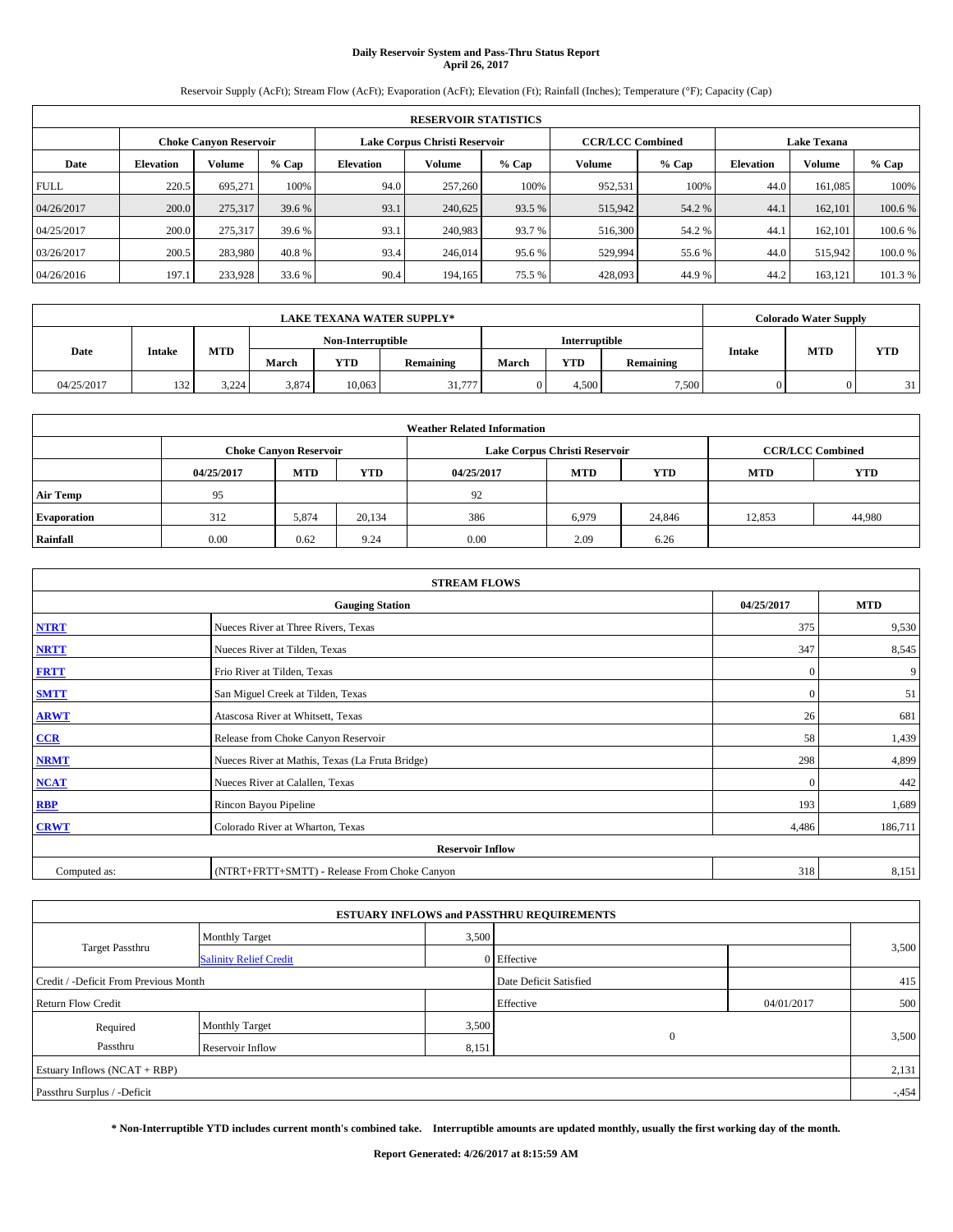## **Daily Reservoir System and Pass-Thru Status Report April 26, 2017**

Reservoir Supply (AcFt); Stream Flow (AcFt); Evaporation (AcFt); Elevation (Ft); Rainfall (Inches); Temperature (°F); Capacity (Cap)

|             | <b>RESERVOIR STATISTICS</b> |                        |        |                  |                                                          |         |         |         |                    |               |         |
|-------------|-----------------------------|------------------------|--------|------------------|----------------------------------------------------------|---------|---------|---------|--------------------|---------------|---------|
|             |                             | Choke Canvon Reservoir |        |                  | <b>CCR/LCC Combined</b><br>Lake Corpus Christi Reservoir |         |         |         | <b>Lake Texana</b> |               |         |
| Date        | <b>Elevation</b>            | $%$ Cap<br>Volume      |        | <b>Elevation</b> | Volume                                                   | $%$ Cap | Volume  | $%$ Cap | <b>Elevation</b>   | <b>Volume</b> | % Cap   |
| <b>FULL</b> | 220.5                       | 695.271                | 100%   | 94.0             | 257,260                                                  | 100%    | 952,531 | 100%    | 44.0               | 161.085       | 100%    |
| 04/26/2017  | 200.0                       | 275,317                | 39.6 % | 93.1             | 240,625                                                  | 93.5 %  | 515,942 | 54.2 %  | 44.1               | 162,101       | 100.6 % |
| 04/25/2017  | 200.0                       | 275,317                | 39.6 % | 93.1             | 240,983                                                  | 93.7 %  | 516,300 | 54.2 %  | 44.                | 162,101       | 100.6 % |
| 03/26/2017  | 200.5                       | 283.980                | 40.8%  | 93.4             | 246,014                                                  | 95.6 %  | 529,994 | 55.6 %  | 44.0               | 515.942       | 100.0%  |
| 04/26/2016  | 197.1                       | 233,928                | 33.6 % | 90.4             | 194.165                                                  | 75.5 %  | 428,093 | 44.9%   | 44.2               | 163,121       | 101.3 % |

|            | <b>LAKE TEXANA WATER SUPPLY*</b> |            |       |                   |                  |               |       |           |               | <b>Colorado Water Supply</b> |            |  |
|------------|----------------------------------|------------|-------|-------------------|------------------|---------------|-------|-----------|---------------|------------------------------|------------|--|
| Date       |                                  |            |       | Non-Interruptible |                  | Interruptible |       |           |               |                              |            |  |
|            | <b>Intake</b>                    | <b>MTD</b> | March | YTD               | <b>Remaining</b> | March         | YTD   | Remaining | <b>Intake</b> | <b>MTD</b>                   | <b>YTD</b> |  |
| 04/25/2017 | 132                              | 3.224      | 3,874 | 10.063            | 31,777           |               | 4,500 | 7,500     |               |                              | 31         |  |

| <b>Weather Related Information</b> |            |                                                                                  |        |      |                               |                         |        |        |  |  |  |
|------------------------------------|------------|----------------------------------------------------------------------------------|--------|------|-------------------------------|-------------------------|--------|--------|--|--|--|
|                                    |            | <b>Choke Canyon Reservoir</b>                                                    |        |      | Lake Corpus Christi Reservoir | <b>CCR/LCC Combined</b> |        |        |  |  |  |
|                                    | 04/25/2017 | <b>YTD</b><br><b>MTD</b><br><b>MTD</b><br><b>YTD</b><br><b>MTD</b><br>04/25/2017 |        |      |                               |                         |        |        |  |  |  |
| <b>Air Temp</b>                    | 95         |                                                                                  |        | 92   |                               |                         |        |        |  |  |  |
| <b>Evaporation</b>                 | 312        | 5,874                                                                            | 20,134 | 386  | 6,979                         | 24,846                  | 12,853 | 44,980 |  |  |  |
| Rainfall                           | 0.00       | 0.62                                                                             | 9.24   | 0.00 | 2.09                          | 6.26                    |        |        |  |  |  |

| <b>STREAM FLOWS</b> |                                                 |              |            |  |  |  |  |  |  |
|---------------------|-------------------------------------------------|--------------|------------|--|--|--|--|--|--|
|                     | <b>Gauging Station</b>                          | 04/25/2017   | <b>MTD</b> |  |  |  |  |  |  |
| <b>NTRT</b>         | Nueces River at Three Rivers, Texas             | 375          | 9,530      |  |  |  |  |  |  |
| <b>NRTT</b>         | Nueces River at Tilden, Texas                   | 347          | 8,545      |  |  |  |  |  |  |
| <b>FRTT</b>         | Frio River at Tilden, Texas                     | $\mathbf{0}$ | 9          |  |  |  |  |  |  |
| <b>SMTT</b>         | San Miguel Creek at Tilden, Texas               | $\mathbf{0}$ | 51         |  |  |  |  |  |  |
| <b>ARWT</b>         | Atascosa River at Whitsett, Texas               | 26           | 681        |  |  |  |  |  |  |
| $CCR$               | Release from Choke Canyon Reservoir             | 58           | 1,439      |  |  |  |  |  |  |
| <b>NRMT</b>         | Nueces River at Mathis, Texas (La Fruta Bridge) | 298          | 4,899      |  |  |  |  |  |  |
| <b>NCAT</b>         | Nueces River at Calallen, Texas                 | $\mathbf{0}$ | 442        |  |  |  |  |  |  |
| RBP                 | Rincon Bayou Pipeline                           | 193          | 1,689      |  |  |  |  |  |  |
| <b>CRWT</b>         | Colorado River at Wharton, Texas                | 4,486        | 186,711    |  |  |  |  |  |  |
|                     | <b>Reservoir Inflow</b>                         |              |            |  |  |  |  |  |  |
| Computed as:        | (NTRT+FRTT+SMTT) - Release From Choke Canyon    |              |            |  |  |  |  |  |  |

| <b>ESTUARY INFLOWS and PASSTHRU REQUIREMENTS</b> |                               |                        |             |            |         |  |  |  |  |  |
|--------------------------------------------------|-------------------------------|------------------------|-------------|------------|---------|--|--|--|--|--|
|                                                  | Monthly Target                | 3,500                  |             |            |         |  |  |  |  |  |
| <b>Target Passthru</b>                           | <b>Salinity Relief Credit</b> |                        | 0 Effective |            | 3,500   |  |  |  |  |  |
| Credit / -Deficit From Previous Month            |                               | Date Deficit Satisfied |             | 415        |         |  |  |  |  |  |
| <b>Return Flow Credit</b>                        |                               |                        | Effective   | 04/01/2017 | 500     |  |  |  |  |  |
| Required                                         | <b>Monthly Target</b>         | 3,500                  |             |            |         |  |  |  |  |  |
| Passthru                                         | Reservoir Inflow              | 8,151                  | $\theta$    |            | 3,500   |  |  |  |  |  |
| Estuary Inflows $(NCAT + RBP)$                   |                               |                        |             |            | 2,131   |  |  |  |  |  |
| Passthru Surplus / -Deficit                      |                               |                        |             |            | $-.454$ |  |  |  |  |  |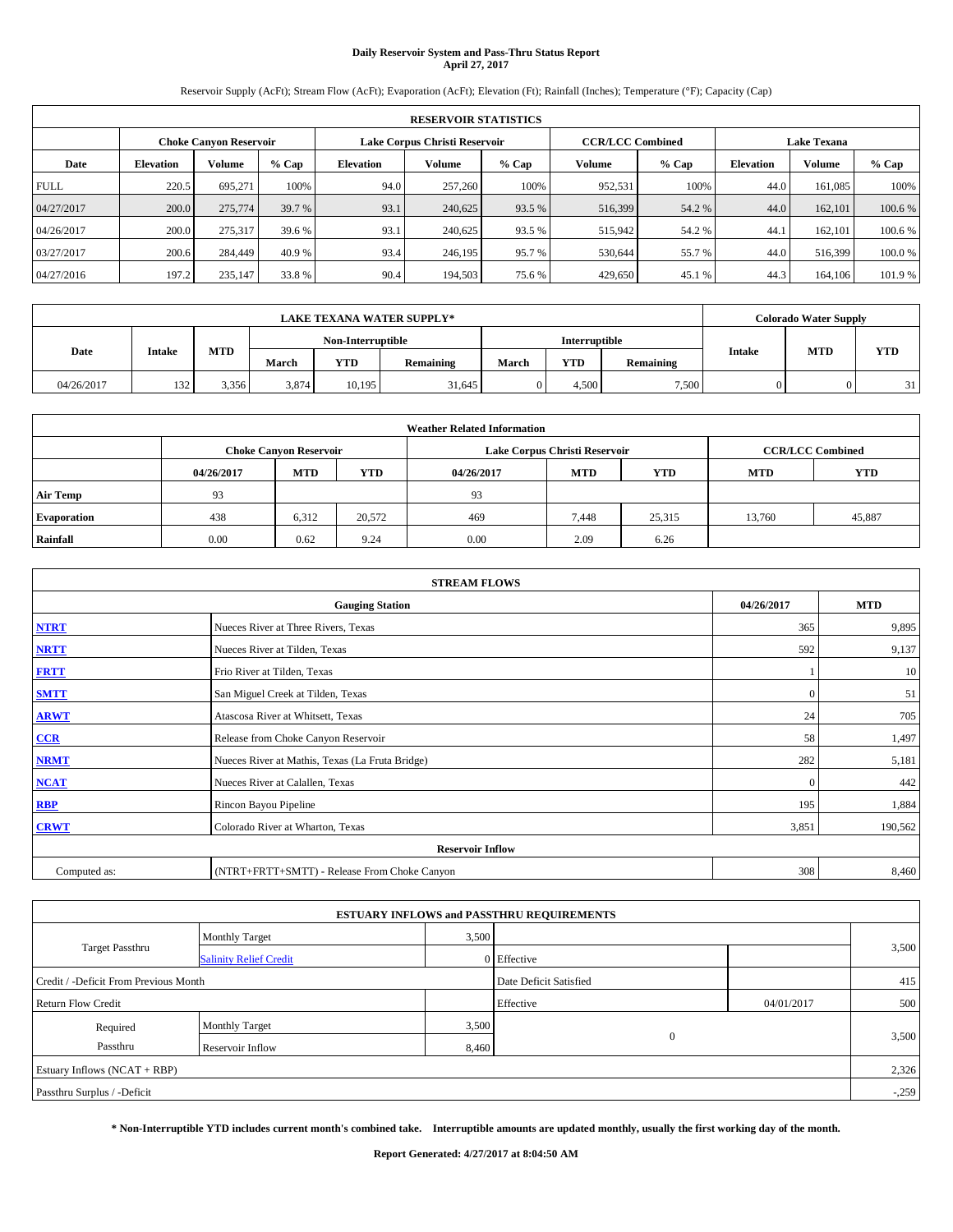## **Daily Reservoir System and Pass-Thru Status Report April 27, 2017**

Reservoir Supply (AcFt); Stream Flow (AcFt); Evaporation (AcFt); Elevation (Ft); Rainfall (Inches); Temperature (°F); Capacity (Cap)

|             | <b>RESERVOIR STATISTICS</b> |                        |        |                  |                               |         |                         |         |                  |                    |         |  |
|-------------|-----------------------------|------------------------|--------|------------------|-------------------------------|---------|-------------------------|---------|------------------|--------------------|---------|--|
|             |                             | Choke Canvon Reservoir |        |                  | Lake Corpus Christi Reservoir |         | <b>CCR/LCC Combined</b> |         |                  | <b>Lake Texana</b> |         |  |
| Date        | <b>Elevation</b>            | $%$ Cap<br>Volume      |        | <b>Elevation</b> | Volume                        | $%$ Cap | Volume                  | $%$ Cap | <b>Elevation</b> | <b>Volume</b>      | % Cap   |  |
| <b>FULL</b> | 220.5                       | 695.271                | 100%   | 94.0             | 257,260                       | 100%    | 952,531                 | 100%    | 44.0             | 161.085            | 100%    |  |
| 04/27/2017  | 200.0                       | 275,774                | 39.7 % | 93.1             | 240,625                       | 93.5 %  | 516,399                 | 54.2 %  | 44.0             | 162,101            | 100.6 % |  |
| 04/26/2017  | 200.0                       | 275,317                | 39.6 % | 93.1             | 240,625                       | 93.5 %  | 515,942                 | 54.2 %  | 44.              | 162,101            | 100.6 % |  |
| 03/27/2017  | 200.6                       | 284,449                | 40.9 % | 93.4             | 246,195                       | 95.7 %  | 530,644                 | 55.7 %  | 44.0             | 516,399            | 100.0%  |  |
| 04/27/2016  | 197.2                       | 235,147                | 33.8 % | 90.4             | 194,503                       | 75.6 %  | 429,650                 | 45.1 %  | 44.3             | 164,106            | 101.9 % |  |

|            | <b>LAKE TEXANA WATER SUPPLY*</b> |            |       |                   |           |       |               |           |               | <b>Colorado Water Supply</b> |            |  |
|------------|----------------------------------|------------|-------|-------------------|-----------|-------|---------------|-----------|---------------|------------------------------|------------|--|
|            |                                  |            |       | Non-Interruptible |           |       | Interruptible |           |               |                              |            |  |
| Date       | <b>Intake</b>                    | <b>MTD</b> | March | <b>YTD</b>        | Remaining | March | YTD           | Remaining | <b>Intake</b> | <b>MTD</b>                   | <b>YTD</b> |  |
| 04/26/2017 | 132                              | 3,356      | 3,874 | 10.195            | 31.645    |       | 4.500         | 7,500     |               |                              | 21         |  |

| <b>Weather Related Information</b> |            |                               |            |            |                               |                         |            |            |  |
|------------------------------------|------------|-------------------------------|------------|------------|-------------------------------|-------------------------|------------|------------|--|
|                                    |            | <b>Choke Canyon Reservoir</b> |            |            | Lake Corpus Christi Reservoir | <b>CCR/LCC Combined</b> |            |            |  |
|                                    | 04/26/2017 | <b>MTD</b>                    | <b>YTD</b> | 04/26/2017 | <b>MTD</b>                    | <b>YTD</b>              | <b>MTD</b> | <b>YTD</b> |  |
| <b>Air Temp</b>                    | 93         |                               |            | 93         |                               |                         |            |            |  |
| <b>Evaporation</b>                 | 438        | 6,312                         | 20,572     | 469        | 7.448                         | 25,315                  | 13,760     | 45,887     |  |
| Rainfall                           | 0.00       | 0.62                          | 9.24       | 0.00       | 2.09                          | 6.26                    |            |            |  |

| <b>STREAM FLOWS</b>                                          |                                                 |              |         |  |  |  |  |  |  |
|--------------------------------------------------------------|-------------------------------------------------|--------------|---------|--|--|--|--|--|--|
|                                                              | 04/26/2017                                      | <b>MTD</b>   |         |  |  |  |  |  |  |
| <b>NTRT</b>                                                  | Nueces River at Three Rivers, Texas             | 365          | 9,895   |  |  |  |  |  |  |
| <b>NRTT</b>                                                  | Nueces River at Tilden, Texas                   | 592          | 9,137   |  |  |  |  |  |  |
| <b>FRTT</b>                                                  | Frio River at Tilden, Texas                     |              | 10      |  |  |  |  |  |  |
| <b>SMTT</b>                                                  | San Miguel Creek at Tilden, Texas               | $\mathbf{0}$ | 51      |  |  |  |  |  |  |
| <b>ARWT</b>                                                  | Atascosa River at Whitsett, Texas               | 24           | 705     |  |  |  |  |  |  |
| $CCR$                                                        | Release from Choke Canyon Reservoir             | 58           | 1,497   |  |  |  |  |  |  |
| <b>NRMT</b>                                                  | Nueces River at Mathis, Texas (La Fruta Bridge) | 282          | 5,181   |  |  |  |  |  |  |
| <b>NCAT</b>                                                  | Nueces River at Calallen, Texas                 | $\theta$     | 442     |  |  |  |  |  |  |
| RBP                                                          | Rincon Bayou Pipeline                           | 195          | 1,884   |  |  |  |  |  |  |
| <b>CRWT</b>                                                  | Colorado River at Wharton, Texas                | 3,851        | 190,562 |  |  |  |  |  |  |
|                                                              | <b>Reservoir Inflow</b>                         |              |         |  |  |  |  |  |  |
| (NTRT+FRTT+SMTT) - Release From Choke Canyon<br>Computed as: |                                                 |              |         |  |  |  |  |  |  |

|                                       |                               |       | <b>ESTUARY INFLOWS and PASSTHRU REQUIREMENTS</b> |            |         |  |  |  |
|---------------------------------------|-------------------------------|-------|--------------------------------------------------|------------|---------|--|--|--|
|                                       | <b>Monthly Target</b>         | 3,500 |                                                  |            |         |  |  |  |
| <b>Target Passthru</b>                | <b>Salinity Relief Credit</b> |       | 0 Effective                                      |            | 3,500   |  |  |  |
| Credit / -Deficit From Previous Month |                               |       | Date Deficit Satisfied                           |            | 415     |  |  |  |
| <b>Return Flow Credit</b>             |                               |       | Effective                                        | 04/01/2017 | 500     |  |  |  |
| Required                              | <b>Monthly Target</b>         | 3,500 |                                                  |            |         |  |  |  |
| Passthru                              | Reservoir Inflow              | 8,460 | $\overline{0}$                                   |            | 3,500   |  |  |  |
| Estuary Inflows $(NCAT + RBP)$        |                               |       |                                                  |            |         |  |  |  |
| Passthru Surplus / -Deficit           |                               |       |                                                  |            | $-.259$ |  |  |  |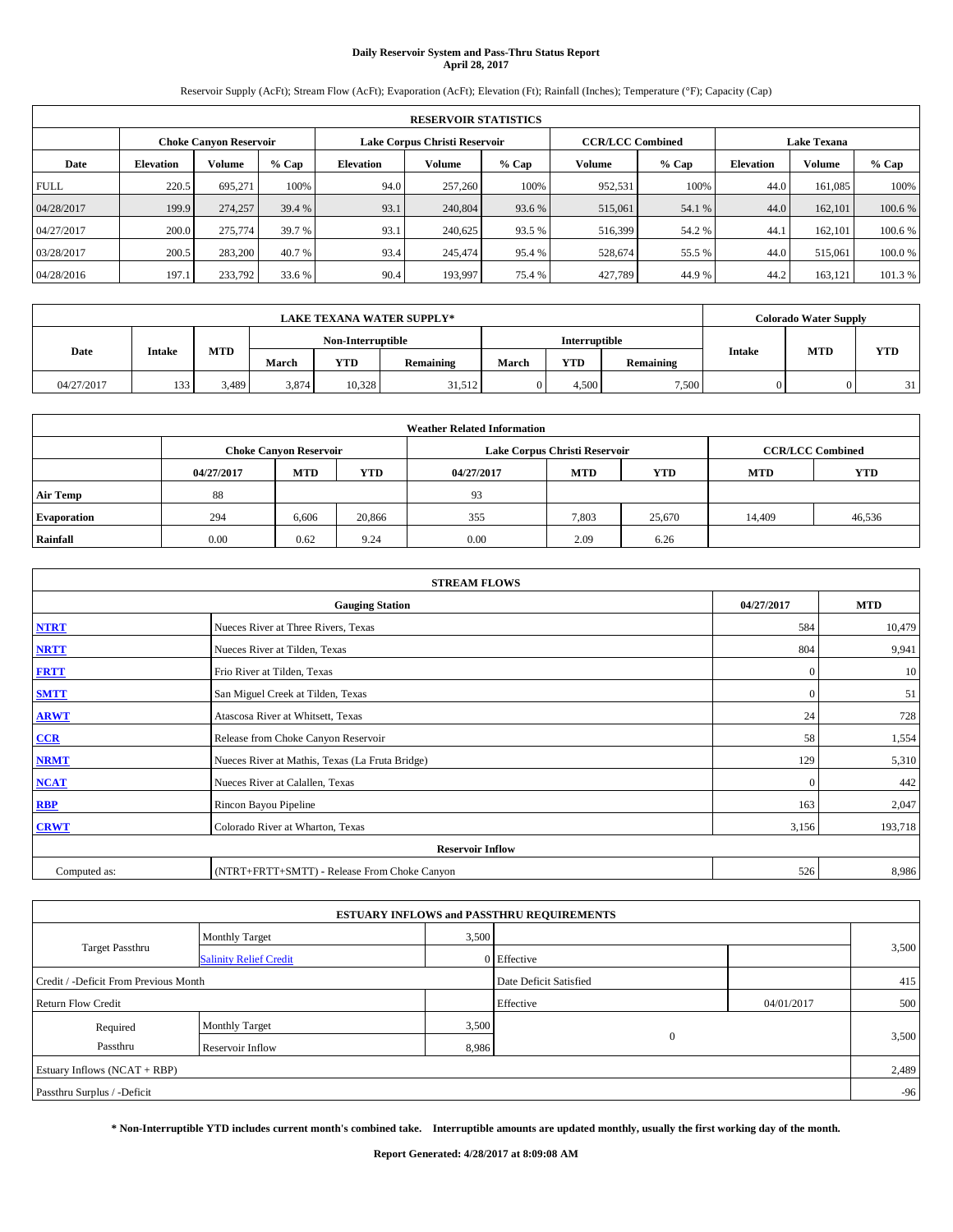## **Daily Reservoir System and Pass-Thru Status Report April 28, 2017**

Reservoir Supply (AcFt); Stream Flow (AcFt); Evaporation (AcFt); Elevation (Ft); Rainfall (Inches); Temperature (°F); Capacity (Cap)

| <b>RESERVOIR STATISTICS</b> |                  |                        |         |                  |                               |         |                         |         |                  |                    |         |  |
|-----------------------------|------------------|------------------------|---------|------------------|-------------------------------|---------|-------------------------|---------|------------------|--------------------|---------|--|
|                             |                  | Choke Canvon Reservoir |         |                  | Lake Corpus Christi Reservoir |         | <b>CCR/LCC Combined</b> |         |                  | <b>Lake Texana</b> |         |  |
| Date                        | <b>Elevation</b> | Volume                 | $%$ Cap | <b>Elevation</b> | Volume                        | $%$ Cap | Volume                  | $%$ Cap | <b>Elevation</b> | <b>Volume</b>      | % Cap   |  |
| <b>FULL</b>                 | 220.5            | 695.271                | 100%    | 94.0             | 257,260                       | 100%    | 952,531                 | 100%    | 44.0             | 161.085            | 100%    |  |
| 04/28/2017                  | 199.9            | 274,257                | 39.4 %  | 93.1             | 240,804                       | 93.6 %  | 515,061                 | 54.1 %  | 44.0             | 162,101            | 100.6 % |  |
| 04/27/2017                  | 200.0            | 275,774                | 39.7 %  | 93.1             | 240,625                       | 93.5 %  | 516,399                 | 54.2 %  | 44.              | 162,101            | 100.6 % |  |
| 03/28/2017                  | 200.5            | 283,200                | 40.7 %  | 93.4             | 245,474                       | 95.4 %  | 528,674                 | 55.5 %  | 44.0             | 515,061            | 100.0%  |  |
| 04/28/2016                  | 197.1            | 233,792                | 33.6 %  | 90.4             | 193.997                       | 75.4 %  | 427,789                 | 44.9%   | 44.2             | 163,121            | 101.3 % |  |

| <b>LAKE TEXANA WATER SUPPLY*</b> |               |       |       |                   |                  |               |       |           |               | <b>Colorado Water Supply</b> |            |
|----------------------------------|---------------|-------|-------|-------------------|------------------|---------------|-------|-----------|---------------|------------------------------|------------|
|                                  |               |       |       | Non-Interruptible |                  | Interruptible |       |           |               |                              |            |
| Date                             | <b>Intake</b> | MTD   | March | YTD               | <b>Remaining</b> | March         | YTD   | Remaining | <b>Intake</b> | <b>MTD</b>                   | <b>YTD</b> |
| 04/27/2017                       | 133           | 3.489 | 3,874 | 10.328            | 31,512           |               | 4,500 | 7,500     |               |                              | 31         |

| <b>Weather Related Information</b> |            |                               |            |            |                               |                         |        |        |  |
|------------------------------------|------------|-------------------------------|------------|------------|-------------------------------|-------------------------|--------|--------|--|
|                                    |            | <b>Choke Canyon Reservoir</b> |            |            | Lake Corpus Christi Reservoir | <b>CCR/LCC Combined</b> |        |        |  |
|                                    | 04/27/2017 | <b>MTD</b>                    | <b>YTD</b> | 04/27/2017 | <b>YTD</b>                    |                         |        |        |  |
| <b>Air Temp</b>                    | 88         |                               |            | 93         |                               |                         |        |        |  |
| <b>Evaporation</b>                 | 294        | 6,606                         | 20,866     | 355        | 7,803                         | 25,670                  | 14,409 | 46,536 |  |
| Rainfall                           | 0.00       | 0.62                          | 9.24       | 0.00       | 2.09                          | 6.26                    |        |        |  |

| <b>STREAM FLOWS</b>     |                                                 |              |         |  |  |  |  |  |  |
|-------------------------|-------------------------------------------------|--------------|---------|--|--|--|--|--|--|
|                         | 04/27/2017                                      | <b>MTD</b>   |         |  |  |  |  |  |  |
| <b>NTRT</b>             | Nueces River at Three Rivers, Texas             | 584          | 10,479  |  |  |  |  |  |  |
| <b>NRTT</b>             | Nueces River at Tilden, Texas                   | 804          | 9,941   |  |  |  |  |  |  |
| <b>FRTT</b>             | Frio River at Tilden, Texas                     | $\mathbf{0}$ | 10      |  |  |  |  |  |  |
| <b>SMTT</b>             | San Miguel Creek at Tilden, Texas               | $\mathbf{0}$ | 51      |  |  |  |  |  |  |
| <b>ARWT</b>             | Atascosa River at Whitsett, Texas               | 24           | 728     |  |  |  |  |  |  |
| CCR                     | Release from Choke Canyon Reservoir             | 58           | 1,554   |  |  |  |  |  |  |
| <b>NRMT</b>             | Nueces River at Mathis, Texas (La Fruta Bridge) | 129          | 5,310   |  |  |  |  |  |  |
| <b>NCAT</b>             | Nueces River at Calallen, Texas                 | $\mathbf{0}$ | 442     |  |  |  |  |  |  |
| <b>RBP</b>              | Rincon Bayou Pipeline                           | 163          | 2,047   |  |  |  |  |  |  |
| <b>CRWT</b>             | Colorado River at Wharton, Texas                | 3,156        | 193,718 |  |  |  |  |  |  |
| <b>Reservoir Inflow</b> |                                                 |              |         |  |  |  |  |  |  |
| Computed as:            | (NTRT+FRTT+SMTT) - Release From Choke Canyon    | 526          | 8,986   |  |  |  |  |  |  |

|                                       |                               |       | <b>ESTUARY INFLOWS and PASSTHRU REQUIREMENTS</b> |            |       |
|---------------------------------------|-------------------------------|-------|--------------------------------------------------|------------|-------|
|                                       | <b>Monthly Target</b>         | 3,500 |                                                  |            |       |
| <b>Target Passthru</b>                | <b>Salinity Relief Credit</b> |       | 0 Effective                                      |            | 3,500 |
| Credit / -Deficit From Previous Month |                               |       | Date Deficit Satisfied                           |            | 415   |
| <b>Return Flow Credit</b>             |                               |       | Effective                                        | 04/01/2017 | 500   |
| Required                              | <b>Monthly Target</b>         | 3,500 |                                                  |            |       |
| Passthru                              | Reservoir Inflow              | 8,986 | $\overline{0}$                                   |            | 3,500 |
| Estuary Inflows (NCAT + RBP)          |                               |       |                                                  |            | 2,489 |
| Passthru Surplus / -Deficit           |                               |       |                                                  |            | $-96$ |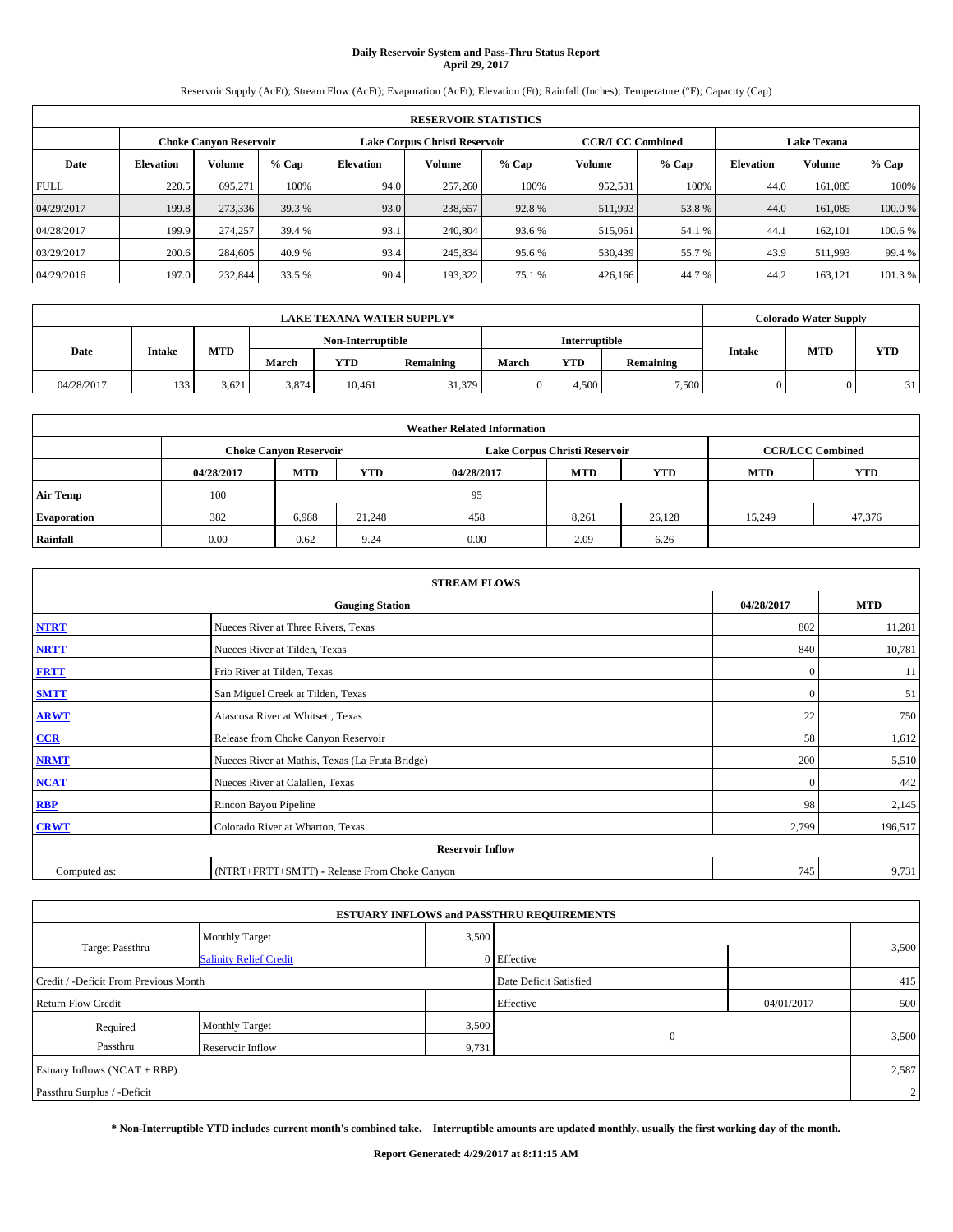## **Daily Reservoir System and Pass-Thru Status Report April 29, 2017**

Reservoir Supply (AcFt); Stream Flow (AcFt); Evaporation (AcFt); Elevation (Ft); Rainfall (Inches); Temperature (°F); Capacity (Cap)

| <b>RESERVOIR STATISTICS</b> |                  |                        |         |                  |                               |         |                         |         |                  |                    |         |  |
|-----------------------------|------------------|------------------------|---------|------------------|-------------------------------|---------|-------------------------|---------|------------------|--------------------|---------|--|
|                             |                  | Choke Canvon Reservoir |         |                  | Lake Corpus Christi Reservoir |         | <b>CCR/LCC Combined</b> |         |                  | <b>Lake Texana</b> |         |  |
| Date                        | <b>Elevation</b> | Volume                 | $%$ Cap | <b>Elevation</b> | Volume                        | $%$ Cap | Volume                  | $%$ Cap | <b>Elevation</b> | <b>Volume</b>      | % Cap   |  |
| <b>FULL</b>                 | 220.5            | 695.271                | 100%    | 94.0             | 257,260                       | 100%    | 952,531                 | 100%    | 44.0             | 161.085            | 100%    |  |
| 04/29/2017                  | 199.8            | 273,336                | 39.3 %  | 93.0             | 238,657                       | 92.8%   | 511,993                 | 53.8%   | 44.0             | 161,085            | 100.0%  |  |
| 04/28/2017                  | 199.9            | 274,257                | 39.4 %  | 93.1             | 240,804                       | 93.6 %  | 515,061                 | 54.1 %  | 44.              | 162,101            | 100.6 % |  |
| 03/29/2017                  | 200.6            | 284,605                | 40.9 %  | 93.4             | 245,834                       | 95.6 %  | 530,439                 | 55.7 %  | 43.9             | 511,993            | 99.4 %  |  |
| 04/29/2016                  | 197.0            | 232,844                | 33.5 %  | 90.4             | 193,322                       | 75.1 %  | 426,166                 | 44.7%   | 44.2             | 163,121            | 101.3 % |  |

| <b>LAKE TEXANA WATER SUPPLY*</b> |               |            |       |                   |           |       |               |           |               | <b>Colorado Water Supply</b> |            |
|----------------------------------|---------------|------------|-------|-------------------|-----------|-------|---------------|-----------|---------------|------------------------------|------------|
|                                  |               |            |       | Non-Interruptible |           |       | Interruptible |           |               |                              |            |
| Date                             | <b>Intake</b> | <b>MTD</b> | March | <b>YTD</b>        | Remaining | March | YTD           | Remaining | <b>Intake</b> | <b>MTD</b>                   | <b>YTD</b> |
| 04/28/2017                       | 133           | 3.621      | 3,874 | 10.461            | 31,379    |       | 4.500         | 7.500     |               |                              | 21         |

| <b>Weather Related Information</b> |            |                               |            |            |                               |                         |        |        |  |
|------------------------------------|------------|-------------------------------|------------|------------|-------------------------------|-------------------------|--------|--------|--|
|                                    |            | <b>Choke Canyon Reservoir</b> |            |            | Lake Corpus Christi Reservoir | <b>CCR/LCC Combined</b> |        |        |  |
|                                    | 04/28/2017 | <b>MTD</b>                    | <b>YTD</b> | 04/28/2017 | <b>YTD</b>                    |                         |        |        |  |
| <b>Air Temp</b>                    | 100        |                               |            | 95         |                               |                         |        |        |  |
| <b>Evaporation</b>                 | 382        | 6.988                         | 21.248     | 458        | 8,261                         | 26,128                  | 15,249 | 47,376 |  |
| Rainfall                           | 0.00       | 0.62                          | 9.24       | 0.00       | 2.09                          | 6.26                    |        |        |  |

| <b>STREAM FLOWS</b> |                                                 |              |         |  |  |  |  |  |  |
|---------------------|-------------------------------------------------|--------------|---------|--|--|--|--|--|--|
|                     | 04/28/2017                                      | <b>MTD</b>   |         |  |  |  |  |  |  |
| <b>NTRT</b>         | Nueces River at Three Rivers, Texas             | 802          | 11,281  |  |  |  |  |  |  |
| <b>NRTT</b>         | Nueces River at Tilden, Texas                   | 840          | 10,781  |  |  |  |  |  |  |
| <b>FRTT</b>         | Frio River at Tilden, Texas                     | $\mathbf{0}$ | 11      |  |  |  |  |  |  |
| <b>SMTT</b>         | San Miguel Creek at Tilden, Texas               | $\mathbf{0}$ | 51      |  |  |  |  |  |  |
| <b>ARWT</b>         | Atascosa River at Whitsett, Texas               | 22           | 750     |  |  |  |  |  |  |
| $CCR$               | Release from Choke Canyon Reservoir             | 58           | 1,612   |  |  |  |  |  |  |
| <b>NRMT</b>         | Nueces River at Mathis, Texas (La Fruta Bridge) | 200          | 5,510   |  |  |  |  |  |  |
| <b>NCAT</b>         | Nueces River at Calallen, Texas                 | $\mathbf{0}$ | 442     |  |  |  |  |  |  |
| RBP                 | Rincon Bayou Pipeline                           | 98           | 2,145   |  |  |  |  |  |  |
| <b>CRWT</b>         | Colorado River at Wharton, Texas                | 2,799        | 196,517 |  |  |  |  |  |  |
|                     |                                                 |              |         |  |  |  |  |  |  |
| Computed as:        | (NTRT+FRTT+SMTT) - Release From Choke Canyon    | 745          | 9,731   |  |  |  |  |  |  |

| <b>ESTUARY INFLOWS and PASSTHRU REQUIREMENTS</b> |                               |                        |                |            |                |  |  |
|--------------------------------------------------|-------------------------------|------------------------|----------------|------------|----------------|--|--|
|                                                  | <b>Monthly Target</b>         | 3,500                  |                |            | 3,500          |  |  |
| <b>Target Passthru</b>                           | <b>Salinity Relief Credit</b> |                        | 0 Effective    |            |                |  |  |
| Credit / -Deficit From Previous Month            |                               | Date Deficit Satisfied |                | 415        |                |  |  |
| <b>Return Flow Credit</b>                        |                               |                        | Effective      | 04/01/2017 | 500            |  |  |
| Required                                         | <b>Monthly Target</b>         | 3,500                  | $\overline{0}$ |            |                |  |  |
| Passthru                                         | Reservoir Inflow              | 9,731                  |                |            | 3,500          |  |  |
| Estuary Inflows (NCAT + RBP)                     |                               |                        |                |            |                |  |  |
| Passthru Surplus / -Deficit                      |                               |                        |                |            | $\overline{2}$ |  |  |